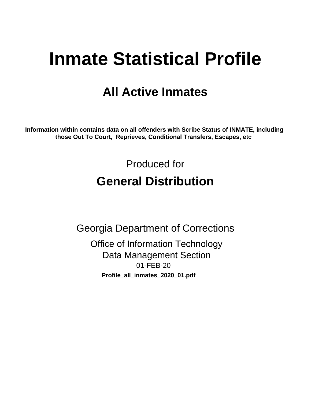# **Inmate Statistical Profile**

## **All Active Inmates**

Information within contains data on all offenders with Scribe Status of INMATE, including those Out To Court, Reprieves, Conditional Transfers, Escapes, etc

> Produced for **General Distribution**

**Georgia Department of Corrections Office of Information Technology Data Management Section** 01-FEB-20 Profile\_all\_inmates\_2020\_01.pdf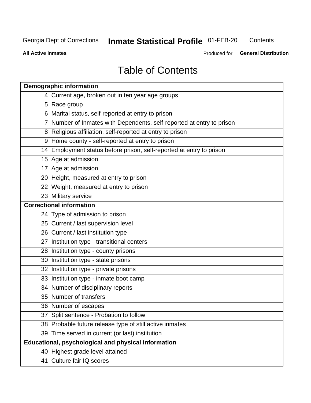## **Inmate Statistical Profile 01-FEB-20**

Contents

**All Active Inmates** 

Produced for General Distribution

## **Table of Contents**

| <b>Demographic information</b>                                        |
|-----------------------------------------------------------------------|
| 4 Current age, broken out in ten year age groups                      |
| 5 Race group                                                          |
| 6 Marital status, self-reported at entry to prison                    |
| 7 Number of Inmates with Dependents, self-reported at entry to prison |
| 8 Religious affiliation, self-reported at entry to prison             |
| 9 Home county - self-reported at entry to prison                      |
| 14 Employment status before prison, self-reported at entry to prison  |
| 15 Age at admission                                                   |
| 17 Age at admission                                                   |
| 20 Height, measured at entry to prison                                |
| 22 Weight, measured at entry to prison                                |
| 23 Military service                                                   |
| <b>Correctional information</b>                                       |
| 24 Type of admission to prison                                        |
| 25 Current / last supervision level                                   |
| 26 Current / last institution type                                    |
| 27 Institution type - transitional centers                            |
| 28 Institution type - county prisons                                  |
| 30 Institution type - state prisons                                   |
| 32 Institution type - private prisons                                 |
| 33 Institution type - inmate boot camp                                |
| 34 Number of disciplinary reports                                     |
| 35 Number of transfers                                                |
| 36 Number of escapes                                                  |
| 37 Split sentence - Probation to follow                               |
| 38 Probable future release type of still active inmates               |
| 39 Time served in current (or last) institution                       |
| Educational, psychological and physical information                   |
| 40 Highest grade level attained                                       |
| 41 Culture fair IQ scores                                             |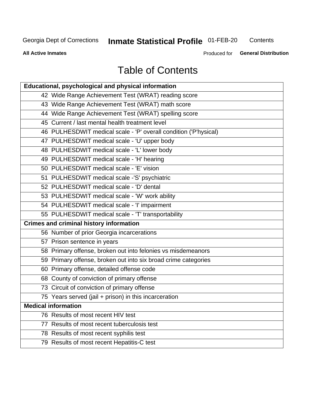## **Inmate Statistical Profile 01-FEB-20**

Contents

**All Active Inmates** 

Produced for General Distribution

## **Table of Contents**

| Educational, psychological and physical information              |
|------------------------------------------------------------------|
| 42 Wide Range Achievement Test (WRAT) reading score              |
| 43 Wide Range Achievement Test (WRAT) math score                 |
| 44 Wide Range Achievement Test (WRAT) spelling score             |
| 45 Current / last mental health treatment level                  |
| 46 PULHESDWIT medical scale - 'P' overall condition ('P'hysical) |
| 47 PULHESDWIT medical scale - 'U' upper body                     |
| 48 PULHESDWIT medical scale - 'L' lower body                     |
| 49 PULHESDWIT medical scale - 'H' hearing                        |
| 50 PULHESDWIT medical scale - 'E' vision                         |
| 51 PULHESDWIT medical scale -'S' psychiatric                     |
| 52 PULHESDWIT medical scale - 'D' dental                         |
| 53 PULHESDWIT medical scale - 'W' work ability                   |
| 54 PULHESDWIT medical scale - 'I' impairment                     |
| 55 PULHESDWIT medical scale - 'T' transportability               |
| <b>Crimes and criminal history information</b>                   |
| 56 Number of prior Georgia incarcerations                        |
| 57 Prison sentence in years                                      |
| 58 Primary offense, broken out into felonies vs misdemeanors     |
| 59 Primary offense, broken out into six broad crime categories   |
| 60 Primary offense, detailed offense code                        |
| 68 County of conviction of primary offense                       |
| 73 Circuit of conviction of primary offense                      |
| 75 Years served (jail + prison) in this incarceration            |
| <b>Medical information</b>                                       |
| 76 Results of most recent HIV test                               |
| 77 Results of most recent tuberculosis test                      |
| 78 Results of most recent syphilis test                          |
| 79 Results of most recent Hepatitis-C test                       |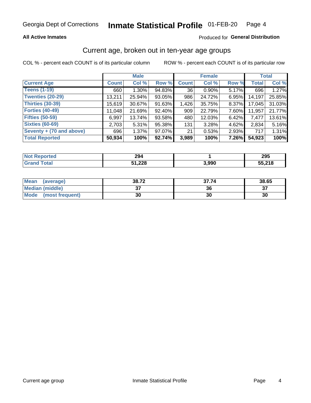### **All Active Inmates**

### Produced for General Distribution

### Current age, broken out in ten-year age groups

COL % - percent each COUNT is of its particular column

|                          |              | <b>Male</b> |        | <b>Female</b> |        |       | <b>Total</b> |        |
|--------------------------|--------------|-------------|--------|---------------|--------|-------|--------------|--------|
| <b>Current Age</b>       | <b>Count</b> | Col %       | Row %  | <b>Count</b>  | Col %  | Row % | <b>Total</b> | Col %  |
| <b>Teens (1-19)</b>      | 660          | $1.30\%$    | 94.83% | 36            | 0.90%  | 5.17% | 696          | 1.27%  |
| <b>Twenties (20-29)</b>  | 13,211       | 25.94%      | 93.05% | 986           | 24.72% | 6.95% | 14,197       | 25.85% |
| <b>Thirties (30-39)</b>  | 15,619       | 30.67%      | 91.63% | 1,426         | 35.75% | 8.37% | 17,045       | 31.03% |
| <b>Forties (40-49)</b>   | 11,048       | 21.69%      | 92.40% | 909           | 22.79% | 7.60% | 11,957       | 21.77% |
| <b>Fifties (50-59)</b>   | 6,997        | 13.74%      | 93.58% | 480           | 12.03% | 6.42% | 7,477        | 13.61% |
| <b>Sixties (60-69)</b>   | 2,703        | 5.31%       | 95.38% | 131           | 3.28%  | 4.62% | 2,834        | 5.16%  |
| Seventy + (70 and above) | 696          | 1.37%       | 97.07% | 21            | 0.53%  | 2.93% | 717          | 1.31%  |
| <b>Total Reported</b>    | 50,934       | 100%        | 92.74% | 3,989         | 100%   | 7.26% | 54,923       | 100%   |

| <b>Not Reported</b> | 294               |       | 295                            |
|---------------------|-------------------|-------|--------------------------------|
| Total               | :1 22Q<br>JI, 440 | 3,990 | <b>55 218</b><br><b>JJ.ZIG</b> |

| <b>Mean</b><br>(average) | 38.72         | 37.74 | 38.65    |
|--------------------------|---------------|-------|----------|
| Median (middle)          | $\sim$<br>ا پ | 36    | ^¬<br>o. |
| Mode<br>(most frequent)  | 30            | 30    | 30       |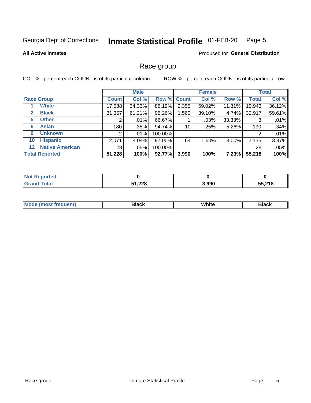#### Inmate Statistical Profile 01-FEB-20 Page 5

### **All Active Inmates**

### **Produced for General Distribution**

### Race group

COL % - percent each COUNT is of its particular column

|                                   |                 | <b>Male</b> |         |             | <b>Female</b> |          |              | <b>Total</b> |  |
|-----------------------------------|-----------------|-------------|---------|-------------|---------------|----------|--------------|--------------|--|
| <b>Race Group</b>                 | <b>Count</b>    | Col %       |         | Row % Count | Col %         | Row %    | <b>Total</b> | Col %        |  |
| <b>White</b>                      | 17,588          | 34.33%      | 88.19%  | 2,355       | 59.02%        | 11.81%   | 19,943       | 36.12%       |  |
| <b>Black</b><br>2                 | 31,357          | 61.21%      | 95.26%  | .560        | 39.10%        | 4.74%    | 32,917       | 59.61%       |  |
| <b>Other</b><br>5.                |                 | $.01\%$     | 66.67%  |             | .03%          | 33.33%   | 3            | .01%         |  |
| <b>Asian</b><br>6                 | 180             | .35%        | 94.74%  | 10          | .25%          | 5.26%    | 190          | .34%         |  |
| <b>Unknown</b><br>9               | 2               | $.01\%$     | 100.00% |             |               |          | 2            | .01%         |  |
| <b>Hispanic</b><br>10             | 2,071           | 4.04%       | 97.00%  | 64          | 1.60%         | $3.00\%$ | 2,135        | 3.87%        |  |
| <b>Native American</b><br>$12 \,$ | 28 <sub>1</sub> | .05%        | 100.00% |             |               |          | 28           | .05%         |  |
| <b>Total Reported</b>             | 51,228          | 100%        | 92.77%  | 3,990       | 100%          | 7.23%    | 55,218       | 100%         |  |

| <b>ported</b><br>NO.   |        |       |        |
|------------------------|--------|-------|--------|
| <b>Fotal</b><br>'Grand | 51,228 | 3,990 | 55,218 |

| m | <br>w |  |
|---|-------|--|
|   |       |  |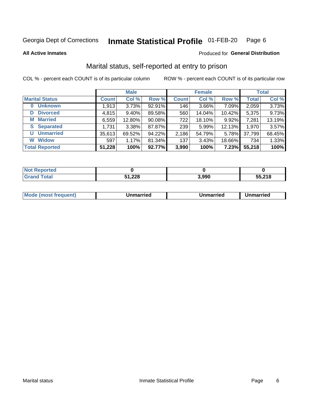#### Inmate Statistical Profile 01-FEB-20 Page 6

**All Active Inmates** 

### Produced for General Distribution

### Marital status, self-reported at entry to prison

COL % - percent each COUNT is of its particular column

|                            | <b>Male</b>  |        |        |              | <b>Female</b> | <b>Total</b> |              |        |
|----------------------------|--------------|--------|--------|--------------|---------------|--------------|--------------|--------|
| <b>Marital Status</b>      | <b>Count</b> | Col %  | Row %  | <b>Count</b> | Col %         | Row %        | <b>Total</b> | Col %  |
| <b>Unknown</b><br>$\bf{0}$ | 1,913        | 3.73%  | 92.91% | 146          | $3.66\%$      | 7.09%        | 2,059        | 3.73%  |
| <b>Divorced</b><br>D       | 4,815        | 9.40%  | 89.58% | 560          | 14.04%        | 10.42%       | 5,375        | 9.73%  |
| <b>Married</b><br>М        | 6,559        | 12.80% | 90.08% | 722          | 18.10%        | 9.92%        | 7,281        | 13.19% |
| <b>Separated</b><br>S      | 1,731        | 3.38%  | 87.87% | 239          | 5.99%         | 12.13%       | 1,970        | 3.57%  |
| <b>Unmarried</b><br>U      | 35,613       | 69.52% | 94.22% | 2,186        | 54.79%        | 5.78%        | 37,799       | 68.45% |
| <b>Widow</b><br>W          | 597          | 1.17%  | 81.34% | 137          | 3.43%         | 18.66%       | 734          | 1.33%  |
| <b>Total Reported</b>      | 51,228       | 100%   | 92.77% | 3,990        | 100%          | 7.23%        | 55,218       | 100%   |

| <b>Not Reported</b> |               |       |        |
|---------------------|---------------|-------|--------|
| Total               | ാറാ<br>71,440 | 3,990 | 55,218 |

|--|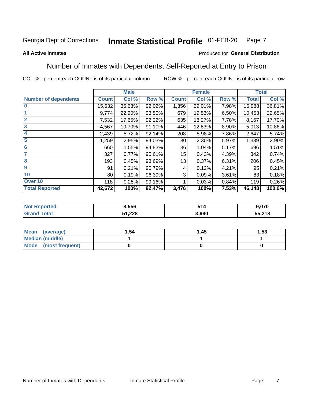#### **Inmate Statistical Profile 01-FEB-20** Page 7

### **All Active Inmates**

### Produced for General Distribution

### Number of Inmates with Dependents, Self-Reported at Entry to Prison

COL % - percent each COUNT is of its particular column

|                             |              | <b>Male</b> |        |              | <b>Female</b> |       | <b>Total</b> |        |
|-----------------------------|--------------|-------------|--------|--------------|---------------|-------|--------------|--------|
| <b>Number of dependents</b> | <b>Count</b> | Col %       | Row %  | <b>Count</b> | Col %         | Row % | <b>Total</b> | Col %  |
| l 0                         | 15,632       | 36.63%      | 92.02% | 1,356        | 39.01%        | 7.98% | 16,988       | 36.81% |
|                             | 9,774        | 22.90%      | 93.50% | 679          | 19.53%        | 6.50% | 10,453       | 22.65% |
| $\overline{2}$              | 7,532        | 17.65%      | 92.22% | 635          | 18.27%        | 7.78% | 8,167        | 17.70% |
| $\overline{\mathbf{3}}$     | 4,567        | 10.70%      | 91.10% | 446          | 12.83%        | 8.90% | 5,013        | 10.86% |
| 4                           | 2,439        | 5.72%       | 92.14% | 208          | 5.98%         | 7.86% | 2,647        | 5.74%  |
| 5                           | 1,259        | 2.95%       | 94.03% | 80           | 2.30%         | 5.97% | 1,339        | 2.90%  |
| 6                           | 660          | 1.55%       | 94.83% | 36           | 1.04%         | 5.17% | 696          | 1.51%  |
| 7                           | 327          | 0.77%       | 95.61% | 15           | 0.43%         | 4.39% | 342          | 0.74%  |
| 8                           | 193          | 0.45%       | 93.69% | 13           | 0.37%         | 6.31% | 206          | 0.45%  |
| 9                           | 91           | 0.21%       | 95.79% | 4            | 0.12%         | 4.21% | 95           | 0.21%  |
| 10                          | 80           | 0.19%       | 96.39% | 3            | 0.09%         | 3.61% | 83           | 0.18%  |
| Over 10                     | 118          | 0.28%       | 99.16% |              | 0.03%         | 0.84% | 119          | 0.26%  |
| <b>Total Reported</b>       | 42,672       | 100%        | 92.47% | 3,476        | 100%          | 7.53% | 46,148       | 100.0% |

| 8,556  | 514  | .070   |
|--------|------|--------|
| 51,228 | ,990 | 55,218 |

| Mean (average)       | 1.54 | 1.45 | 1.53 |  |
|----------------------|------|------|------|--|
| Median (middle)      |      |      |      |  |
| Mode (most frequent) |      |      |      |  |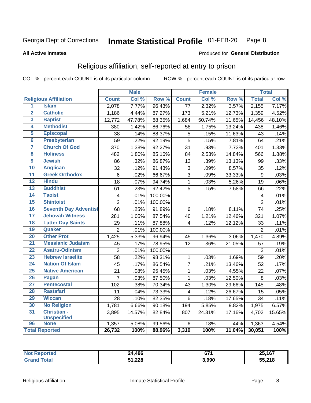#### Inmate Statistical Profile 01-FEB-20 Page 8

### **All Active Inmates**

### Produced for General Distribution

### Religious affiliation, self-reported at entry to prison

COL % - percent each COUNT is of its particular column

|                         |                              |                         | <b>Male</b> |         |                         | <b>Female</b> |                  |                | <b>Total</b> |
|-------------------------|------------------------------|-------------------------|-------------|---------|-------------------------|---------------|------------------|----------------|--------------|
|                         | <b>Religious Affiliation</b> | <b>Count</b>            | Col %       | Row %   | <b>Count</b>            | Col %         | Row <sup>%</sup> | <b>Total</b>   | Col %        |
| $\overline{1}$          | <b>Islam</b>                 | 2,078                   | 7.77%       | 96.43%  | 77                      | 2.32%         | 3.57%            | 2,155          | 7.17%        |
| $\overline{2}$          | <b>Catholic</b>              | 1,186                   | 4.44%       | 87.27%  | 173                     | 5.21%         | 12.73%           | 1,359          | 4.52%        |
| 3                       | <b>Baptist</b>               | 12,772                  | 47.78%      | 88.35%  | 1,684                   | 50.74%        | 11.65%           | 14,456         | 48.10%       |
| 4                       | <b>Methodist</b>             | 380                     | 1.42%       | 86.76%  | 58                      | 1.75%         | 13.24%           | 438            | 1.46%        |
| 5                       | <b>Episcopal</b>             | 38                      | .14%        | 88.37%  | 5                       | .15%          | 11.63%           | 43             | .14%         |
| $\overline{\bf{6}}$     | <b>Presbyterian</b>          | 59                      | .22%        | 92.19%  | $\overline{5}$          | .15%          | 7.81%            | 64             | .21%         |
| 7                       | <b>Church Of God</b>         | 370                     | 1.38%       | 92.27%  | 31                      | .93%          | 7.73%            | 401            | 1.33%        |
| $\overline{\mathbf{8}}$ | <b>Holiness</b>              | 482                     | 1.80%       | 85.16%  | 84                      | 2.53%         | 14.84%           | 566            | 1.88%        |
| $\overline{9}$          | <b>Jewish</b>                | 86                      | .32%        | 86.87%  | 13                      | .39%          | 13.13%           | 99             | .33%         |
| 10                      | <b>Anglican</b>              | 32                      | .12%        | 91.43%  | 3                       | .09%          | 8.57%            | 35             | .12%         |
| $\overline{11}$         | <b>Greek Orthodox</b>        | $\,6$                   | .02%        | 66.67%  | $\overline{3}$          | .09%          | 33.33%           | 9              | .03%         |
| 12                      | <b>Hindu</b>                 | 18                      | .07%        | 94.74%  | $\mathbf{1}$            | .03%          | 5.26%            | 19             | .06%         |
| 13                      | <b>Buddhist</b>              | 61                      | .23%        | 92.42%  | 5                       | .15%          | 7.58%            | 66             | .22%         |
| 14                      | <b>Taoist</b>                | $\overline{\mathbf{4}}$ | .01%        | 100.00% |                         |               |                  | 4              | .01%         |
| 15                      | <b>Shintoist</b>             | $\overline{2}$          | .01%        | 100.00% |                         |               |                  | $\overline{2}$ | .01%         |
| 16                      | <b>Seventh Day Adventist</b> | 68                      | .25%        | 91.89%  | 6                       | .18%          | 8.11%            | 74             | .25%         |
| 17                      | <b>Jehovah Witness</b>       | 281                     | 1.05%       | 87.54%  | 40                      | 1.21%         | 12.46%           | 321            | 1.07%        |
| 18                      | <b>Latter Day Saints</b>     | 29                      | .11%        | 87.88%  | 4                       | .12%          | 12.12%           | 33             | .11%         |
| 19                      | Quaker                       | $\overline{2}$          | .01%        | 100.00% |                         |               |                  | $\overline{2}$ | .01%         |
| 20                      | <b>Other Prot</b>            | 1,425                   | 5.33%       | 96.94%  | 45                      | 1.36%         | 3.06%            | 1,470          | 4.89%        |
| $\overline{21}$         | <b>Messianic Judaism</b>     | 45                      | .17%        | 78.95%  | 12                      | .36%          | 21.05%           | 57             | .19%         |
| 22                      | <b>Asatru-Odinism</b>        | 3                       | .01%        | 100.00% |                         |               |                  | 3              | .01%         |
| 23                      | <b>Hebrew Israelite</b>      | $\overline{58}$         | .22%        | 98.31%  | $\mathbf{1}$            | .03%          | 1.69%            | 59             | .20%         |
| 24                      | <b>Nation Of Islam</b>       | 45                      | .17%        | 86.54%  | $\overline{7}$          | .21%          | 13.46%           | 52             | .17%         |
| 25                      | <b>Native American</b>       | $\overline{21}$         | .08%        | 95.45%  | $\mathbf{1}$            | .03%          | 4.55%            | 22             | .07%         |
| 26                      | <b>Pagan</b>                 | $\overline{7}$          | .03%        | 87.50%  | $\mathbf{1}$            | .03%          | 12.50%           | 8              | .03%         |
| 27                      | <b>Pentecostal</b>           | 102                     | .38%        | 70.34%  | 43                      | 1.30%         | 29.66%           | 145            | .48%         |
| 28                      | <b>Rastafari</b>             | 11                      | .04%        | 73.33%  | $\overline{\mathbf{4}}$ | .12%          | 26.67%           | 15             | .05%         |
| 29                      | <b>Wiccan</b>                | 28                      | .10%        | 82.35%  | 6                       | .18%          | 17.65%           | 34             | .11%         |
| 30                      | <b>No Religion</b>           | 1,781                   | 6.66%       | 90.18%  | 194                     | 5.85%         | 9.82%            | 1,975          | 6.57%        |
| 31                      | Christian -                  | 3,895                   | 14.57%      | 82.84%  | 807                     | 24.31%        | 17.16%           | 4,702          | 15.65%       |
|                         | <b>Unspecified</b>           |                         |             |         |                         |               |                  |                |              |
| 96                      | <b>None</b>                  | 1,357                   | 5.08%       | 99.56%  | 6                       | .18%          | .44%             | 1,363          | 4.54%        |
|                         | <b>Total Reported</b>        | 26,732                  | 100%        | 88.96%  | 3,319                   | 100%          | 11.04%           | 30,051         | 100%         |

| <u>rtea</u> | 24,496       | $\sim$<br>07 | 25,167<br>- ה<br><u>. J. 7</u> |
|-------------|--------------|--------------|--------------------------------|
|             | 51,228<br>E4 | 3,990        | 55.218                         |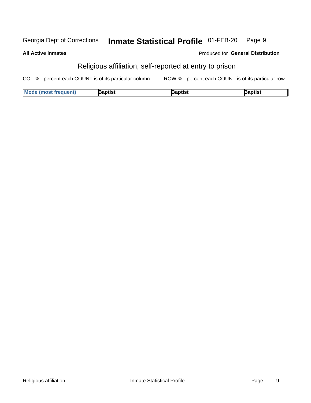#### Inmate Statistical Profile 01-FEB-20 Page 9 Georgia Dept of Corrections

| <b>All Active Inmates</b> | <b>Produced for General Distribution</b>                |
|---------------------------|---------------------------------------------------------|
|                           | Religious affiliation, self-reported at entry to prison |

COL % - percent each COUNT is of its particular column ROW % - percent each COUNT is of its particular row

| Mode (most frequent) | `าptist | łaptist | <b>Raptist</b> |
|----------------------|---------|---------|----------------|
|----------------------|---------|---------|----------------|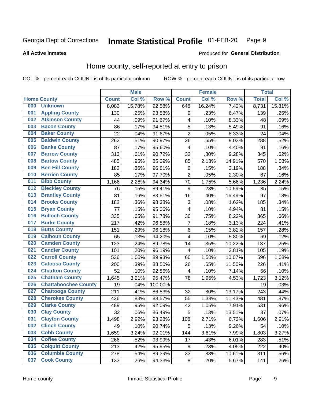#### Inmate Statistical Profile 01-FEB-20 Page 9

### **All Active Inmates**

### Produced for General Distribution

### Home county, self-reported at entry to prison

COL % - percent each COUNT is of its particular column

|     |                             |                  | <b>Male</b> |         |                | <b>Female</b> |        | <b>Total</b> |        |
|-----|-----------------------------|------------------|-------------|---------|----------------|---------------|--------|--------------|--------|
|     | <b>Home County</b>          | <b>Count</b>     | Col %       | Row %   | <b>Count</b>   | Col %         | Row %  | <b>Total</b> | Col %  |
| 000 | <b>Unknown</b>              | 8,083            | 15.78%      | 92.58%  | 648            | 16.24%        | 7.42%  | 8,731        | 15.81% |
| 001 | <b>Appling County</b>       | 130              | .25%        | 93.53%  | 9              | .23%          | 6.47%  | 139          | .25%   |
| 002 | <b>Atkinson County</b>      | 44               | .09%        | 91.67%  | 4              | .10%          | 8.33%  | 48           | .09%   |
| 003 | <b>Bacon County</b>         | 86               | .17%        | 94.51%  | 5              | .13%          | 5.49%  | 91           | .16%   |
| 004 | <b>Baker County</b>         | 22               | .04%        | 91.67%  | $\overline{2}$ | .05%          | 8.33%  | 24           | .04%   |
| 005 | <b>Baldwin County</b>       | 262              | .51%        | 90.97%  | 26             | .65%          | 9.03%  | 288          | .52%   |
| 006 | <b>Banks County</b>         | 87               | .17%        | 95.60%  | $\overline{4}$ | .10%          | 4.40%  | 91           | .16%   |
| 007 | <b>Barrow County</b>        | $\overline{3}13$ | .61%        | 90.72%  | 32             | .80%          | 9.28%  | 345          | .62%   |
| 008 | <b>Bartow County</b>        | 485              | .95%        | 85.09%  | 85             | 2.13%         | 14.91% | 570          | 1.03%  |
| 009 | <b>Ben Hill County</b>      | 182              | .36%        | 96.81%  | 6              | .15%          | 3.19%  | 188          | .34%   |
| 010 | <b>Berrien County</b>       | 85               | .17%        | 97.70%  | $\overline{2}$ | .05%          | 2.30%  | 87           | .16%   |
| 011 | <b>Bibb County</b>          | 1,166            | 2.28%       | 94.34%  | 70             | 1.75%         | 5.66%  | 1,236        | 2.24%  |
| 012 | <b>Bleckley County</b>      | 76               | .15%        | 89.41%  | 9              | .23%          | 10.59% | 85           | .15%   |
| 013 | <b>Brantley County</b>      | 81               | .16%        | 83.51%  | 16             | .40%          | 16.49% | 97           | .18%   |
| 014 | <b>Brooks County</b>        | 182              | .36%        | 98.38%  | $\mathbf{3}$   | .08%          | 1.62%  | 185          | .34%   |
| 015 | <b>Bryan County</b>         | 77               | .15%        | 95.06%  | 4              | .10%          | 4.94%  | 81           | .15%   |
| 016 | <b>Bulloch County</b>       | 335              | .65%        | 91.78%  | 30             | .75%          | 8.22%  | 365          | .66%   |
| 017 | <b>Burke County</b>         | 217              | .42%        | 96.88%  | 7              | .18%          | 3.13%  | 224          | .41%   |
| 018 | <b>Butts County</b>         | 151              | .29%        | 96.18%  | $\,6$          | .15%          | 3.82%  | 157          | .28%   |
| 019 | <b>Calhoun County</b>       | 65               | .13%        | 94.20%  | 4              | .10%          | 5.80%  | 69           | .12%   |
| 020 | <b>Camden County</b>        | 123              | .24%        | 89.78%  | 14             | .35%          | 10.22% | 137          | .25%   |
| 021 | <b>Candler County</b>       | 101              | .20%        | 96.19%  | 4              | .10%          | 3.81%  | 105          | .19%   |
| 022 | <b>Carroll County</b>       | 536              | 1.05%       | 89.93%  | 60             | 1.50%         | 10.07% | 596          | 1.08%  |
| 023 | <b>Catoosa County</b>       | 200              | .39%        | 88.50%  | 26             | .65%          | 11.50% | 226          | .41%   |
| 024 | <b>Charlton County</b>      | 52               | .10%        | 92.86%  | 4              | .10%          | 7.14%  | 56           | .10%   |
| 025 | <b>Chatham County</b>       | 1,645            | 3.21%       | 95.47%  | 78             | 1.95%         | 4.53%  | 1,723        | 3.12%  |
| 026 | <b>Chattahoochee County</b> | 19               | .04%        | 100.00% |                |               |        | 19           | .03%   |
| 027 | <b>Chattooga County</b>     | $\overline{2}11$ | .41%        | 86.83%  | 32             | .80%          | 13.17% | 243          | .44%   |
| 028 | <b>Cherokee County</b>      | 426              | .83%        | 88.57%  | 55             | 1.38%         | 11.43% | 481          | .87%   |
| 029 | <b>Clarke County</b>        | 489              | .95%        | 92.09%  | 42             | 1.05%         | 7.91%  | 531          | .96%   |
| 030 | <b>Clay County</b>          | 32               | .06%        | 86.49%  | $\overline{5}$ | .13%          | 13.51% | 37           | .07%   |
| 031 | <b>Clayton County</b>       | 1,498            | 2.92%       | 93.28%  | 108            | 2.71%         | 6.72%  | 1,606        | 2.91%  |
| 032 | <b>Clinch County</b>        | 49               | .10%        | 90.74%  | 5              | .13%          | 9.26%  | 54           | .10%   |
| 033 | <b>Cobb County</b>          | 1,659            | 3.24%       | 92.01%  | 144            | 3.61%         | 7.99%  | 1,803        | 3.27%  |
| 034 | <b>Coffee County</b>        | 266              | .52%        | 93.99%  | 17             | .43%          | 6.01%  | 283          | .51%   |
| 035 | <b>Colquitt County</b>      | 213              | .42%        | 95.95%  | 9              | .23%          | 4.05%  | 222          | .40%   |
| 036 | <b>Columbia County</b>      | 278              | .54%        | 89.39%  | 33             | .83%          | 10.61% | 311          | .56%   |
| 037 | <b>Cook County</b>          | 133              | .26%        | 94.33%  | $\bf 8$        | .20%          | 5.67%  | 141          | .26%   |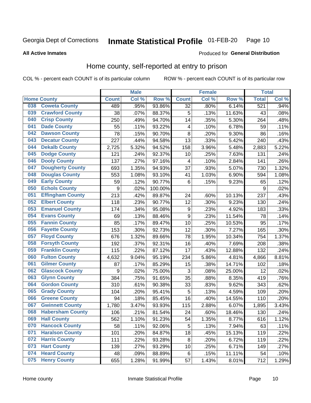#### Inmate Statistical Profile 01-FEB-20 Page 10

**All Active Inmates** 

### Produced for General Distribution

### Home county, self-reported at entry to prison

COL % - percent each COUNT is of its particular column

|     |                         |                  | <b>Male</b> |         |                         | <b>Female</b> |        | <b>Total</b> |       |
|-----|-------------------------|------------------|-------------|---------|-------------------------|---------------|--------|--------------|-------|
|     | <b>Home County</b>      | <b>Count</b>     | Col %       | Row %   | <b>Count</b>            | Col %         | Row %  | <b>Total</b> | Col % |
| 038 | <b>Coweta County</b>    | 489              | .95%        | 93.86%  | $\overline{32}$         | .80%          | 6.14%  | 521          | .94%  |
| 039 | <b>Crawford County</b>  | 38               | .07%        | 88.37%  | 5                       | .13%          | 11.63% | 43           | .08%  |
| 040 | <b>Crisp County</b>     | 250              | .49%        | 94.70%  | 14                      | .35%          | 5.30%  | 264          | .48%  |
| 041 | <b>Dade County</b>      | 55               | .11%        | 93.22%  | $\overline{\mathbf{4}}$ | .10%          | 6.78%  | 59           | .11%  |
| 042 | <b>Dawson County</b>    | 78               | .15%        | 90.70%  | 8                       | .20%          | 9.30%  | 86           | .16%  |
| 043 | <b>Decatur County</b>   | 227              | .44%        | 94.58%  | 13                      | .33%          | 5.42%  | 240          | .43%  |
| 044 | <b>Dekalb County</b>    | 2,725            | 5.32%       | 94.52%  | 158                     | 3.96%         | 5.48%  | 2,883        | 5.22% |
| 045 | <b>Dodge County</b>     | 121              | .24%        | 92.37%  | 10                      | .25%          | 7.63%  | 131          | .24%  |
| 046 | <b>Dooly County</b>     | 137              | .27%        | 97.16%  | 4                       | .10%          | 2.84%  | 141          | .26%  |
| 047 | <b>Dougherty County</b> | 693              | 1.35%       | 94.93%  | 37                      | .93%          | 5.07%  | 730          | 1.32% |
| 048 | <b>Douglas County</b>   | 553              | 1.08%       | 93.10%  | 41                      | 1.03%         | 6.90%  | 594          | 1.08% |
| 049 | <b>Early County</b>     | 59               | .12%        | 90.77%  | $6\phantom{1}6$         | .15%          | 9.23%  | 65           | .12%  |
| 050 | <b>Echols County</b>    | 9                | .02%        | 100.00% |                         |               |        | 9            | .02%  |
| 051 | <b>Effingham County</b> | 213              | .42%        | 89.87%  | 24                      | .60%          | 10.13% | 237          | .43%  |
| 052 | <b>Elbert County</b>    | 118              | .23%        | 90.77%  | 12                      | .30%          | 9.23%  | 130          | .24%  |
| 053 | <b>Emanuel County</b>   | 174              | .34%        | 95.08%  | $\boldsymbol{9}$        | .23%          | 4.92%  | 183          | .33%  |
| 054 | <b>Evans County</b>     | 69               | .13%        | 88.46%  | $\boldsymbol{9}$        | .23%          | 11.54% | 78           | .14%  |
| 055 | <b>Fannin County</b>    | 85               | .17%        | 89.47%  | 10                      | .25%          | 10.53% | 95           | .17%  |
| 056 | <b>Fayette County</b>   | 153              | .30%        | 92.73%  | 12                      | .30%          | 7.27%  | 165          | .30%  |
| 057 | <b>Floyd County</b>     | 676              | 1.32%       | 89.66%  | 78                      | 1.95%         | 10.34% | 754          | 1.37% |
| 058 | <b>Forsyth County</b>   | 192              | .37%        | 92.31%  | 16                      | .40%          | 7.69%  | 208          | .38%  |
| 059 | <b>Franklin County</b>  | 115              | .22%        | 87.12%  | 17                      | .43%          | 12.88% | 132          | .24%  |
| 060 | <b>Fulton County</b>    | 4,632            | 9.04%       | 95.19%  | 234                     | 5.86%         | 4.81%  | 4,866        | 8.81% |
| 061 | <b>Gilmer County</b>    | 87               | .17%        | 85.29%  | 15                      | .38%          | 14.71% | 102          | .18%  |
| 062 | <b>Glascock County</b>  | $\boldsymbol{9}$ | .02%        | 75.00%  | 3                       | .08%          | 25.00% | 12           | .02%  |
| 063 | <b>Glynn County</b>     | 384              | .75%        | 91.65%  | 35                      | .88%          | 8.35%  | 419          | .76%  |
| 064 | <b>Gordon County</b>    | 310              | .61%        | 90.38%  | 33                      | .83%          | 9.62%  | 343          | .62%  |
| 065 | <b>Grady County</b>     | 104              | .20%        | 95.41%  | 5                       | .13%          | 4.59%  | 109          | .20%  |
| 066 | <b>Greene County</b>    | 94               | .18%        | 85.45%  | 16                      | .40%          | 14.55% | 110          | .20%  |
| 067 | <b>Gwinnett County</b>  | 1,780            | 3.47%       | 93.93%  | 115                     | 2.88%         | 6.07%  | 1,895        | 3.43% |
| 068 | <b>Habersham County</b> | 106              | .21%        | 81.54%  | 24                      | .60%          | 18.46% | 130          | .24%  |
| 069 | <b>Hall County</b>      | 562              | 1.10%       | 91.23%  | 54                      | 1.35%         | 8.77%  | 616          | 1.12% |
| 070 | <b>Hancock County</b>   | 58               | .11%        | 92.06%  | 5                       | .13%          | 7.94%  | 63           | .11%  |
| 071 | <b>Haralson County</b>  | 101              | .20%        | 84.87%  | 18                      | .45%          | 15.13% | 119          | .22%  |
| 072 | <b>Harris County</b>    | 111              | .22%        | 93.28%  | 8                       | .20%          | 6.72%  | 119          | .22%  |
| 073 | <b>Hart County</b>      | 139              | .27%        | 93.29%  | 10                      | .25%          | 6.71%  | 149          | .27%  |
| 074 | <b>Heard County</b>     | 48               | .09%        | 88.89%  | $\,6$                   | .15%          | 11.11% | 54           | .10%  |
| 075 | <b>Henry County</b>     | 655              | 1.28%       | 91.99%  | 57                      | 1.43%         | 8.01%  | 712          | 1.29% |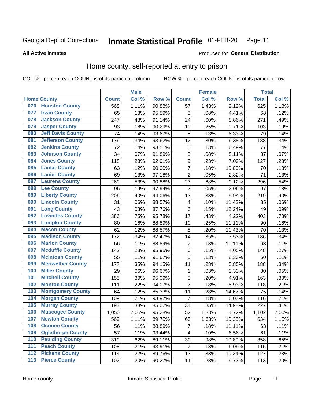#### **Inmate Statistical Profile 01-FEB-20** Page 11

#### **All Active Inmates**

### Produced for General Distribution

### Home county, self-reported at entry to prison

COL % - percent each COUNT is of its particular column

|                  |                          |              | <b>Male</b> |                  |                         | <b>Female</b> |        | <b>Total</b> |       |
|------------------|--------------------------|--------------|-------------|------------------|-------------------------|---------------|--------|--------------|-------|
|                  | <b>Home County</b>       | <b>Count</b> | Col %       | Row <sup>%</sup> | <b>Count</b>            | Col %         | Row %  | <b>Total</b> | Col % |
| 076              | <b>Houston County</b>    | 568          | 1.11%       | 90.88%           | 57                      | 1.43%         | 9.12%  | 625          | 1.13% |
| 077              | <b>Irwin County</b>      | 65           | .13%        | 95.59%           | 3                       | .08%          | 4.41%  | 68           | .12%  |
| 078              | <b>Jackson County</b>    | 247          | .48%        | 91.14%           | 24                      | .60%          | 8.86%  | 271          | .49%  |
| 079              | <b>Jasper County</b>     | 93           | .18%        | 90.29%           | 10                      | .25%          | 9.71%  | 103          | .19%  |
| 080              | <b>Jeff Davis County</b> | 74           | .14%        | 93.67%           | 5                       | .13%          | 6.33%  | 79           | .14%  |
| 081              | <b>Jefferson County</b>  | 176          | .34%        | 93.62%           | 12                      | .30%          | 6.38%  | 188          | .34%  |
| 082              | <b>Jenkins County</b>    | 72           | .14%        | 93.51%           | 5                       | .13%          | 6.49%  | 77           | .14%  |
| 083              | <b>Johnson County</b>    | 34           | .07%        | 91.89%           | 3                       | .08%          | 8.11%  | 37           | .07%  |
| 084              | <b>Jones County</b>      | 118          | .23%        | 92.91%           | 9                       | .23%          | 7.09%  | 127          | .23%  |
| 085              | <b>Lamar County</b>      | 63           | .12%        | 90.00%           | $\overline{7}$          | .18%          | 10.00% | 70           | .13%  |
| 086              | <b>Lanier County</b>     | 69           | .13%        | 97.18%           | $\overline{2}$          | .05%          | 2.82%  | 71           | .13%  |
| 087              | <b>Laurens County</b>    | 269          | .53%        | 90.88%           | 27                      | .68%          | 9.12%  | 296          | .54%  |
| 088              | <b>Lee County</b>        | 95           | .19%        | 97.94%           | $\overline{2}$          | .05%          | 2.06%  | 97           | .18%  |
| 089              | <b>Liberty County</b>    | 206          | .40%        | 94.06%           | 13                      | .33%          | 5.94%  | 219          | .40%  |
| 090              | <b>Lincoln County</b>    | 31           | .06%        | 88.57%           | $\overline{\mathbf{4}}$ | .10%          | 11.43% | 35           | .06%  |
| 091              | <b>Long County</b>       | 43           | .08%        | 87.76%           | 6                       | .15%          | 12.24% | 49           | .09%  |
| 092              | <b>Lowndes County</b>    | 386          | .75%        | 95.78%           | 17                      | .43%          | 4.22%  | 403          | .73%  |
| 093              | <b>Lumpkin County</b>    | 80           | .16%        | 88.89%           | 10                      | .25%          | 11.11% | 90           | .16%  |
| 094              | <b>Macon County</b>      | 62           | .12%        | 88.57%           | 8                       | .20%          | 11.43% | 70           | .13%  |
| 095              | <b>Madison County</b>    | 172          | .34%        | 92.47%           | 14                      | .35%          | 7.53%  | 186          | .34%  |
| 096              | <b>Marion County</b>     | 56           | .11%        | 88.89%           | 7                       | .18%          | 11.11% | 63           | .11%  |
| 097              | <b>Mcduffie County</b>   | 142          | .28%        | 95.95%           | 6                       | .15%          | 4.05%  | 148          | .27%  |
| 098              | <b>Mcintosh County</b>   | 55           | .11%        | 91.67%           | 5                       | .13%          | 8.33%  | 60           | .11%  |
| 099              | <b>Meriwether County</b> | 177          | .35%        | 94.15%           | 11                      | .28%          | 5.85%  | 188          | .34%  |
| 100              | <b>Miller County</b>     | 29           | .06%        | 96.67%           | 1                       | .03%          | 3.33%  | 30           | .05%  |
| 101              | <b>Mitchell County</b>   | 155          | .30%        | 95.09%           | 8                       | .20%          | 4.91%  | 163          | .30%  |
| 102              | <b>Monroe County</b>     | 111          | .22%        | 94.07%           | $\overline{7}$          | .18%          | 5.93%  | 118          | .21%  |
| 103              | <b>Montgomery County</b> | 64           | .12%        | 85.33%           | 11                      | .28%          | 14.67% | 75           | .14%  |
| 104              | <b>Morgan County</b>     | 109          | .21%        | 93.97%           | 7                       | .18%          | 6.03%  | 116          | .21%  |
| 105              | <b>Murray County</b>     | 193          | .38%        | 85.02%           | 34                      | .85%          | 14.98% | 227          | .41%  |
| 106              | <b>Muscogee County</b>   | 1,050        | 2.05%       | 95.28%           | 52                      | 1.30%         | 4.72%  | 1,102        | 2.00% |
| 107              | <b>Newton County</b>     | 569          | 1.11%       | 89.75%           | 65                      | 1.63%         | 10.25% | 634          | 1.15% |
| 108              | <b>Oconee County</b>     | 56           | .11%        | 88.89%           | 7                       | .18%          | 11.11% | 63           | .11%  |
| 109              | <b>Oglethorpe County</b> | 57           | .11%        | 93.44%           | 4                       | .10%          | 6.56%  | 61           | .11%  |
| 110              | <b>Paulding County</b>   | 319          | .62%        | 89.11%           | 39                      | .98%          | 10.89% | 358          | .65%  |
| 111              | <b>Peach County</b>      | 108          | .21%        | 93.91%           | $\overline{7}$          | .18%          | 6.09%  | 115          | .21%  |
| $\overline{112}$ | <b>Pickens County</b>    | 114          | .22%        | 89.76%           | 13                      | .33%          | 10.24% | 127          | .23%  |
| 113              | <b>Pierce County</b>     | 102          | .20%        | 90.27%           | 11                      | .28%          | 9.73%  | 113          | .20%  |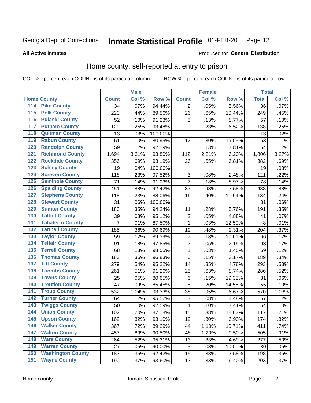#### Inmate Statistical Profile 01-FEB-20 Page 12

**All Active Inmates** 

### Produced for General Distribution

### Home county, self-reported at entry to prison

COL % - percent each COUNT is of its particular column

|                  |                          |              | <b>Male</b> |         |                         | <b>Female</b> |        | <b>Total</b>    |       |
|------------------|--------------------------|--------------|-------------|---------|-------------------------|---------------|--------|-----------------|-------|
|                  | <b>Home County</b>       | <b>Count</b> | Col %       | Row %   | <b>Count</b>            | Col %         | Row %  | <b>Total</b>    | Col % |
| 114              | <b>Pike County</b>       | 34           | .07%        | 94.44%  | $\overline{2}$          | .05%          | 5.56%  | $\overline{36}$ | .07%  |
| $\overline{115}$ | <b>Polk County</b>       | 223          | .44%        | 89.56%  | 26                      | .65%          | 10.44% | 249             | .45%  |
| 116              | <b>Pulaski County</b>    | 52           | .10%        | 91.23%  | $\sqrt{5}$              | .13%          | 8.77%  | 57              | .10%  |
| 117              | <b>Putnam County</b>     | 129          | .25%        | 93.48%  | 9                       | .23%          | 6.52%  | 138             | .25%  |
| 118              | <b>Quitman County</b>    | 13           | .03%        | 100.00% |                         |               |        | 13              | .02%  |
| 119              | <b>Rabun County</b>      | 51           | .10%        | 80.95%  | 12                      | .30%          | 19.05% | 63              | .11%  |
| 120              | <b>Randolph County</b>   | 59           | .12%        | 92.19%  | 5                       | .13%          | 7.81%  | 64              | .12%  |
| 121              | <b>Richmond County</b>   | 1,694        | 3.31%       | 93.80%  | 112                     | 2.81%         | 6.20%  | 1,806           | 3.27% |
| 122              | <b>Rockdale County</b>   | 356          | .69%        | 93.19%  | 26                      | .65%          | 6.81%  | 382             | .69%  |
| 123              | <b>Schley County</b>     | 19           | .04%        | 100.00% |                         |               |        | 19              | .03%  |
| 124              | <b>Screven County</b>    | 118          | .23%        | 97.52%  | 3                       | .08%          | 2.48%  | 121             | .22%  |
| 125              | <b>Seminole County</b>   | 71           | .14%        | 91.03%  | $\overline{7}$          | .18%          | 8.97%  | 78              | .14%  |
| 126              | <b>Spalding County</b>   | 451          | .88%        | 92.42%  | 37                      | .93%          | 7.58%  | 488             | .88%  |
| 127              | <b>Stephens County</b>   | 118          | .23%        | 88.06%  | 16                      | .40%          | 11.94% | 134             | .24%  |
| 128              | <b>Stewart County</b>    | 31           | .06%        | 100.00% |                         |               |        | 31              | .06%  |
| 129              | <b>Sumter County</b>     | 180          | .35%        | 94.24%  | 11                      | .28%          | 5.76%  | 191             | .35%  |
| 130              | <b>Talbot County</b>     | 39           | .08%        | 95.12%  | $\overline{c}$          | .05%          | 4.88%  | 41              | .07%  |
| 131              | <b>Taliaferro County</b> | 7            | .01%        | 87.50%  | $\mathbf 1$             | .03%          | 12.50% | 8               | .01%  |
| 132              | <b>Tattnall County</b>   | 185          | .36%        | 90.69%  | 19                      | .48%          | 9.31%  | 204             | .37%  |
| 133              | <b>Taylor County</b>     | 59           | .12%        | 89.39%  | $\overline{7}$          | .18%          | 10.61% | 66              | .12%  |
| 134              | <b>Telfair County</b>    | 91           | .18%        | 97.85%  | $\overline{2}$          | .05%          | 2.15%  | 93              | .17%  |
| 135              | <b>Terrell County</b>    | 68           | .13%        | 98.55%  | $\mathbf{1}$            | .03%          | 1.45%  | 69              | .12%  |
| 136              | <b>Thomas County</b>     | 183          | .36%        | 96.83%  | $\,6$                   | .15%          | 3.17%  | 189             | .34%  |
| 137              | <b>Tift County</b>       | 279          | .54%        | 95.22%  | 14                      | .35%          | 4.78%  | 293             | .53%  |
| 138              | <b>Toombs County</b>     | 261          | .51%        | 91.26%  | 25                      | .63%          | 8.74%  | 286             | .52%  |
| 139              | <b>Towns County</b>      | 25           | .05%        | 80.65%  | $\,6$                   | .15%          | 19.35% | 31              | .06%  |
| 140              | <b>Treutlen County</b>   | 47           | .09%        | 85.45%  | $\bf 8$                 | .20%          | 14.55% | 55              | .10%  |
| 141              | <b>Troup County</b>      | 532          | 1.04%       | 93.33%  | 38                      | .95%          | 6.67%  | 570             | 1.03% |
| $\overline{142}$ | <b>Turner County</b>     | 64           | .12%        | 95.52%  | 3                       | .08%          | 4.48%  | 67              | .12%  |
| 143              | <b>Twiggs County</b>     | 50           | .10%        | 92.59%  | $\overline{\mathbf{4}}$ | .10%          | 7.41%  | 54              | .10%  |
| 144              | <b>Union County</b>      | 102          | .20%        | 87.18%  | 15                      | .38%          | 12.82% | 117             | .21%  |
| 145              | <b>Upson County</b>      | 162          | .32%        | 93.10%  | 12                      | .30%          | 6.90%  | 174             | .32%  |
| 146              | <b>Walker County</b>     | 367          | .72%        | 89.29%  | 44                      | 1.10%         | 10.71% | 411             | .74%  |
| 147              | <b>Walton County</b>     | 457          | .89%        | 90.50%  | 48                      | 1.20%         | 9.50%  | 505             | .91%  |
| 148              | <b>Ware County</b>       | 264          | .52%        | 95.31%  | 13                      | .33%          | 4.69%  | 277             | .50%  |
| 149              | <b>Warren County</b>     | 27           | .05%        | 90.00%  | 3                       | .08%          | 10.00% | 30              | .05%  |
| 150              | <b>Washington County</b> | 183          | .36%        | 92.42%  | 15                      | .38%          | 7.58%  | 198             | .36%  |
| 151              | <b>Wayne County</b>      | 190          | .37%        | 93.60%  | 13                      | .33%          | 6.40%  | 203             | .37%  |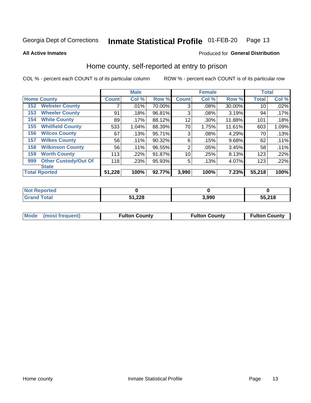#### Inmate Statistical Profile 01-FEB-20 Page 13

### **All Active Inmates**

### Produced for General Distribution

### Home county, self-reported at entry to prison

COL % - percent each COUNT is of its particular column

|                    |                             |              | <b>Male</b> |        |              | <b>Female</b> |        | <b>Total</b> |       |
|--------------------|-----------------------------|--------------|-------------|--------|--------------|---------------|--------|--------------|-------|
| <b>Home County</b> |                             | <b>Count</b> | Col %       | Row %  | <b>Count</b> | Col %         | Row %  | <b>Total</b> | Col % |
| 152                | <b>Webster County</b>       | 7            | .01%        | 70.00% | 3            | .08%          | 30.00% | 10           | .02%  |
| 153                | <b>Wheeler County</b>       | 91           | .18%        | 96.81% | 3            | .08%          | 3.19%  | 94           | .17%  |
| 154                | <b>White County</b>         | 89           | .17%        | 88.12% | 12           | .30%          | 11.88% | 101          | .18%  |
| 155                | <b>Whitfield County</b>     | 533          | 1.04%       | 88.39% | 70           | 1.75%         | 11.61% | 603          | 1.09% |
| 156                | <b>Wilcox County</b>        | 67           | .13%        | 95.71% | 3            | .08%          | 4.29%  | 70           | .13%  |
| 157                | <b>Wilkes County</b>        | 56           | .11%        | 90.32% | 6            | .15%          | 9.68%  | 62           | .11%  |
| 158                | <b>Wilkinson County</b>     | 56           | .11%        | 96.55% | 2            | .05%          | 3.45%  | 58           | .11%  |
| 159                | <b>Worth County</b>         | 113          | .22%        | 91.87% | 10           | .25%          | 8.13%  | 123          | .22%  |
| 999                | <b>Other Custody/Out Of</b> | 118          | .23%        | 95.93% | 5            | .13%          | 4.07%  | 123          | .22%  |
|                    | <b>State</b>                |              |             |        |              |               |        |              |       |
|                    | <b>Total Rported</b>        | 51,228       | 100%        | 92.77% | 3,990        | 100%          | 7.23%  | 55,218       | 100%  |

| 'Not<br><b>Reported</b> |               |       |        |
|-------------------------|---------------|-------|--------|
| <b>Total</b>            | 51,228<br>E4. | 3.990 | 55,218 |

|  | Mode (most frequent) | <b>Fulton County</b> | <b>Fulton County</b> | <b>Fulton County</b> |
|--|----------------------|----------------------|----------------------|----------------------|
|--|----------------------|----------------------|----------------------|----------------------|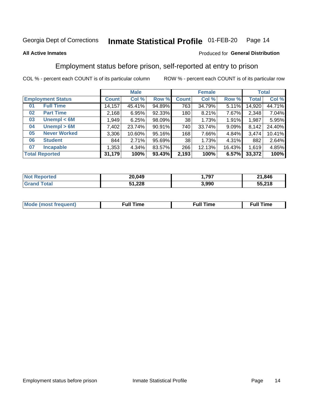#### Inmate Statistical Profile 01-FEB-20 Page 14

### **All Active Inmates**

### Produced for General Distribution

### Employment status before prison, self-reported at entry to prison

COL % - percent each COUNT is of its particular column

|                           | <b>Male</b><br><b>Female</b> |        |        | <b>Total</b> |        |          |              |        |
|---------------------------|------------------------------|--------|--------|--------------|--------|----------|--------------|--------|
| <b>Employment Status</b>  | <b>Count</b>                 | Col %  | Row %  | <b>Count</b> | Col %  | Row %    | <b>Total</b> | Col %  |
| <b>Full Time</b><br>01    | 14,157                       | 45.41% | 94.89% | 763          | 34.79% | $5.11\%$ | 14,920       | 44.71% |
| <b>Part Time</b><br>02    | 2,168                        | 6.95%  | 92.33% | 180          | 8.21%  | 7.67%    | 2,348        | 7.04%  |
| Unempl $<$ 6M<br>03       | 1,949                        | 6.25%  | 98.09% | 38           | 1.73%  | 1.91%    | 1,987        | 5.95%  |
| Unempl > 6M<br>04         | 7,402                        | 23.74% | 90.91% | 740          | 33.74% | 9.09%    | 8,142        | 24.40% |
| <b>Never Worked</b><br>05 | 3,306                        | 10.60% | 95.16% | 168          | 7.66%  | 4.84%    | 3,474        | 10.41% |
| <b>Student</b><br>06      | 844                          | 2.71%  | 95.69% | 38           | 1.73%  | 4.31%    | 882          | 2.64%  |
| <b>Incapable</b><br>07    | 1,353                        | 4.34%  | 83.57% | 266          | 12.13% | 16.43%   | 1,619        | 4.85%  |
| <b>Total Reported</b>     | 31,179                       | 100%   | 93.43% | 2,193        | 100%   | 6.57%    | 33,372       | 100%   |

| <b>norteo</b><br>NO. | 20,049 | .797  | 21,846 |
|----------------------|--------|-------|--------|
| int                  | 51,228 | 3,990 | 55,218 |

| Mc | ----<br>me<br>ш | nc<br>. |
|----|-----------------|---------|
|    |                 |         |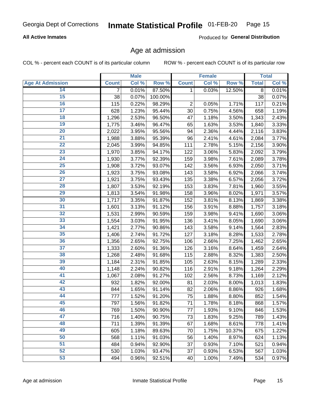### **All Active Inmates**

Produced for General Distribution

### Age at admission

COL % - percent each COUNT is of its particular column

|                         |                | <b>Male</b> |         |              | <b>Female</b> |        |              | <b>Total</b> |
|-------------------------|----------------|-------------|---------|--------------|---------------|--------|--------------|--------------|
| <b>Age At Admission</b> | <b>Count</b>   | Col %       | Row %   | <b>Count</b> | Col %         | Row %  | <b>Total</b> | Col %        |
| 14                      | $\overline{7}$ | 0.01%       | 87.50%  | 1            | 0.03%         | 12.50% | 8            | 0.01%        |
| 15                      | 38             | 0.07%       | 100.00% |              |               |        | 38           | 0.07%        |
| 16                      | 115            | 0.22%       | 98.29%  | $\mathbf 2$  | 0.05%         | 1.71%  | 117          | 0.21%        |
| $\overline{17}$         | 628            | 1.23%       | 95.44%  | 30           | 0.75%         | 4.56%  | 658          | 1.19%        |
| $\overline{18}$         | 1,296          | 2.53%       | 96.50%  | 47           | 1.18%         | 3.50%  | 1,343        | 2.43%        |
| 19                      | 1,775          | 3.46%       | 96.47%  | 65           | 1.63%         | 3.53%  | 1,840        | 3.33%        |
| 20                      | 2,022          | 3.95%       | 95.56%  | 94           | 2.36%         | 4.44%  | 2,116        | 3.83%        |
| $\overline{21}$         | 1,988          | 3.88%       | 95.39%  | 96           | 2.41%         | 4.61%  | 2,084        | 3.77%        |
| $\overline{22}$         | 2,045          | 3.99%       | 94.85%  | 111          | 2.78%         | 5.15%  | 2,156        | 3.90%        |
| 23                      | 1,970          | 3.85%       | 94.17%  | 122          | 3.06%         | 5.83%  | 2,092        | 3.79%        |
| 24                      | 1,930          | 3.77%       | 92.39%  | 159          | 3.98%         | 7.61%  | 2,089        | 3.78%        |
| $\overline{25}$         | 1,908          | 3.72%       | 93.07%  | 142          | 3.56%         | 6.93%  | 2,050        | 3.71%        |
| $\overline{26}$         | 1,923          | 3.75%       | 93.08%  | 143          | 3.58%         | 6.92%  | 2,066        | 3.74%        |
| $\overline{27}$         | 1,921          | 3.75%       | 93.43%  | 135          | 3.38%         | 6.57%  | 2,056        | 3.72%        |
| 28                      | 1,807          | 3.53%       | 92.19%  | 153          | 3.83%         | 7.81%  | 1,960        | 3.55%        |
| 29                      | 1,813          | 3.54%       | 91.98%  | 158          | 3.96%         | 8.02%  | 1,971        | 3.57%        |
| 30                      | 1,717          | 3.35%       | 91.87%  | 152          | 3.81%         | 8.13%  | 1,869        | 3.38%        |
| 31                      | 1,601          | 3.13%       | 91.12%  | 156          | 3.91%         | 8.88%  | 1,757        | 3.18%        |
| 32                      | 1,531          | 2.99%       | 90.59%  | 159          | 3.98%         | 9.41%  | 1,690        | 3.06%        |
| 33                      | 1,554          | 3.03%       | 91.95%  | 136          | 3.41%         | 8.05%  | 1,690        | 3.06%        |
| 34                      | 1,421          | 2.77%       | 90.86%  | 143          | 3.58%         | 9.14%  | 1,564        | 2.83%        |
| 35                      | 1,406          | 2.74%       | 91.72%  | 127          | 3.18%         | 8.28%  | 1,533        | 2.78%        |
| 36                      | 1,356          | 2.65%       | 92.75%  | 106          | 2.66%         | 7.25%  | 1,462        | 2.65%        |
| $\overline{37}$         | 1,333          | 2.60%       | 91.36%  | 126          | 3.16%         | 8.64%  | 1,459        | 2.64%        |
| 38                      | 1,268          | 2.48%       | 91.68%  | 115          | 2.88%         | 8.32%  | 1,383        | 2.50%        |
| 39                      | 1,184          | 2.31%       | 91.85%  | 105          | 2.63%         | 8.15%  | 1,289        | 2.33%        |
| 40                      | 1,148          | 2.24%       | 90.82%  | 116          | 2.91%         | 9.18%  | 1,264        | 2.29%        |
| 41                      | 1,067          | 2.08%       | 91.27%  | 102          | 2.56%         | 8.73%  | 1,169        | 2.12%        |
| 42                      | 932            | 1.82%       | 92.00%  | 81           | 2.03%         | 8.00%  | 1,013        | 1.83%        |
| 43                      | 844            | 1.65%       | 91.14%  | 82           | 2.06%         | 8.86%  | 926          | 1.68%        |
| 44                      | 777            | 1.52%       | 91.20%  | 75           | 1.88%         | 8.80%  | 852          | 1.54%        |
| 45                      | 797            | 1.56%       | 91.82%  | 71           | 1.78%         | 8.18%  | 868          | 1.57%        |
| 46                      | 769            | 1.50%       | 90.90%  | 77           | 1.93%         | 9.10%  | 846          | 1.53%        |
| 47                      | 716            | 1.40%       | 90.75%  | 73           | 1.83%         | 9.25%  | 789          | 1.43%        |
| 48                      | 711            | 1.39%       | 91.39%  | 67           | 1.68%         | 8.61%  | 778          | 1.41%        |
| 49                      | 605            | 1.18%       | 89.63%  | 70           | 1.75%         | 10.37% | 675          | 1.22%        |
| 50                      | 568            | 1.11%       | 91.03%  | 56           | 1.40%         | 8.97%  | 624          | 1.13%        |
| 51                      | 484            | 0.94%       | 92.90%  | 37           | 0.93%         | 7.10%  | 521          | 0.94%        |
| 52                      | 530            | 1.03%       | 93.47%  | 37           | 0.93%         | 6.53%  | 567          | 1.03%        |
| 53                      | 494            | 0.96%       | 92.51%  | 40           | 1.00%         | 7.49%  | 534          | 0.97%        |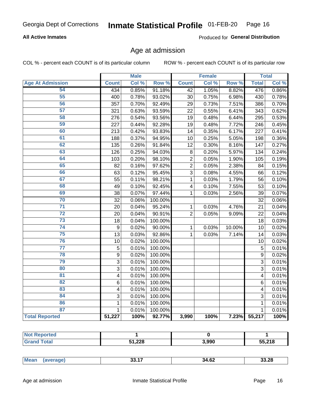### **All Active Inmates**

Produced for General Distribution

### Age at admission

COL % - percent each COUNT is of its particular column

|                         |                         | <b>Male</b> |         |                 | <b>Female</b> |        |                | <b>Total</b> |
|-------------------------|-------------------------|-------------|---------|-----------------|---------------|--------|----------------|--------------|
| <b>Age At Admission</b> | <b>Count</b>            | Col %       | Row %   | <b>Count</b>    | Col %         | Row %  | <b>Total</b>   | Col %        |
| 54                      | 434                     | 0.85%       | 91.18%  | 42              | 1.05%         | 8.82%  | 476            | 0.86%        |
| 55                      | 400                     | 0.78%       | 93.02%  | 30              | 0.75%         | 6.98%  | 430            | 0.78%        |
| 56                      | 357                     | 0.70%       | 92.49%  | 29              | 0.73%         | 7.51%  | 386            | 0.70%        |
| $\overline{57}$         | 321                     | 0.63%       | 93.59%  | 22              | 0.55%         | 6.41%  | 343            | 0.62%        |
| 58                      | 276                     | 0.54%       | 93.56%  | 19              | 0.48%         | 6.44%  | 295            | 0.53%        |
| 59                      | 227                     | 0.44%       | 92.28%  | 19              | 0.48%         | 7.72%  | 246            | 0.45%        |
| 60                      | 213                     | 0.42%       | 93.83%  | 14              | 0.35%         | 6.17%  | 227            | 0.41%        |
| 61                      | 188                     | 0.37%       | 94.95%  | 10              | 0.25%         | 5.05%  | 198            | 0.36%        |
| 62                      | 135                     | 0.26%       | 91.84%  | $\overline{12}$ | 0.30%         | 8.16%  | 147            | 0.27%        |
| 63                      | 126                     | 0.25%       | 94.03%  | 8               | 0.20%         | 5.97%  | 134            | 0.24%        |
| 64                      | 103                     | 0.20%       | 98.10%  | $\overline{c}$  | 0.05%         | 1.90%  | 105            | 0.19%        |
| 65                      | 82                      | 0.16%       | 97.62%  | $\overline{c}$  | 0.05%         | 2.38%  | 84             | 0.15%        |
| 66                      | 63                      | 0.12%       | 95.45%  | $\overline{3}$  | 0.08%         | 4.55%  | 66             | 0.12%        |
| 67                      | 55                      | 0.11%       | 98.21%  | $\mathbf 1$     | 0.03%         | 1.79%  | 56             | 0.10%        |
| 68                      | 49                      | 0.10%       | 92.45%  | 4               | 0.10%         | 7.55%  | 53             | 0.10%        |
| 69                      | 38                      | 0.07%       | 97.44%  | 1               | 0.03%         | 2.56%  | 39             | 0.07%        |
| 70                      | 32                      | 0.06%       | 100.00% |                 |               |        | 32             | 0.06%        |
| $\overline{71}$         | 20                      | 0.04%       | 95.24%  | 1               | 0.03%         | 4.76%  | 21             | 0.04%        |
| $\overline{72}$         | 20                      | 0.04%       | 90.91%  | $\overline{2}$  | 0.05%         | 9.09%  | 22             | 0.04%        |
| 73                      | 18                      | 0.04%       | 100.00% |                 |               |        | 18             | 0.03%        |
| 74                      | 9                       | 0.02%       | 90.00%  | $\mathbf{1}$    | 0.03%         | 10.00% | 10             | 0.02%        |
| 75                      | 13                      | 0.03%       | 92.86%  | 1               | 0.03%         | 7.14%  | 14             | 0.03%        |
| 76                      | 10                      | 0.02%       | 100.00% |                 |               |        | 10             | 0.02%        |
| $\overline{77}$         | 5                       | 0.01%       | 100.00% |                 |               |        | 5              | 0.01%        |
| 78                      | $\overline{9}$          | 0.02%       | 100.00% |                 |               |        | $\overline{9}$ | 0.02%        |
| 79                      | $\overline{3}$          | 0.01%       | 100.00% |                 |               |        | $\overline{3}$ | 0.01%        |
| 80                      | $\overline{3}$          | 0.01%       | 100.00% |                 |               |        | $\overline{3}$ | 0.01%        |
| $\overline{81}$         | $\overline{\mathbf{4}}$ | 0.01%       | 100.00% |                 |               |        | 4              | 0.01%        |
| 82                      | 6                       | 0.01%       | 100.00% |                 |               |        | 6              | 0.01%        |
| 83                      | 4                       | 0.01%       | 100.00% |                 |               |        | 4              | 0.01%        |
| 84                      | 3                       | 0.01%       | 100.00% |                 |               |        | 3              | 0.01%        |
| 86                      | $\mathbf 1$             | 0.01%       | 100.00% |                 |               |        | 1              | 0.01%        |
| 87                      | $\mathbf 1$             | 0.01%       | 100.00% |                 |               |        | $\mathbf{1}$   | 0.01%        |
| <b>Total Reported</b>   | 51,227                  | 100%        | 92.77%  | 3,990           | 100%          | 7.23%  | 55,217         | 100%         |

| пето |        |       |        |
|------|--------|-------|--------|
|      | 51,228 | 3,990 | 55.218 |

| _____<br>$ -$ | Mea. | 33.17 | 34.62 | .28 |
|---------------|------|-------|-------|-----|
|---------------|------|-------|-------|-----|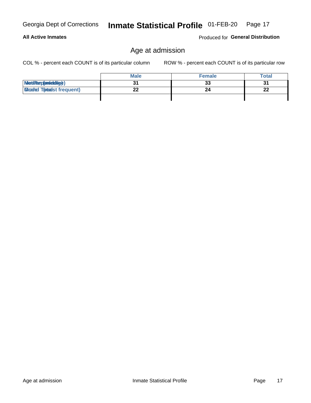### **All Active Inmates**

Produced for General Distribution

### Age at admission

COL % - percent each COUNT is of its particular column

|                                  | <b>Male</b> | <b>Female</b> | Total    |
|----------------------------------|-------------|---------------|----------|
| MetiRap(aniektig)                |             | 33            | 31       |
| <b>Gloaded Tomadst frequent)</b> | --          | 24            | n.<br>44 |
|                                  |             |               |          |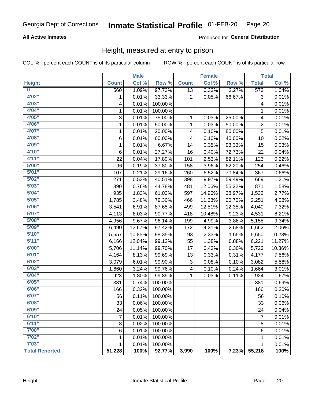### **All Active Inmates**

### Produced for General Distribution

### Height, measured at entry to prison

COL % - percent each COUNT is of its particular column

|                         |                | <b>Male</b> |                  |                 | <b>Female</b> |                  |                  | <b>Total</b> |
|-------------------------|----------------|-------------|------------------|-----------------|---------------|------------------|------------------|--------------|
| <b>Height</b>           | <b>Count</b>   | Col %       | Row <sup>%</sup> | <b>Count</b>    | Col %         | Row <sup>%</sup> | <b>Total</b>     | Col %        |
| $\overline{\mathbf{0}}$ | 560            | 1.09%       | 97.73%           | $\overline{13}$ | 0.33%         | 2.27%            | $\overline{573}$ | 1.04%        |
| 4'02"                   | 1              | 0.01%       | 33.33%           | $\overline{2}$  | 0.05%         | 66.67%           | 3                | 0.01%        |
| 4'03''                  | 4              | 0.01%       | 100.00%          |                 |               |                  | 4                | 0.01%        |
| 4'04"                   | 1              | 0.01%       | 100.00%          |                 |               |                  | 1                | 0.01%        |
| 4'05"                   | 3              | 0.01%       | 75.00%           | 1               | 0.03%         | 25.00%           | 4                | 0.01%        |
| 4'06"                   | 1              | 0.01%       | 50.00%           | $\mathbf{1}$    | 0.03%         | 50.00%           | $\overline{2}$   | 0.01%        |
| 4'07"                   | $\mathbf{1}$   | 0.01%       | 20.00%           | 4               | 0.10%         | 80.00%           | $\overline{5}$   | 0.01%        |
| 4'08"                   | 6              | 0.01%       | 60.00%           | 4               | 0.10%         | 40.00%           | 10               | 0.02%        |
| 4'09"                   | 1              | 0.01%       | 6.67%            | 14              | 0.35%         | 93.33%           | 15               | 0.03%        |
| 4'10"                   | 6              | 0.01%       | 27.27%           | 16              | 0.40%         | 72.73%           | 22               | 0.04%        |
| 4'11''                  | 22             | 0.04%       | 17.89%           | 101             | 2.53%         | 82.11%           | 123              | 0.22%        |
| 5'00''                  | 96             | 0.19%       | 37.80%           | 158             | 3.96%         | 62.20%           | 254              | 0.46%        |
| 5'01''                  | 107            | 0.21%       | 29.16%           | 260             | 6.52%         | 70.84%           | 367              | 0.66%        |
| 5'02"                   | 271            | 0.53%       | 40.51%           | 398             | 9.97%         | 59.49%           | 669              | 1.21%        |
| 5'03''                  | 390            | 0.76%       | 44.78%           | 481             | 12.06%        | 55.22%           | 871              | 1.58%        |
| 5'04"                   | 935            | 1.83%       | 61.03%           | 597             | 14.96%        | 38.97%           | 1,532            | 2.77%        |
| 5'05"                   | 1,785          | 3.48%       | 79.30%           | 466             | 11.68%        | 20.70%           | 2,251            | 4.08%        |
| 5'06''                  | 3,541          | 6.91%       | 87.65%           | 499             | 12.51%        | 12.35%           | 4,040            | 7.32%        |
| 5'07''                  | 4,113          | 8.03%       | 90.77%           | 418             | 10.48%        | 9.23%            | 4,531            | 8.21%        |
| 5'08''                  | 4,956          | 9.67%       | 96.14%           | 199             | 4.99%         | 3.86%            | 5,155            | 9.34%        |
| 5'09''                  | 6,490          | 12.67%      | 97.42%           | 172             | 4.31%         | 2.58%            | 6,662            | 12.06%       |
| 5'10''                  | 5,557          | 10.85%      | 98.35%           | 93              | 2.33%         | 1.65%            | 5,650            | 10.23%       |
| 5'11"                   | 6,166          | 12.04%      | 99.12%           | 55              | 1.38%         | 0.88%            | 6,221            | 11.27%       |
| 6'00''                  | 5,706          | 11.14%      | 99.70%           | 17              | 0.43%         | 0.30%            | 5,723            | 10.36%       |
| 6'01''                  | 4,164          | 8.13%       | 99.69%           | 13              | 0.33%         | 0.31%            | 4,177            | 7.56%        |
| 6'02"                   | 3,079          | 6.01%       | 99.90%           | 3               | 0.08%         | 0.10%            | 3,082            | 5.58%        |
| 6'03''                  | 1,660          | 3.24%       | 99.76%           | 4               | 0.10%         | 0.24%            | 1,664            | 3.01%        |
| 6'04"                   | 923            | 1.80%       | 99.89%           | 1               | 0.03%         | 0.11%            | 924              | 1.67%        |
| 6'05"                   | 381            | 0.74%       | 100.00%          |                 |               |                  | 381              | 0.69%        |
| 6'06''                  | 166            | 0.32%       | 100.00%          |                 |               |                  | 166              | 0.30%        |
| 6'07''                  | 56             | 0.11%       | 100.00%          |                 |               |                  | 56               | 0.10%        |
| 6'08"                   | 33             | 0.06%       | 100.00%          |                 |               |                  | $\overline{33}$  | $0.06\%$     |
| 6'09''                  | 24             | 0.05%       | 100.00%          |                 |               |                  | 24               | 0.04%        |
| 6'10''                  | $\overline{7}$ | 0.01%       | 100.00%          |                 |               |                  | $\overline{7}$   | 0.01%        |
| 6'11''                  | 8              | 0.02%       | 100.00%          |                 |               |                  | 8                | 0.01%        |
| 7'00"                   | 6              | 0.01%       | 100.00%          |                 |               |                  | 6                | 0.01%        |
| 7'02''                  | 1              | 0.01%       | 100.00%          |                 |               |                  | 1                | 0.01%        |
| 7'03''                  | 1              | 0.01%       | 100.00%          |                 |               |                  | 1                | 0.01%        |
| <b>Total Reported</b>   | 51,228         | 100%        | 92.77%           | 3,990           | 100%          | 7.23%            | 55,218           | 100%         |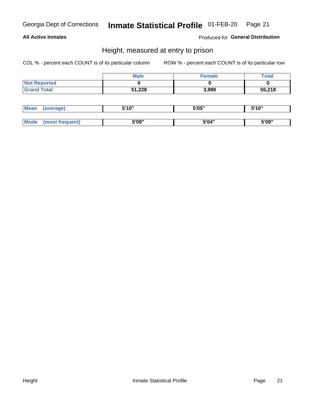### **All Active Inmates**

Produced for General Distribution

### Height, measured at entry to prison

COL % - percent each COUNT is of its particular column

|                     | <b>Male</b> | Female | $\tau$ otal |
|---------------------|-------------|--------|-------------|
| <b>Not Reported</b> |             |        |             |
| <b>Grand Total</b>  | 51,228      | 3,990  | 55,218      |

| <b>Mean</b> | erage) | 5'10" | 5'05" | <b>CIA AIL</b><br>. . |
|-------------|--------|-------|-------|-----------------------|
|             |        |       |       |                       |
| <b>Mode</b> |        | 5'09" | 5'04" | 5'09"                 |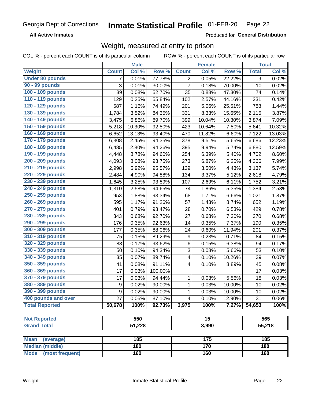**All Active Inmates** 

Produced for General Distribution

### Weight, measured at entry to prison

COL % - percent each COUNT is of its particular column ROW % - percent each COUNT is of its particular row

|                                |              | <b>Male</b> |         |                | <b>Female</b> |        |                | <b>Total</b> |
|--------------------------------|--------------|-------------|---------|----------------|---------------|--------|----------------|--------------|
| <b>Weight</b>                  | <b>Count</b> | Col %       | Row %   | <b>Count</b>   | Col %         | Row %  | <b>Total</b>   | Col %        |
| <b>Under 80 pounds</b>         | 7            | 0.01%       | 77.78%  | $\overline{2}$ | 0.05%         | 22.22% | $\overline{9}$ | 0.02%        |
| 90 - 99 pounds                 | 3            | 0.01%       | 30.00%  | $\overline{7}$ | 0.18%         | 70.00% | 10             | 0.02%        |
| 100 - 109 pounds               | 39           | 0.08%       | 52.70%  | 35             | 0.88%         | 47.30% | 74             | 0.14%        |
| 110 - 119 pounds               | 129          | 0.25%       | 55.84%  | 102            | 2.57%         | 44.16% | 231            | 0.42%        |
| 120 - 129 pounds               | 587          | 1.16%       | 74.49%  | 201            | 5.06%         | 25.51% | 788            | 1.44%        |
| 130 - 139 pounds               | 1,784        | 3.52%       | 84.35%  | 331            | 8.33%         | 15.65% | 2,115          | 3.87%        |
| 140 - 149 pounds               | 3,475        | 6.86%       | 89.70%  | 399            | 10.04%        | 10.30% | 3,874          | 7.09%        |
| 150 - 159 pounds               | 5,218        | 10.30%      | 92.50%  | 423            | 10.64%        | 7.50%  | 5,641          | 10.32%       |
| 160 - 169 pounds               | 6,652        | 13.13%      | 93.40%  | 470            | 11.82%        | 6.60%  | 7,122          | 13.03%       |
| 170 - 179 pounds               | 6,308        | 12.45%      | 94.35%  | 378            | 9.51%         | 5.65%  | 6,686          | 12.23%       |
| 180 - 189 pounds               | 6,485        | 12.80%      | 94.26%  | 395            | 9.94%         | 5.74%  | 6,880          | 12.59%       |
| 190 - 199 pounds               | 4,448        | 8.78%       | 94.60%  | 254            | 6.39%         | 5.40%  | 4,702          | 8.60%        |
| 200 - 209 pounds               | 4,093        | 8.08%       | 93.75%  | 273            | 6.87%         | 6.25%  | 4,366          | 7.99%        |
| 210 - 219 pounds               | 2,998        | 5.92%       | 95.57%  | 139            | 3.50%         | 4.43%  | 3,137          | 5.74%        |
| 220 - 229 pounds               | 2,484        | 4.90%       | 94.88%  | 134            | 3.37%         | 5.12%  | 2,618          | 4.79%        |
| 230 - 239 pounds               | 1,645        | 3.25%       | 93.89%  | 107            | 2.69%         | 6.11%  | 1,752          | 3.21%        |
| 240 - 249 pounds               | 1,310        | 2.58%       | 94.65%  | 74             | 1.86%         | 5.35%  | 1,384          | 2.53%        |
| 250 - 259 pounds               | 953          | 1.88%       | 93.34%  | 68             | 1.71%         | 6.66%  | 1,021          | 1.87%        |
| 260 - 269 pounds               | 595          | 1.17%       | 91.26%  | 57             | 1.43%         | 8.74%  | 652            | 1.19%        |
| 270 - 279 pounds               | 401          | 0.79%       | 93.47%  | 28             | 0.70%         | 6.53%  | 429            | 0.78%        |
| 280 - 289 pounds               | 343          | 0.68%       | 92.70%  | 27             | 0.68%         | 7.30%  | 370            | 0.68%        |
| 290 - 299 pounds               | 176          | 0.35%       | 92.63%  | 14             | 0.35%         | 7.37%  | 190            | 0.35%        |
| 300 - 309 pounds               | 177          | 0.35%       | 88.06%  | 24             | 0.60%         | 11.94% | 201            | 0.37%        |
| 310 - 319 pounds               | 75           | 0.15%       | 89.29%  | 9              | 0.23%         | 10.71% | 84             | 0.15%        |
| 320 - 329 pounds               | 88           | 0.17%       | 93.62%  | 6              | 0.15%         | 6.38%  | 94             | 0.17%        |
| 330 - 339 pounds               | 50           | 0.10%       | 94.34%  | 3              | 0.08%         | 5.66%  | 53             | 0.10%        |
| 340 - 349 pounds               | 35           | 0.07%       | 89.74%  | 4              | 0.10%         | 10.26% | 39             | 0.07%        |
| 350 - 359 pounds               | 41           | 0.08%       | 91.11%  | 4              | 0.10%         | 8.89%  | 45             | 0.08%        |
| 360 - 369 pounds               | 17           | 0.03%       | 100.00% |                |               |        | 17             | 0.03%        |
| 370 - 379 pounds               | 17           | 0.03%       | 94.44%  | 1              | 0.03%         | 5.56%  | 18             | 0.03%        |
| 380 - 389 pounds               | 9            | 0.02%       | 90.00%  | $\mathbf{1}$   | 0.03%         | 10.00% | 10             | 0.02%        |
| 390 - 399 pounds               | 9            | 0.02%       | 90.00%  | 1              | 0.03%         | 10.00% | 10             | 0.02%        |
| 400 pounds and over            | 27           | 0.05%       | 87.10%  | 4              | 0.10%         | 12.90% | 31             | 0.06%        |
| <b>Total Reported</b>          | 50,678       | 100%        | 92.73%  | 3,975          | 100%          | 7.27%  | 54,653         | 100%         |
|                                |              |             |         |                |               |        |                |              |
| <b>Not Reported</b>            |              | 550         |         |                | 15            |        |                | 565          |
| <b>Grand Total</b>             |              | 51,228      |         |                | 3,990         |        |                | 55,218       |
| <b>Mean</b><br>(average)       |              | 185         |         |                | 175           |        |                | 185          |
| <b>Median (middle)</b>         |              | 180         |         |                | 170           |        |                | 180          |
| <b>Mode</b><br>(most frequent) |              | 160         |         |                | 160           |        |                | 160          |
|                                |              |             |         |                |               |        |                |              |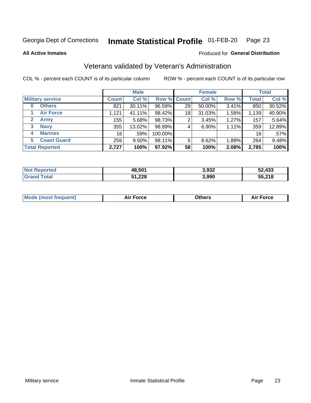#### Inmate Statistical Profile 01-FEB-20 Page 23

**All Active Inmates** 

### Produced for General Distribution

### Veterans validated by Veteran's Administration

COL % - percent each COUNT is of its particular column

|                             |              | <b>Male</b> |                    |    | <b>Female</b> |       |              | <b>Total</b> |
|-----------------------------|--------------|-------------|--------------------|----|---------------|-------|--------------|--------------|
| <b>Military service</b>     | <b>Count</b> | Col %       | <b>Row % Count</b> |    | Col %         | Row % | <b>Total</b> | Col %        |
| <b>Others</b><br>0          | 821          | 30.11%      | 96.59%             | 29 | 50.00%        | 3.41% | 850          | 30.52%       |
| <b>Air Force</b>            | 1,121        | 41.11%      | 98.42%             | 18 | 31.03%        | 1.58% | 1,139        | 40.90%       |
| <b>Army</b><br>$\mathbf{2}$ | 155          | 5.68%       | 98.73%             | 2  | 3.45%         | 1.27% | 157          | 5.64%        |
| <b>Navy</b><br>3            | 355          | 13.02%      | 98.89%             | 4  | 6.90%         | 1.11% | 359          | 12.89%       |
| <b>Marines</b><br>4         | 16           | .59%        | 100.00%            |    |               |       | 16           | .57%         |
| <b>Coast Guard</b><br>5.    | 259          | $9.50\%$    | 98.11%             | 5  | 8.62%         | 1.89% | 264          | 9.48%        |
| <b>Total Reported</b>       | 2,727        | 100%        | 97.92%             | 58 | 100%          | 2.08% | 2,785        | 100%         |

| orted<br>NO | 48,501 | 3,932 | 52,433 |
|-------------|--------|-------|--------|
| <b>otal</b> | 51,228 | 3,990 | 55,218 |

|  |  | <b>Mode (most frequent)</b> | <b>Force</b><br>Aır | วthers | orce |
|--|--|-----------------------------|---------------------|--------|------|
|--|--|-----------------------------|---------------------|--------|------|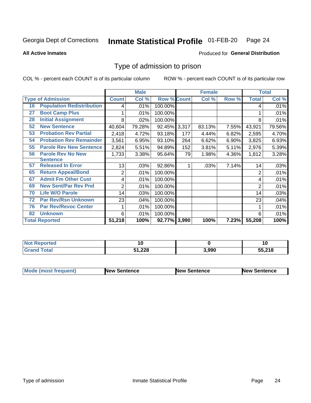#### Inmate Statistical Profile 01-FEB-20 Page 24

**All Active Inmates** 

### **Produced for General Distribution**

### Type of admission to prison

COL % - percent each COUNT is of its particular column

|    |                                  |              | <b>Male</b> |                    |       | <b>Female</b> |       |              | <b>Total</b> |
|----|----------------------------------|--------------|-------------|--------------------|-------|---------------|-------|--------------|--------------|
|    | <b>Type of Admission</b>         | <b>Count</b> | Col %       | <b>Row % Count</b> |       | Col %         | Row % | <b>Total</b> | Col %        |
| 16 | <b>Population Redistribution</b> | 4            | .01%        | 100.00%            |       |               |       | 4            | .01%         |
| 27 | <b>Boot Camp Plus</b>            |              | .01%        | 100.00%            |       |               |       |              | .01%         |
| 28 | <b>Initial Assignment</b>        | 8            | .02%        | 100.00%            |       |               |       | 8            | .01%         |
| 52 | <b>New Sentence</b>              | 40,604       | 79.28%      | 92.45% 3,317       |       | 83.13%        | 7.55% | 43,921       | 79.56%       |
| 53 | <b>Probation Rev Partial</b>     | 2,418        | 4.72%       | 93.18%             | 177   | 4.44%         | 6.82% | 2,595        | 4.70%        |
| 54 | <b>Probation Rev Remainder</b>   | 3,561        | 6.95%       | 93.10%             | 264   | 6.62%         | 6.90% | 3,825        | 6.93%        |
| 55 | <b>Parole Rev New Sentence</b>   | 2,824        | 5.51%       | 94.89%             | 152   | 3.81%         | 5.11% | 2,976        | 5.39%        |
| 56 | <b>Parole Rev No New</b>         | 1,733        | 3.38%       | 95.64%             | 79    | 1.98%         | 4.36% | 1,812        | 3.28%        |
|    | <b>Sentence</b>                  |              |             |                    |       |               |       |              |              |
| 57 | <b>Released In Error</b>         | 13           | .03%        | 92.86%             | 1     | .03%          | 7.14% | 14           | .03%         |
| 65 | <b>Return Appeal/Bond</b>        | 2            | .01%        | 100.00%            |       |               |       | 2            | .01%         |
| 67 | <b>Admit Fm Other Cust</b>       | 4            | .01%        | 100.00%            |       |               |       | 4            | .01%         |
| 69 | <b>New Sent/Par Rev Pnd</b>      | 2            | .01%        | 100.00%            |       |               |       | 2            | .01%         |
| 70 | <b>Life W/O Parole</b>           | 14           | .03%        | 100.00%            |       |               |       | 14           | .03%         |
| 72 | <b>Par Rev/Rsn Unknown</b>       | 23           | .04%        | 100.00%            |       |               |       | 23           | .04%         |
| 76 | <b>Par Rev/Revoc Center</b>      |              | .01%        | 100.00%            |       |               |       |              | .01%         |
| 82 | <b>Unknown</b>                   | 6            | .01%        | 100.00%            |       |               |       | 6            | .01%         |
|    | <b>Total Reported</b>            | 51,218       | 100%        | 92.77%             | 3,990 | 100%          | 7.23% | 55,208       | 100%         |

| <b>Not Reported</b> |        |       | 1 U    |
|---------------------|--------|-------|--------|
| Total<br>Gran       | 51,228 | 3,990 | 55,218 |

| <b>Mode (most frequent)</b> | <b>New Sentence</b> | <b>New Sentence</b> | <b>New Sentence</b> |
|-----------------------------|---------------------|---------------------|---------------------|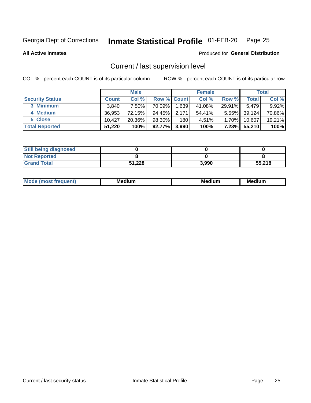## Inmate Statistical Profile 01-FEB-20 Page 25

**All Active Inmates** 

### Produced for General Distribution

### Current / last supervision level

COL % - percent each COUNT is of its particular column

|                        |              | <b>Male</b> |                    |       | <b>Female</b> |          |        | <b>Total</b> |
|------------------------|--------------|-------------|--------------------|-------|---------------|----------|--------|--------------|
| <b>Security Status</b> | <b>Count</b> | Col %       | <b>Row % Count</b> |       | Col %         | Row %    | Total  | Col %        |
| 3 Minimum              | 3.840        | 7.50%l      | 70.09%             | 1,639 | 41.08%        | 29.91%   | 5,479  | 9.92%        |
| 4 Medium               | 36,953       | 72.15%      | 94.45%             | 2,171 | 54.41%        | $5.55\%$ | 39,124 | 70.86%       |
| 5 Close                | 10.427       | 20.36%      | 98.30%             | 180   | 4.51%         | $1.70\%$ | 10.607 | 19.21%       |
| <b>Total Reported</b>  | 51,220       | 100%        | 92.77%             | 3,990 | 100%          | $7.23\%$ | 55,210 | 100%         |

| <b>Still being diagnosed</b> |        |       |        |
|------------------------------|--------|-------|--------|
| <b>Not Reported</b>          |        |       |        |
| <b>Grand Total</b>           | 51,228 | 3.990 | 55,218 |

| $M_{\Omega}$ | Me<br>edium<br>____ | Мє<br>dium<br>_____ | Medium<br> |
|--------------|---------------------|---------------------|------------|
|              |                     |                     |            |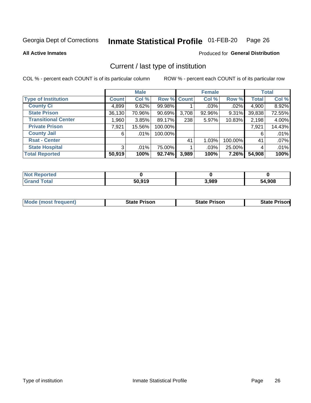#### Inmate Statistical Profile 01-FEB-20 Page 26

**All Active Inmates** 

### **Produced for General Distribution**

### Current / last type of institution

COL % - percent each COUNT is of its particular column

|                            |              | <b>Male</b> |                    |       | <b>Female</b> |         |              | <b>Total</b> |
|----------------------------|--------------|-------------|--------------------|-------|---------------|---------|--------------|--------------|
| <b>Type of Institution</b> | <b>Count</b> | Col %       | <b>Row % Count</b> |       | Col %         | Row %   | <b>Total</b> | Col %        |
| <b>County Ci</b>           | 4,899        | 9.62%       | 99.98%             |       | $.03\%$       | $.02\%$ | 4,900        | 8.92%        |
| <b>State Prison</b>        | 36,130       | 70.96%      | $90.69\%$          | 3,708 | 92.96%        | 9.31%   | 39,838       | 72.55%       |
| <b>Transitional Center</b> | 1,960        | 3.85%       | 89.17%             | 238   | 5.97%         | 10.83%  | 2,198        | 4.00%        |
| <b>Private Prison</b>      | 7,921        | 15.56%      | 100.00%            |       |               |         | 7,921        | 14.43%       |
| <b>County Jail</b>         | 6            | $.01\%$     | 100.00%            |       |               |         | 6            | .01%         |
| <b>Rsat - Center</b>       |              |             |                    | 41    | 1.03%         | 100.00% | 41           | .07%         |
| <b>State Hospital</b>      | 3            | .01%        | 75.00%             |       | .03%          | 25.00%  | 4            | .01%         |
| <b>Total Reported</b>      | 50,919       | 100%        | 92.74%             | 3,989 | 100%          | 7.26%   | 54,908       | 100%         |

| Reported     |        |       |              |
|--------------|--------|-------|--------------|
| <b>Total</b> | 50.919 | 3,989 | 4,908<br>-54 |

| <b>Mode (most frequent)</b> | State Prison | <b>State Prison</b> | <b>State Prison</b> |
|-----------------------------|--------------|---------------------|---------------------|
|                             |              |                     |                     |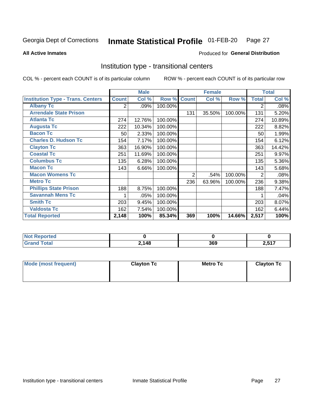#### Inmate Statistical Profile 01-FEB-20 Page 27

**All Active Inmates** 

### Produced for General Distribution

### Institution type - transitional centers

COL % - percent each COUNT is of its particular column

|                                          |              | <b>Male</b> |         |                | <b>Female</b> |         |                | <b>Total</b> |
|------------------------------------------|--------------|-------------|---------|----------------|---------------|---------|----------------|--------------|
| <b>Institution Type - Trans. Centers</b> | <b>Count</b> | Col %       | Row %   | <b>Count</b>   | Col %         | Row %   | <b>Total</b>   | Col %        |
| <b>Albany Tc</b>                         | 2            | .09%        | 100.00% |                |               |         | 2              | .08%         |
| <b>Arrendale State Prison</b>            |              |             |         | 131            | 35.50%        | 100.00% | 131            | 5.20%        |
| <b>Atlanta Tc</b>                        | 274          | 12.76%      | 100.00% |                |               |         | 274            | 10.89%       |
| <b>Augusta Tc</b>                        | 222          | 10.34%      | 100.00% |                |               |         | 222            | 8.82%        |
| <b>Bacon Tc</b>                          | 50           | 2.33%       | 100.00% |                |               |         | 50             | 1.99%        |
| <b>Charles D. Hudson Tc</b>              | 154          | 7.17%       | 100.00% |                |               |         | 154            | 6.12%        |
| <b>Clayton Tc</b>                        | 363          | 16.90%      | 100.00% |                |               |         | 363            | 14.42%       |
| <b>Coastal Tc</b>                        | 251          | 11.69%      | 100.00% |                |               |         | 251            | 9.97%        |
| <b>Columbus Tc</b>                       | 135          | 6.28%       | 100.00% |                |               |         | 135            | 5.36%        |
| <b>Macon Tc</b>                          | 143          | 6.66%       | 100.00% |                |               |         | 143            | 5.68%        |
| <b>Macon Womens Tc</b>                   |              |             |         | $\overline{2}$ | .54%          | 100.00% | $\overline{2}$ | .08%         |
| <b>Metro Tc</b>                          |              |             |         | 236            | 63.96%        | 100.00% | 236            | 9.38%        |
| <b>Phillips State Prison</b>             | 188          | 8.75%       | 100.00% |                |               |         | 188            | 7.47%        |
| <b>Savannah Mens Tc</b>                  | 1            | .05%        | 100.00% |                |               |         |                | .04%         |
| <b>Smith Tc</b>                          | 203          | 9.45%       | 100.00% |                |               |         | 203            | 8.07%        |
| <b>Valdosta Tc</b>                       | 162          | 7.54%       | 100.00% |                |               |         | 162            | 6.44%        |
| <b>Total Reported</b>                    | 2,148        | 100%        | 85.34%  | 369            | 100%          | 14.66%  | 2,517          | 100%         |

| portea       |       |     |                 |
|--------------|-------|-----|-----------------|
| <b>Total</b> | 2,148 | 369 | $E = 47$<br>∠,∪ |

| Mode (most frequent) | <b>Clayton Tc</b> | Metro Tc | <b>Clayton Tc</b> |
|----------------------|-------------------|----------|-------------------|
|                      |                   |          |                   |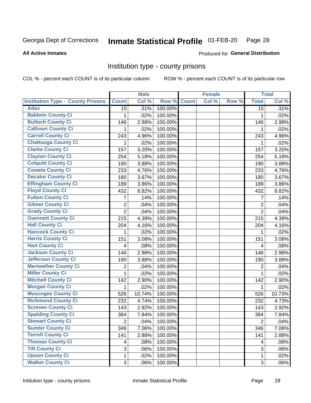## Inmate Statistical Profile 01-FEB-20 Page 28

**All Active Inmates** 

### Produced for General Distribution

### Institution type - county prisons

COL % - percent each COUNT is of its particular column

|                                          |                 | <b>Male</b> |         |              | <b>Female</b> |       |                 | <b>Total</b> |
|------------------------------------------|-----------------|-------------|---------|--------------|---------------|-------|-----------------|--------------|
| <b>Institution Type - County Prisons</b> | <b>Count</b>    | Col %       | Row %   | <b>Count</b> | Col %         | Row % | <b>Total</b>    | Col %        |
| <b>Adoc</b>                              | $\overline{15}$ | .31%        | 100.00% |              |               |       | $\overline{15}$ | .31%         |
| <b>Baldwin County Ci</b>                 | 1               | .02%        | 100.00% |              |               |       | 1               | .02%         |
| <b>Bulloch County Ci</b>                 | 146             | 2.98%       | 100.00% |              |               |       | 146             | 2.98%        |
| <b>Calhoun County Ci</b>                 | 1               | .02%        | 100.00% |              |               |       | 1               | .02%         |
| <b>Carroll County Ci</b>                 | 243             | 4.96%       | 100.00% |              |               |       | 243             | 4.96%        |
| <b>Chattooga County Ci</b>               | 1               | .02%        | 100.00% |              |               |       | 1               | .02%         |
| <b>Clarke County Ci</b>                  | 157             | 3.20%       | 100.00% |              |               |       | 157             | 3.20%        |
| <b>Clayton County Ci</b>                 | 254             | 5.18%       | 100.00% |              |               |       | 254             | 5.18%        |
| <b>Colquitt County Ci</b>                | 190             | 3.88%       | 100.00% |              |               |       | 190             | 3.88%        |
| <b>Coweta County Ci</b>                  | 233             | 4.76%       | 100.00% |              |               |       | 233             | 4.76%        |
| <b>Decatur County Ci</b>                 | 180             | 3.67%       | 100.00% |              |               |       | 180             | 3.67%        |
| <b>Effingham County Ci</b>               | 189             | 3.86%       | 100.00% |              |               |       | 189             | 3.86%        |
| <b>Floyd County Ci</b>                   | 432             | 8.82%       | 100.00% |              |               |       | 432             | 8.82%        |
| <b>Fulton County Ci</b>                  | 7               | .14%        | 100.00% |              |               |       | 7               | .14%         |
| <b>Gilmer County Ci</b>                  | $\overline{2}$  | .04%        | 100.00% |              |               |       | $\overline{2}$  | .04%         |
| <b>Grady County Ci</b>                   | $\overline{2}$  | .04%        | 100.00% |              |               |       | $\overline{2}$  | .04%         |
| <b>Gwinnett County Ci</b>                | 215             | 4.39%       | 100.00% |              |               |       | 215             | 4.39%        |
| <b>Hall County Ci</b>                    | 204             | 4.16%       | 100.00% |              |               |       | 204             | 4.16%        |
| <b>Hancock County Ci</b>                 | 1               | .02%        | 100.00% |              |               |       | 1               | .02%         |
| <b>Harris County Ci</b>                  | 151             | 3.08%       | 100.00% |              |               |       | 151             | 3.08%        |
| <b>Hart County Ci</b>                    | 4               | .08%        | 100.00% |              |               |       | 4               | .08%         |
| <b>Jackson County Ci</b>                 | 146             | 2.98%       | 100.00% |              |               |       | 146             | 2.98%        |
| <b>Jefferson County Ci</b>               | 190             | 3.88%       | 100.00% |              |               |       | 190             | 3.88%        |
| <b>Meriwether County Ci</b>              | 2               | .04%        | 100.00% |              |               |       | $\overline{2}$  | .04%         |
| <b>Miller County Ci</b>                  | 1               | .02%        | 100.00% |              |               |       | $\mathbf{1}$    | .02%         |
| <b>Mitchell County Ci</b>                | 142             | 2.90%       | 100.00% |              |               |       | 142             | 2.90%        |
| <b>Morgan County Ci</b>                  | 1               | .02%        | 100.00% |              |               |       | 1               | .02%         |
| <b>Muscogee County Ci</b>                | 526             | 10.74%      | 100.00% |              |               |       | 526             | 10.73%       |
| <b>Richmond County Ci</b>                | 232             | 4.74%       | 100.00% |              |               |       | 232             | 4.73%        |
| <b>Screven County Ci</b>                 | 143             | 2.92%       | 100.00% |              |               |       | 143             | 2.92%        |
| <b>Spalding County Ci</b>                | 384             | 7.84%       | 100.00% |              |               |       | 384             | 7.84%        |
| <b>Stewart County Ci</b>                 | $\mathbf{2}$    | .04%        | 100.00% |              |               |       | $\overline{2}$  | .04%         |
| <b>Sumter County Ci</b>                  | 346             | 7.06%       | 100.00% |              |               |       | 346             | 7.06%        |
| <b>Terrell County Ci</b>                 | 141             | 2.88%       | 100.00% |              |               |       | 141             | 2.88%        |
| <b>Thomas County Ci</b>                  | 4               | .08%        | 100.00% |              |               |       | 4               | .08%         |
| <b>Tift County Ci</b>                    | 3               | .06%        | 100.00% |              |               |       | 3               | .06%         |
| <b>Upson County Ci</b>                   | 1               | .02%        | 100.00% |              |               |       | 1               | .02%         |
| <b>Walker County Ci</b>                  | 3               | .06%        | 100.00% |              |               |       | 3               | .06%         |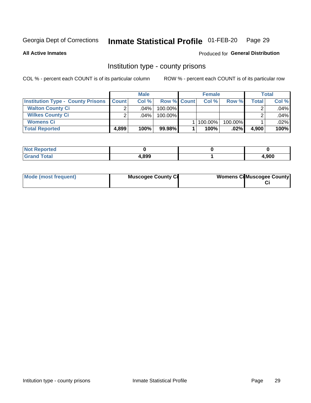## Inmate Statistical Profile 01-FEB-20 Page 29

**All Active Inmates** 

### Produced for General Distribution

### Institution type - county prisons

COL % - percent each COUNT is of its particular column

|                                          |              | <b>Male</b> |                    | <b>Female</b> |         |       | <b>Total</b> |
|------------------------------------------|--------------|-------------|--------------------|---------------|---------|-------|--------------|
| <b>Institution Type - County Prisons</b> | <b>Count</b> | Col%        | <b>Row % Count</b> | Col%          | Row %   | Total | Col %        |
| <b>Walton County Ci</b>                  | ⌒            | $.04\%$     | 100.00%            |               |         |       | .04%         |
| <b>Wilkes County Ci</b>                  |              | $.04\%$     | 100.00%            |               |         |       | .04%         |
| <b>Womens Ci</b>                         |              |             |                    | 100.00%       | 100.00% |       | .02%         |
| <b>Total Reported</b>                    | 4,899        | 100%        | 99.98%             | 100%          | $.02\%$ | 4,900 | 100%         |

| prtea<br>$\sim$ |       |       |
|-----------------|-------|-------|
|                 | 4,899 | 1,900 |

| Mode (most frequent) | <b>Muscogee County Ci</b> | <b>Womens CilMuscogee County</b> |
|----------------------|---------------------------|----------------------------------|
|----------------------|---------------------------|----------------------------------|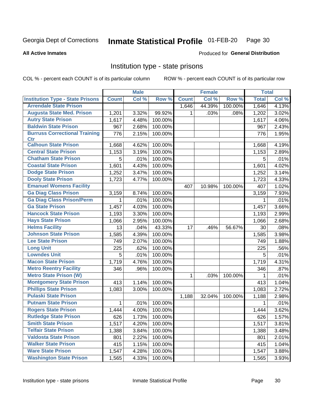#### Inmate Statistical Profile 01-FEB-20 Page 30

### **All Active Inmates**

### Produced for General Distribution

### Institution type - state prisons

COL % - percent each COUNT is of its particular column

|                                         |              | <b>Male</b> |         |              | <b>Female</b> |         | <b>Total</b> |       |
|-----------------------------------------|--------------|-------------|---------|--------------|---------------|---------|--------------|-------|
| <b>Institution Type - State Prisons</b> | <b>Count</b> | Col %       | Row %   | <b>Count</b> | Col %         | Row %   | <b>Total</b> | Col % |
| <b>Arrendale State Prison</b>           |              |             |         | 1,646        | 44.39%        | 100.00% | 1,646        | 4.13% |
| <b>Augusta State Med. Prison</b>        | 1,201        | 3.32%       | 99.92%  | 1.           | .03%          | .08%    | 1,202        | 3.02% |
| <b>Autry State Prison</b>               | 1,617        | 4.48%       | 100.00% |              |               |         | 1,617        | 4.06% |
| <b>Baldwin State Prison</b>             | 967          | 2.68%       | 100.00% |              |               |         | 967          | 2.43% |
| <b>Burruss Correctional Training</b>    | 776          | 2.15%       | 100.00% |              |               |         | 776          | 1.95% |
| <b>Ctr</b>                              |              |             |         |              |               |         |              |       |
| <b>Calhoun State Prison</b>             | 1,668        | 4.62%       | 100.00% |              |               |         | 1,668        | 4.19% |
| <b>Central State Prison</b>             | 1,153        | 3.19%       | 100.00% |              |               |         | 1,153        | 2.89% |
| <b>Chatham State Prison</b>             | 5            | .01%        | 100.00% |              |               |         | 5            | .01%  |
| <b>Coastal State Prison</b>             | 1,601        | 4.43%       | 100.00% |              |               |         | 1,601        | 4.02% |
| <b>Dodge State Prison</b>               | 1,252        | 3.47%       | 100.00% |              |               |         | 1,252        | 3.14% |
| <b>Dooly State Prison</b>               | 1,723        | 4.77%       | 100.00% |              |               |         | 1,723        | 4.33% |
| <b>Emanuel Womens Facility</b>          |              |             |         | 407          | 10.98%        | 100.00% | 407          | 1.02% |
| <b>Ga Diag Class Prison</b>             | 3,159        | 8.74%       | 100.00% |              |               |         | 3,159        | 7.93% |
| <b>Ga Diag Class Prison/Perm</b>        | 1            | .01%        | 100.00% |              |               |         | 1            | .01%  |
| <b>Ga State Prison</b>                  | 1,457        | 4.03%       | 100.00% |              |               |         | 1,457        | 3.66% |
| <b>Hancock State Prison</b>             | 1,193        | 3.30%       | 100.00% |              |               |         | 1,193        | 2.99% |
| <b>Hays State Prison</b>                | 1,066        | 2.95%       | 100.00% |              |               |         | 1,066        | 2.68% |
| <b>Helms Facility</b>                   | 13           | .04%        | 43.33%  | 17           | .46%          | 56.67%  | 30           | .08%  |
| <b>Johnson State Prison</b>             | 1,585        | 4.39%       | 100.00% |              |               |         | 1,585        | 3.98% |
| <b>Lee State Prison</b>                 | 749          | 2.07%       | 100.00% |              |               |         | 749          | 1.88% |
| <b>Long Unit</b>                        | 225          | .62%        | 100.00% |              |               |         | 225          | .56%  |
| <b>Lowndes Unit</b>                     | 5            | .01%        | 100.00% |              |               |         | 5            | .01%  |
| <b>Macon State Prison</b>               | 1,719        | 4.76%       | 100.00% |              |               |         | 1,719        | 4.31% |
| <b>Metro Reentry Facility</b>           | 346          | .96%        | 100.00% |              |               |         | 346          | .87%  |
| <b>Metro State Prison (W)</b>           |              |             |         | 1.           | .03%          | 100.00% | 1            | .01%  |
| <b>Montgomery State Prison</b>          | 413          | 1.14%       | 100.00% |              |               |         | 413          | 1.04% |
| <b>Phillips State Prison</b>            | 1,083        | 3.00%       | 100.00% |              |               |         | 1,083        | 2.72% |
| <b>Pulaski State Prison</b>             |              |             |         | 1,188        | 32.04%        | 100.00% | 1,188        | 2.98% |
| <b>Putnam State Prison</b>              | 1            | .01%        | 100.00% |              |               |         | 1            | .01%  |
| <b>Rogers State Prison</b>              | 1,444        | 4.00%       | 100.00% |              |               |         | 1,444        | 3.62% |
| <b>Rutledge State Prison</b>            | 626          | $1.73\%$    | 100.00% |              |               |         | 626          | 1.57% |
| <b>Smith State Prison</b>               | 1,517        | 4.20%       | 100.00% |              |               |         | 1,517        | 3.81% |
| <b>Telfair State Prison</b>             | 1,388        | 3.84%       | 100.00% |              |               |         | 1,388        | 3.48% |
| <b>Valdosta State Prison</b>            | 801          | 2.22%       | 100.00% |              |               |         | 801          | 2.01% |
| <b>Walker State Prison</b>              | 415          | 1.15%       | 100.00% |              |               |         | 415          | 1.04% |
| <b>Ware State Prison</b>                | 1,547        | 4.28%       | 100.00% |              |               |         | 1,547        | 3.88% |
| <b>Washington State Prison</b>          | 1,565        | 4.33%       | 100.00% |              |               |         | 1,565        | 3.93% |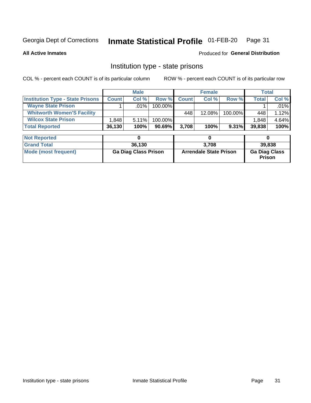#### Inmate Statistical Profile 01-FEB-20 Page 31

**All Active Inmates** 

### Produced for General Distribution

### Institution type - state prisons

COL % - percent each COUNT is of its particular column

|                                         |              | <b>Male</b> |            |              | <b>Female</b> |          |              | Total    |
|-----------------------------------------|--------------|-------------|------------|--------------|---------------|----------|--------------|----------|
| <b>Institution Type - State Prisons</b> | <b>Count</b> | Col %       | Row %I     | <b>Count</b> | Col %         | Row %    | <b>Total</b> | Col %    |
| <b>Wayne State Prison</b>               |              | $.01\%$     | $100.00\%$ |              |               |          |              | $.01\%$  |
| <b>Whitworth Women'S Facility</b>       |              |             |            | 448          | $12.08\%$     | 100.00%  | 448          | 1.12%    |
| <b>Wilcox State Prison</b>              | .848         | 5.11%       | 100.00%    |              |               |          | 1,848        | $4.64\%$ |
| <b>Total Reported</b>                   | 36,130       | 100%        | $90.69\%$  | 3.708        | 100%          | $9.31\%$ | 39,838       | 100%     |

| <b>Not Reported</b>  |                             |                               |                                       |
|----------------------|-----------------------------|-------------------------------|---------------------------------------|
| <b>Grand Total</b>   | 36.130                      | 3.708                         | 39,838                                |
| Mode (most frequent) | <b>Ga Diag Class Prison</b> | <b>Arrendale State Prison</b> | <b>Ga Diag Class</b><br><b>Prison</b> |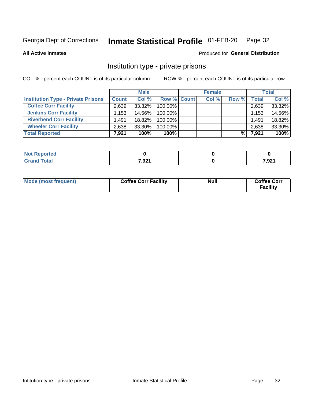#### Inmate Statistical Profile 01-FEB-20 Page 32

**All Active Inmates** 

### Produced for General Distribution

### Institution type - private prisons

COL % - percent each COUNT is of its particular column

|                                           |                   | <b>Male</b> |                    | <b>Female</b> |       |       | <b>Total</b> |
|-------------------------------------------|-------------------|-------------|--------------------|---------------|-------|-------|--------------|
| <b>Institution Type - Private Prisons</b> | <b>Count</b>      | Col %       | <b>Row % Count</b> | Col %         | Row % | Total | Col %        |
| <b>Coffee Corr Facility</b>               | 2.639             | $33.32\%$   | 100.00%            |               |       | 2,639 | 33.32%       |
| <b>Jenkins Corr Facility</b>              | $.153$ $^{\circ}$ | 14.56%      | 100.00%            |               |       | 1,153 | 14.56%       |
| <b>Riverbend Corr Facility</b>            | 1.491             | 18.82%      | 100.00%            |               |       | 1.491 | 18.82%       |
| <b>Wheeler Corr Facility</b>              | 2,638             | 33.30%      | 100.00%            |               |       | 2,638 | 33.30%       |
| <b>Total Reported</b>                     | 7,921             | 100%        | $100\%$            |               | %     | 7,921 | 100%         |

| <b>rted</b><br>N |       |       |
|------------------|-------|-------|
| _____            | 7,921 | 7,921 |

| Mode (most frequent) | <b>Coffee Corr Facility</b> | <b>Null</b> | <b>Coffee Corr</b><br><b>Facility</b> |
|----------------------|-----------------------------|-------------|---------------------------------------|
|----------------------|-----------------------------|-------------|---------------------------------------|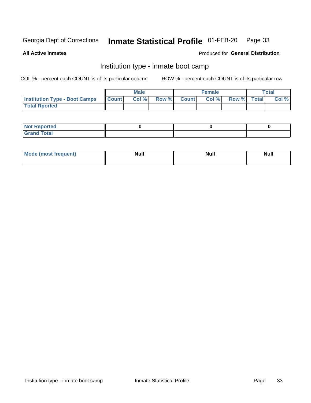#### Inmate Statistical Profile 01-FEB-20 Page 33

**All Active Inmates** 

### Produced for General Distribution

### Institution type - inmate boot camp

COL % - percent each COUNT is of its particular column

|                                      | <b>Male</b>  |       |               | <b>Female</b> |       |             | <b>Total</b> |       |
|--------------------------------------|--------------|-------|---------------|---------------|-------|-------------|--------------|-------|
| <b>Institution Type - Boot Camps</b> | <b>Count</b> | Col % | <b>Row %I</b> | <b>Count</b>  | Col % | Row % Total |              | Col % |
| <b>Total Rported</b>                 |              |       |               |               |       |             |              |       |

| <b>Not Reported</b>            |  |  |
|--------------------------------|--|--|
| <b>Total</b><br>C <sub>r</sub> |  |  |

| Mod<br>uamo | Nul.<br>$- - - - - -$ | <b>Null</b> | . .<br>uu.<br>------ |
|-------------|-----------------------|-------------|----------------------|
|             |                       |             |                      |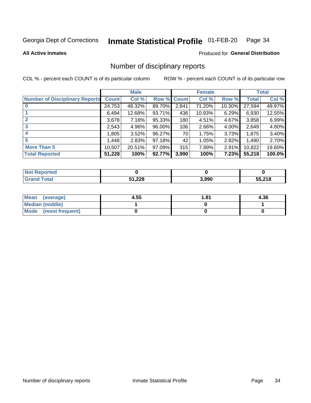#### Inmate Statistical Profile 01-FEB-20 Page 34

**All Active Inmates** 

### **Produced for General Distribution**

### Number of disciplinary reports

COL % - percent each COUNT is of its particular column

|                                       |              | <b>Male</b> |             |       | <b>Female</b> |        |        | <b>Total</b> |
|---------------------------------------|--------------|-------------|-------------|-------|---------------|--------|--------|--------------|
| <b>Number of Disciplinary Reports</b> | <b>Count</b> | Col %       | Row % Count |       | Col %         | Row %  | Total  | Col %        |
|                                       | 24,753       | 48.32%      | 89.70%      | 2,841 | 71.20%        | 10.30% | 27,594 | 49.97%       |
|                                       | 6,494        | 12.68%      | 93.71%      | 436   | 10.93%        | 6.29%  | 6,930  | 12.55%       |
| $\mathbf{2}$                          | 3,678        | 7.18%       | 95.33%      | 180   | 4.51%         | 4.67%  | 3,858  | 6.99%        |
| 3                                     | 2,543        | 4.96%       | 96.00%      | 106   | 2.66%         | 4.00%  | 2,649  | 4.80%        |
|                                       | .805         | 3.52%       | 96.27%      | 70    | 1.75%         | 3.73%  | 1,875  | 3.40%        |
| 5                                     | .448         | 2.83%       | 97.18%      | 42    | 1.05%         | 2.82%  | 1,490  | 2.70%        |
| <b>More Than 5</b>                    | 10,507       | 20.51%      | 97.09%      | 315   | 7.89%         | 2.91%  | 10,822 | 19.60%       |
| <b>Total Reported</b>                 | 51,228       | 100%        | 92.77%      | 3,990 | 100%          | 7.23%  | 55,218 | 100.0%       |

| <b>Not Reported</b> |        |       |        |
|---------------------|--------|-------|--------|
| Total               | 51,228 | 3,990 | 55,218 |

| Mean (average)       | 4.55 | 1.81 | 4.36 |
|----------------------|------|------|------|
| Median (middle)      |      |      |      |
| Mode (most frequent) |      |      |      |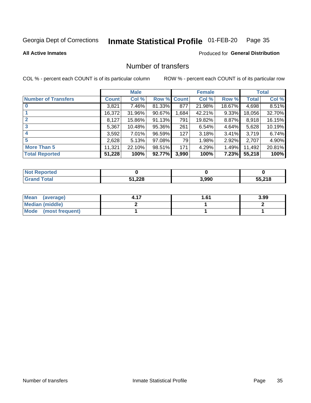#### Inmate Statistical Profile 01-FEB-20 Page 35

**All Active Inmates** 

### **Produced for General Distribution**

### Number of transfers

COL % - percent each COUNT is of its particular column

|                            |         | <b>Male</b> |             |       | <b>Female</b> |          |              | <b>Total</b> |
|----------------------------|---------|-------------|-------------|-------|---------------|----------|--------------|--------------|
| <b>Number of Transfers</b> | Count l | Col %       | Row % Count |       | Col %         | Row %    | <b>Total</b> | Col %        |
|                            | 3,821   | 7.46%       | 81.33%      | 877   | 21.98%        | 18.67%   | 4,698        | 8.51%        |
|                            | 16,372  | 31.96%      | 90.67%      | 1,684 | 42.21%        | 9.33%    | 18,056       | 32.70%       |
| $\mathbf{2}$               | 8,127   | 15.86%      | 91.13%      | 791   | 19.82%        | 8.87%    | 8,918        | 16.15%       |
| 3                          | 5,367   | 10.48%      | 95.36%      | 261   | 6.54%         | 4.64%    | 5,628        | 10.19%       |
| 4                          | 3,592   | $7.01\%$    | 96.59%      | 127   | 3.18%         | $3.41\%$ | 3,719        | 6.74%        |
| 5                          | 2,628   | 5.13%       | 97.08%      | 79    | 1.98%         | 2.92%    | 2,707        | 4.90%        |
| <b>More Than 5</b>         | 11,321  | 22.10%      | 98.51%      | 171   | 4.29%         | $1.49\%$ | 11,492       | 20.81%       |
| <b>Total Reported</b>      | 51,228  | 100%        | 92.77%      | 3,990 | 100%          | 7.23%    | 55,218       | 100%         |

| <b>Not Reported</b> |        |       |        |
|---------------------|--------|-------|--------|
| Total               | 51,228 | 3,990 | 55,218 |

| Mean (average)         | 61.، ا | 3.99 |
|------------------------|--------|------|
| <b>Median (middle)</b> |        |      |
| Mode (most frequent)   |        |      |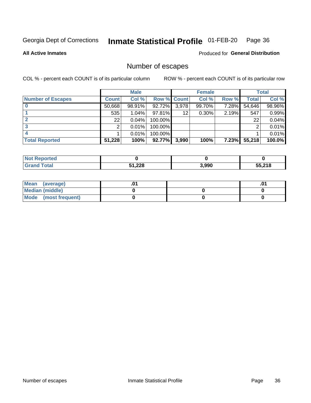#### Inmate Statistical Profile 01-FEB-20 Page 36

**All Active Inmates** 

### Produced for General Distribution

### Number of escapes

COL % - percent each COUNT is of its particular column

|                          |              | <b>Male</b> |             |       | <b>Female</b> |       |        | <b>Total</b> |
|--------------------------|--------------|-------------|-------------|-------|---------------|-------|--------|--------------|
| <b>Number of Escapes</b> | <b>Count</b> | Col %       | Row % Count |       | Col %         | Row % | Total  | Col %        |
|                          | 50,668       | 98.91%      | 92.72%      | 3,978 | 99.70%        | 7.28% | 54,646 | 98.96%       |
|                          | 535          | 1.04%       | 97.81%      | 12    | 0.30%         | 2.19% | 547    | 0.99%        |
|                          | 22           | 0.04%       | 100.00%     |       |               |       | 22     | 0.04%        |
|                          | っ            | 0.01%       | 100.00%     |       |               |       | ົ      | 0.01%        |
|                          |              | 0.01%       | 100.00%     |       |               |       |        | $0.01\%$     |
| <b>Total Reported</b>    | 51,228       | 100%        | 92.77%      | 3,990 | 100%          | 7.23% | 55,218 | $100.0\%$    |

| rted |        |       |        |
|------|--------|-------|--------|
|      | 51,228 | 3,990 | 55,218 |

| Mean (average)         |  | .ט |
|------------------------|--|----|
| <b>Median (middle)</b> |  |    |
| Mode (most frequent)   |  |    |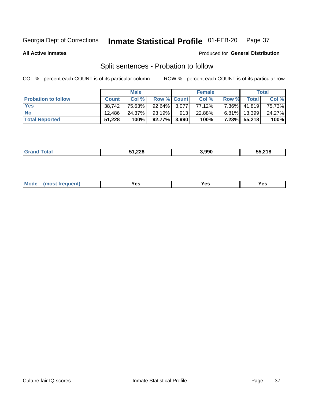#### Inmate Statistical Profile 01-FEB-20 Page 37

**All Active Inmates** 

### Produced for General Distribution

### Split sentences - Probation to follow

COL % - percent each COUNT is of its particular column

|                            |              | <b>Male</b> |                    |     | <b>Female</b> |          |              | <b>Total</b> |
|----------------------------|--------------|-------------|--------------------|-----|---------------|----------|--------------|--------------|
| <b>Probation to follow</b> | <b>Count</b> | Col%        | <b>Row % Count</b> |     | Col %         | Row %    | Total        | Col %        |
| <b>Yes</b>                 | 38.742       | 75.63%      | $92.64\%$ 3.077    |     | 77.12%        | 7.36%    | 41.819       | 75.73%       |
| <b>No</b>                  | 12.486       | 24.37%      | 93.19%             | 913 | 22.88%        | $6.81\%$ | 13,399       | 24.27%       |
| <b>Total Reported</b>      | 51,228       | 100%        | 92.77% 3,990       |     | 100%          |          | 7.23% 55,218 | 100%         |

|  |  | 51,228<br>---- - | 3.990 | 55,218 |
|--|--|------------------|-------|--------|
|--|--|------------------|-------|--------|

| M<br>reauent)<br>/٥<br>$\sim$<br>v.,<br>.<br>w<br>$\cdot$ - $\cdot$ |  |  |  |  |  |
|---------------------------------------------------------------------|--|--|--|--|--|
|---------------------------------------------------------------------|--|--|--|--|--|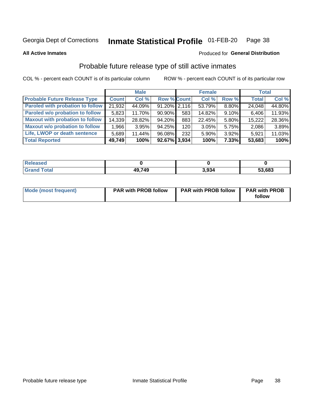### Inmate Statistical Profile 01-FEB-20 Page 38

**All Active Inmates** 

### Produced for General Distribution

# Probable future release type of still active inmates

COL % - percent each COUNT is of its particular column

|                                         |              | <b>Male</b> |                    |                  | <b>Female</b> |          | <b>Total</b> |        |
|-----------------------------------------|--------------|-------------|--------------------|------------------|---------------|----------|--------------|--------|
| <b>Probable Future Release Type</b>     | <b>Count</b> | Col %       | <b>Row % Count</b> |                  | Col %         | Row %    | <b>Total</b> | Col %  |
| <b>Paroled with probation to follow</b> | 21,932       | 44.09%      | $91.20\%$ 2,116    |                  | 53.79%        | 8.80%    | 24,048       | 44.80% |
| Paroled w/o probation to follow         | 5,823        | 11.70%      | $90.90\%$          | 583              | 14.82%        | 9.10%    | 6,406        | 11.93% |
| <b>Maxout with probation to follow</b>  | 14,339       | 28.82%      | 94.20%             | 883              | 22.45%        | 5.80%    | 15,222       | 28.36% |
| <b>Maxout w/o probation to follow</b>   | 1,966        | 3.95%       | 94.25%             | 120 <sub>l</sub> | 3.05%         | 5.75%    | 2,086        | 3.89%  |
| Life, LWOP or death sentence            | 5,689        | 11.44%      | 96.08%             | 232              | 5.90%         | 3.92%    | 5,921        | 11.03% |
| <b>Total Reported</b>                   | 49,749       | 100%        | $92.67\%$ 3,934    |                  | 100%          | $7.33\%$ | 53,683       | 100%   |

| eleased              |       |       |        |
|----------------------|-------|-------|--------|
| <b><i>i</i></b> otal | 49749 | \ 934 | 53,683 |

| <b>Mode (most frequent)</b> | <b>PAR with PROB follow</b> | <b>PAR with PROB follow</b> | <b>PAR with PROB</b> |
|-----------------------------|-----------------------------|-----------------------------|----------------------|
|                             |                             |                             | follow               |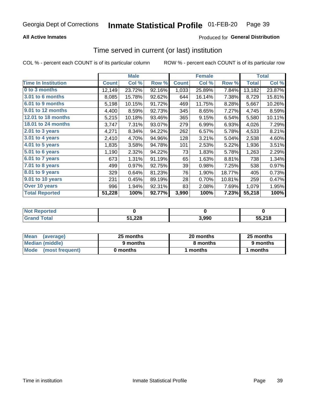## **All Active Inmates**

## Produced for General Distribution

# Time served in current (or last) institution

COL % - percent each COUNT is of its particular column

|                            |              | <b>Male</b> |        |              | <b>Female</b> |        |        | <b>Total</b> |
|----------------------------|--------------|-------------|--------|--------------|---------------|--------|--------|--------------|
| <b>Time In Institution</b> | <b>Count</b> | Col %       | Row %  | <b>Count</b> | Col %         | Row %  | Total  | Col %        |
| 0 to 3 months              | 12,149       | 23.72%      | 92.16% | 1,033        | 25.89%        | 7.84%  | 13,182 | 23.87%       |
| <b>3.01 to 6 months</b>    | 8,085        | 15.78%      | 92.62% | 644          | 16.14%        | 7.38%  | 8,729  | 15.81%       |
| 6.01 to 9 months           | 5,198        | 10.15%      | 91.72% | 469          | 11.75%        | 8.28%  | 5,667  | 10.26%       |
| 9.01 to 12 months          | 4,400        | 8.59%       | 92.73% | 345          | 8.65%         | 7.27%  | 4,745  | 8.59%        |
| 12.01 to 18 months         | 5,215        | 10.18%      | 93.46% | 365          | 9.15%         | 6.54%  | 5,580  | 10.11%       |
| 18.01 to 24 months         | 3,747        | 7.31%       | 93.07% | 279          | 6.99%         | 6.93%  | 4,026  | 7.29%        |
| $2.01$ to 3 years          | 4,271        | 8.34%       | 94.22% | 262          | 6.57%         | 5.78%  | 4,533  | 8.21%        |
| $3.01$ to 4 years          | 2,410        | 4.70%       | 94.96% | 128          | 3.21%         | 5.04%  | 2,538  | 4.60%        |
| 4.01 to 5 years            | 1,835        | 3.58%       | 94.78% | 101          | 2.53%         | 5.22%  | 1,936  | 3.51%        |
| 5.01 to 6 years            | 1,190        | 2.32%       | 94.22% | 73           | 1.83%         | 5.78%  | 1,263  | 2.29%        |
| 6.01 to 7 years            | 673          | 1.31%       | 91.19% | 65           | 1.63%         | 8.81%  | 738    | 1.34%        |
| 7.01 to 8 years            | 499          | 0.97%       | 92.75% | 39           | 0.98%         | 7.25%  | 538    | 0.97%        |
| 8.01 to 9 years            | 329          | 0.64%       | 81.23% | 76           | 1.90%         | 18.77% | 405    | 0.73%        |
| 9.01 to 10 years           | 231          | 0.45%       | 89.19% | 28           | 0.70%         | 10.81% | 259    | 0.47%        |
| Over 10 years              | 996          | 1.94%       | 92.31% | 83           | 2.08%         | 7.69%  | 1,079  | 1.95%        |
| <b>Total Reported</b>      | 51,228       | 100%        | 92.77% | 3,990        | 100%          | 7.23%  | 55,218 | 100%         |

| <b>Not</b><br>Renorted |        |       |        |
|------------------------|--------|-------|--------|
| Total                  | 51,228 | , 990 | 55.218 |

| <b>Mean</b><br>(average) | 25 months | 20 months | 25 months |
|--------------------------|-----------|-----------|-----------|
| Median (middle)          | 9 months  | 8 months  | 9 months  |
| Mode<br>(most frequent)  | 0 months  | months    | ∖ months  |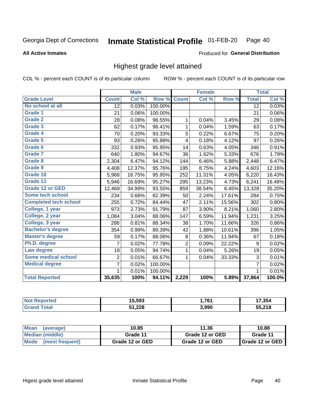### Inmate Statistical Profile 01-FEB-20 Page 40

### **All Active Inmates**

### Produced for General Distribution

## Highest grade level attained

COL % - percent each COUNT is of its particular column

|                              |                 | <b>Male</b> |         |                | <b>Female</b> |        |                 | <b>Total</b> |
|------------------------------|-----------------|-------------|---------|----------------|---------------|--------|-----------------|--------------|
| <b>Grade Level</b>           | <b>Count</b>    | Col %       | Row %   | <b>Count</b>   | Col %         | Row %  | <b>Total</b>    | Col %        |
| No school at all             | $\overline{12}$ | 0.03%       | 100.00% |                |               |        | $\overline{12}$ | 0.03%        |
| <b>Grade 1</b>               | 21              | 0.06%       | 100.00% |                |               |        | 21              | $0.06\%$     |
| <b>Grade 2</b>               | 28              | 0.08%       | 96.55%  | 1              | 0.04%         | 3.45%  | 29              | 0.08%        |
| Grade 3                      | 62              | 0.17%       | 98.41%  | $\mathbf{1}$   | 0.04%         | 1.59%  | 63              | 0.17%        |
| <b>Grade 4</b>               | 70              | 0.20%       | 93.33%  | 5              | 0.22%         | 6.67%  | 75              | 0.20%        |
| Grade 5                      | 93              | 0.26%       | 95.88%  | 4              | 0.18%         | 4.12%  | 97              | 0.26%        |
| Grade 6                      | 332             | 0.93%       | 95.95%  | 14             | 0.63%         | 4.05%  | 346             | 0.91%        |
| <b>Grade 7</b>               | 640             | 1.80%       | 94.67%  | 36             | 1.62%         | 5.33%  | 676             | 1.79%        |
| Grade 8                      | 2,304           | 6.47%       | 94.12%  | 144            | 6.46%         | 5.88%  | 2,448           | 6.47%        |
| Grade 9                      | 4,408           | 12.37%      | 95.76%  | 195            | 8.75%         | 4.24%  | 4,603           | 12.16%       |
| Grade 10                     | 5,968           | 16.75%      | 95.95%  | 252            | 11.31%        | 4.05%  | 6,220           | 16.43%       |
| Grade 11                     | 5,946           | 16.69%      | 95.27%  | 295            | 13.23%        | 4.73%  | 6,241           | 16.48%       |
| <b>Grade 12 or GED</b>       | 12,469          | 34.99%      | 93.55%  | 859            | 38.54%        | 6.45%  | 13,328          | 35.20%       |
| <b>Some tech school</b>      | 234             | 0.66%       | 82.39%  | 50             | 2.24%         | 17.61% | 284             | 0.75%        |
| <b>Completed tech school</b> | 255             | 0.72%       | 84.44%  | 47             | 2.11%         | 15.56% | 302             | 0.80%        |
| College, 1 year              | 973             | 2.73%       | 91.79%  | 87             | 3.90%         | 8.21%  | 1,060           | 2.80%        |
| College, 2 year              | 1,084           | 3.04%       | 88.06%  | 147            | 6.59%         | 11.94% | 1,231           | 3.25%        |
| College, 3 year              | 288             | 0.81%       | 88.34%  | 38             | 1.70%         | 11.66% | 326             | 0.86%        |
| <b>Bachelor's degree</b>     | 354             | 0.99%       | 89.39%  | 42             | 1.88%         | 10.61% | 396             | 1.05%        |
| <b>Master's degree</b>       | 59              | 0.17%       | 88.06%  | 8              | 0.36%         | 11.94% | 67              | 0.18%        |
| Ph.D. degree                 | 7               | 0.02%       | 77.78%  | $\overline{c}$ | 0.09%         | 22.22% | 9               | 0.02%        |
| Law degree                   | 18              | 0.05%       | 94.74%  | $\mathbf{1}$   | 0.04%         | 5.26%  | 19              | 0.05%        |
| <b>Some medical school</b>   | $\overline{2}$  | 0.01%       | 66.67%  | 1              | 0.04%         | 33.33% | 3               | 0.01%        |
| <b>Medical degree</b>        | 7               | 0.02%       | 100.00% |                |               |        | $\overline{7}$  | 0.02%        |
|                              | 1               | 0.01%       | 100.00% |                |               |        | 1               | 0.01%        |
| <b>Total Reported</b>        | 35,635          | 100%        | 94.11%  | 2,229          | 100%          | 5.89%  | 37,864          | 100.0%       |

| 15.593        | ,761  | 7.354                  |
|---------------|-------|------------------------|
| 51,228<br>___ | 3,990 | <b>EE 040</b><br>. I O |

| <b>Mean</b><br>(average) | 10.85           | 11.36           | 10.88           |
|--------------------------|-----------------|-----------------|-----------------|
| Median (middle)          | Grade 11        | Grade 12 or GED | Grade 11        |
| Mode<br>(most frequent)  | Grade 12 or GED | Grade 12 or GED | Grade 12 or GED |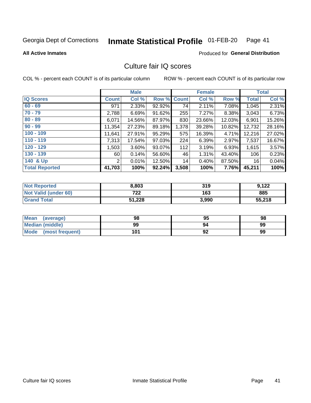### Inmate Statistical Profile 01-FEB-20 Page 41

### **All Active Inmates**

## **Produced for General Distribution**

## Culture fair IQ scores

COL % - percent each COUNT is of its particular column

|                       |              | <b>Male</b> |        |              | <b>Female</b> |          |              | <b>Total</b> |
|-----------------------|--------------|-------------|--------|--------------|---------------|----------|--------------|--------------|
| <b>IQ Scores</b>      | <b>Count</b> | Col %       | Row %  | <b>Count</b> | Col %         | Row %    | <b>Total</b> | Col %        |
| $60 - 69$             | 971          | 2.33%       | 92.92% | 74           | 2.11%         | 7.08%    | 1,045        | 2.31%        |
| $70 - 79$             | 2,788        | 6.69%       | 91.62% | 255          | 7.27%         | 8.38%    | 3,043        | 6.73%        |
| $80 - 89$             | 6,071        | 14.56%      | 87.97% | 830          | 23.66%        | 12.03%   | 6,901        | 15.26%       |
| $90 - 99$             | 11,354       | 27.23%      | 89.18% | 1,378        | 39.28%        | 10.82%   | 12,732       | 28.16%       |
| $100 - 109$           | 11,641       | 27.91%      | 95.29% | 575          | 16.39%        | 4.71%    | 12,216       | 27.02%       |
| $110 - 119$           | 7,313        | 17.54%      | 97.03% | 224          | 6.39%         | $2.97\%$ | 7,537        | 16.67%       |
| $120 - 129$           | 1,503        | $3.60\%$    | 93.07% | 112          | 3.19%         | 6.93%    | 1,615        | 3.57%        |
| $130 - 139$           | 60 l         | 0.14%       | 56.60% | 46           | 1.31%         | 43.40%   | 106          | 0.23%        |
| 140 & Up              | 2            | 0.01%       | 12.50% | 14           | 0.40%         | 87.50%   | 16           | 0.04%        |
| <b>Total Reported</b> | 41,703       | 100%        | 92.24% | 3,508        | 100%          | 7.76%    | 45,211       | 100%         |

| <b>Not Reported</b>         | 8,803  | 319   | 9,122  |
|-----------------------------|--------|-------|--------|
| <b>Not Valid (under 60)</b> | 722    | 163   | 885    |
| <b>Grand Total</b>          | 51,228 | 3,990 | 55,218 |

| <b>Mean</b><br>(average) | 98  | 95 | 98 |
|--------------------------|-----|----|----|
| <b>Median (middle)</b>   | 99  | 94 | 99 |
| Mode<br>(most frequent)  | 101 | 92 | 99 |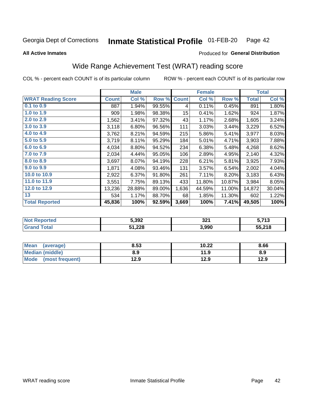### Inmate Statistical Profile 01-FEB-20 Page 42

**All Active Inmates** 

## Produced for General Distribution

# Wide Range Achievement Test (WRAT) reading score

COL % - percent each COUNT is of its particular column

|                           |              | <b>Male</b> |        |              | <b>Female</b> |        |              | <b>Total</b> |
|---------------------------|--------------|-------------|--------|--------------|---------------|--------|--------------|--------------|
| <b>WRAT Reading Score</b> | <b>Count</b> | Col %       | Row %  | <b>Count</b> | Col %         | Row %  | <b>Total</b> | Col %        |
| $0.1$ to $0.9$            | 887          | 1.94%       | 99.55% | 4            | 0.11%         | 0.45%  | 891          | 1.80%        |
| 1.0 to 1.9                | 909          | 1.98%       | 98.38% | 15           | 0.41%         | 1.62%  | 924          | 1.87%        |
| 2.0 to 2.9                | 1,562        | 3.41%       | 97.32% | 43           | 1.17%         | 2.68%  | 1,605        | 3.24%        |
| 3.0 to 3.9                | 3,118        | 6.80%       | 96.56% | 111          | 3.03%         | 3.44%  | 3,229        | 6.52%        |
| 4.0 to 4.9                | 3,762        | 8.21%       | 94.59% | 215          | 5.86%         | 5.41%  | 3,977        | 8.03%        |
| 5.0 to 5.9                | 3,719        | 8.11%       | 95.29% | 184          | 5.01%         | 4.71%  | 3,903        | 7.88%        |
| 6.0 to 6.9                | 4,034        | 8.80%       | 94.52% | 234          | 6.38%         | 5.48%  | 4,268        | 8.62%        |
| 7.0 to 7.9                | 2,034        | 4.44%       | 95.05% | 106          | 2.89%         | 4.95%  | 2,140        | 4.32%        |
| 8.0 to 8.9                | 3,697        | 8.07%       | 94.19% | 228          | 6.21%         | 5.81%  | 3,925        | 7.93%        |
| 9.0 to 9.9                | 1,871        | 4.08%       | 93.46% | 131          | 3.57%         | 6.54%  | 2,002        | 4.04%        |
| 10.0 to 10.9              | 2,922        | 6.37%       | 91.80% | 261          | 7.11%         | 8.20%  | 3,183        | 6.43%        |
| 11.0 to 11.9              | 3,551        | 7.75%       | 89.13% | 433          | 11.80%        | 10.87% | 3,984        | 8.05%        |
| 12.0 to 12.9              | 13,236       | 28.88%      | 89.00% | 1,636        | 44.59%        | 11.00% | 14,872       | 30.04%       |
| 13                        | 534          | 1.17%       | 88.70% | 68           | 1.85%         | 11.30% | 602          | 1.22%        |
| <b>Total Reported</b>     | 45,836       | 100%        | 92.59% | 3,669        | 100%          | 7.41%  | 49,505       | 100%         |

| rted<br>NO          | 5,392  | 321   | . 749<br>- 19 |
|---------------------|--------|-------|---------------|
| $f$ $f$ $f$ $f$ $f$ | 51,228 | 3,990 | 55,218        |

| Mean<br>(average)       | 8.53 | 10.22 | 8.66 |
|-------------------------|------|-------|------|
| Median (middle)         | 8.9  | 11.9  | 8.9  |
| Mode<br>(most frequent) | 12.9 | 12.9  | 12.9 |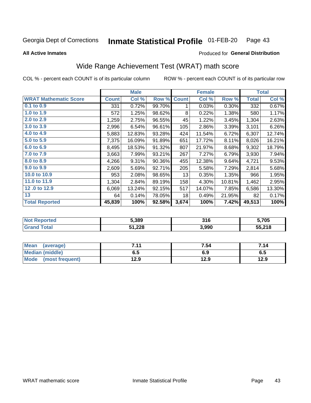### Inmate Statistical Profile 01-FEB-20 Page 43

**All Active Inmates** 

## Produced for General Distribution

# Wide Range Achievement Test (WRAT) math score

COL % - percent each COUNT is of its particular column

|                              |              | <b>Male</b> |        |              | <b>Female</b> |        |              | <b>Total</b> |
|------------------------------|--------------|-------------|--------|--------------|---------------|--------|--------------|--------------|
| <b>WRAT Mathematic Score</b> | <b>Count</b> | Col %       | Row %  | <b>Count</b> | Col %         | Row %  | <b>Total</b> | Col %        |
| 0.1 to 0.9                   | 331          | 0.72%       | 99.70% | 1            | 0.03%         | 0.30%  | 332          | 0.67%        |
| 1.0 to 1.9                   | 572          | 1.25%       | 98.62% | 8            | 0.22%         | 1.38%  | 580          | 1.17%        |
| 2.0 to 2.9                   | 1,259        | 2.75%       | 96.55% | 45           | 1.22%         | 3.45%  | 1,304        | 2.63%        |
| 3.0 to 3.9                   | 2,996        | 6.54%       | 96.61% | 105          | 2.86%         | 3.39%  | 3,101        | 6.26%        |
| 4.0 to 4.9                   | 5,883        | 12.83%      | 93.28% | 424          | 11.54%        | 6.72%  | 6,307        | 12.74%       |
| 5.0 to 5.9                   | 7,375        | 16.09%      | 91.89% | 651          | 17.72%        | 8.11%  | 8,026        | 16.21%       |
| 6.0 to 6.9                   | 8,495        | 18.53%      | 91.32% | 807          | 21.97%        | 8.68%  | 9,302        | 18.79%       |
| 7.0 to 7.9                   | 3,663        | 7.99%       | 93.21% | 267          | 7.27%         | 6.79%  | 3,930        | 7.94%        |
| 8.0 to 8.9                   | 4,266        | 9.31%       | 90.36% | 455          | 12.38%        | 9.64%  | 4,721        | 9.53%        |
| 9.0 to 9.9                   | 2,609        | 5.69%       | 92.71% | 205          | 5.58%         | 7.29%  | 2,814        | 5.68%        |
| 10.0 to 10.9                 | 953          | 2.08%       | 98.65% | 13           | 0.35%         | 1.35%  | 966          | 1.95%        |
| 11.0 to 11.9                 | 1,304        | 2.84%       | 89.19% | 158          | 4.30%         | 10.81% | 1,462        | 2.95%        |
| 12.0 to 12.9                 | 6,069        | 13.24%      | 92.15% | 517          | 14.07%        | 7.85%  | 6,586        | 13.30%       |
| 13                           | 64           | 0.14%       | 78.05% | 18           | 0.49%         | 21.95% | 82           | 0.17%        |
| <b>Total Reported</b>        | 45,839       | 100%        | 92.58% | 3,674        | 100%          | 7.42%  | 49,513       | 100%         |

| <b>Reported</b><br><b>NO</b> t | 5.389  | 21 G<br>JIU | 5,705  |
|--------------------------------|--------|-------------|--------|
| `otal                          | 51,228 | 3,990       | 55,218 |

| <b>Mean</b><br>(average)       | 7 4 4 | 7.54 | 7.14 |
|--------------------------------|-------|------|------|
| Median (middle)                | כ.ס   | 6.9  | დ.g  |
| <b>Mode</b><br>(most frequent) | l2.9  | 12.9 | 12.9 |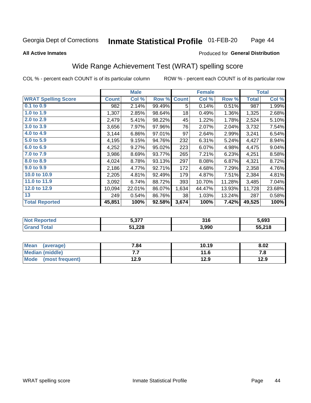### **Inmate Statistical Profile 01-FEB-20** Page 44

### **All Active Inmates**

## Produced for General Distribution

# Wide Range Achievement Test (WRAT) spelling score

COL % - percent each COUNT is of its particular column

|                            |              | <b>Male</b> |        |              | <b>Female</b> |        |              | <b>Total</b> |
|----------------------------|--------------|-------------|--------|--------------|---------------|--------|--------------|--------------|
| <b>WRAT Spelling Score</b> | <b>Count</b> | Col %       | Row %  | <b>Count</b> | Col %         | Row %  | <b>Total</b> | Col %        |
| $0.1$ to $0.9$             | 982          | 2.14%       | 99.49% | 5            | 0.14%         | 0.51%  | 987          | 1.99%        |
| 1.0 to 1.9                 | 1,307        | 2.85%       | 98.64% | 18           | 0.49%         | 1.36%  | 1,325        | 2.68%        |
| 2.0 to 2.9                 | 2,479        | 5.41%       | 98.22% | 45           | 1.22%         | 1.78%  | 2,524        | 5.10%        |
| 3.0 to 3.9                 | 3,656        | 7.97%       | 97.96% | 76           | 2.07%         | 2.04%  | 3,732        | 7.54%        |
| 4.0 to 4.9                 | 3,144        | 6.86%       | 97.01% | 97           | 2.64%         | 2.99%  | 3,241        | 6.54%        |
| 5.0 to 5.9                 | 4,195        | 9.15%       | 94.76% | 232          | 6.31%         | 5.24%  | 4,427        | 8.94%        |
| 6.0 to 6.9                 | 4,252        | 9.27%       | 95.02% | 223          | 6.07%         | 4.98%  | 4,475        | 9.04%        |
| 7.0 to 7.9                 | 3,986        | 8.69%       | 93.77% | 265          | 7.21%         | 6.23%  | 4,251        | 8.58%        |
| 8.0 to 8.9                 | 4,024        | 8.78%       | 93.13% | 297          | 8.08%         | 6.87%  | 4,321        | 8.72%        |
| 9.0 to 9.9                 | 2,186        | 4.77%       | 92.71% | 172          | 4.68%         | 7.29%  | 2,358        | 4.76%        |
| 10.0 to 10.9               | 2,205        | 4.81%       | 92.49% | 179          | 4.87%         | 7.51%  | 2,384        | 4.81%        |
| 11.0 to 11.9               | 3,092        | 6.74%       | 88.72% | 393          | 10.70%        | 11.28% | 3,485        | 7.04%        |
| 12.0 to 12.9               | 10,094       | 22.01%      | 86.07% | 1,634        | 44.47%        | 13.93% | 11,728       | 23.68%       |
| 13                         | 249          | 0.54%       | 86.76% | 38           | 1.03%         | 13.24% | 287          | 0.58%        |
| <b>Total Reported</b>      | 45,851       | 100%        | 92.58% | 3,674        | 100%          | 7.42%  | 49,525       | 100%         |

| ר frteo<br><b>NOT</b> | 5,377  | 316   | 5.693  |
|-----------------------|--------|-------|--------|
| $f$ $f \circ f$       | 51,228 | 3,990 | 55,218 |

| <b>Mean</b><br>(average) | 7.84 | 10.19 | 8.02 |
|--------------------------|------|-------|------|
| Median (middle)          | .    | 11.6  | 7. L |
| Mode<br>(most frequent)  | 12.9 | 12.9  | 12.9 |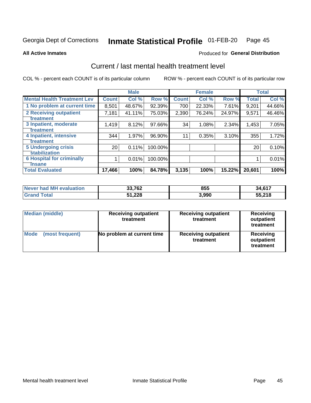### Inmate Statistical Profile 01-FEB-20 Page 45

**All Active Inmates** 

## **Produced for General Distribution**

# Current / last mental health treatment level

COL % - percent each COUNT is of its particular column

|                                    |                 | <b>Male</b> |         |              | <b>Female</b> |        |              | <b>Total</b> |
|------------------------------------|-----------------|-------------|---------|--------------|---------------|--------|--------------|--------------|
| <b>Mental Health Treatment Lev</b> | <b>Count</b>    | Col %       | Row %   | <b>Count</b> | Col %         | Row %  | <b>Total</b> | Col %        |
| 1 No problem at current time       | 8,501           | 48.67%      | 92.39%  | 700          | 22.33%        | 7.61%  | 9,201        | 44.66%       |
| 2 Receiving outpatient             | 7,181           | 41.11%      | 75.03%  | 2,390        | 76.24%        | 24.97% | 9,571        | 46.46%       |
| <b>Treatment</b>                   |                 |             |         |              |               |        |              |              |
| 3 Inpatient, moderate              | 1,419           | 8.12%       | 97.66%  | 34           | 1.08%         | 2.34%  | 1,453        | 7.05%        |
| <b>Treatment</b>                   |                 |             |         |              |               |        |              |              |
| 4 Inpatient, intensive             | 344             | 1.97%       | 96.90%  | 11           | 0.35%         | 3.10%  | 355          | 1.72%        |
| Treatment                          |                 |             |         |              |               |        |              |              |
| <b>5 Undergoing crisis</b>         | 20 <sub>1</sub> | 0.11%       | 100.00% |              |               |        | 20           | 0.10%        |
| <b>stabilization</b>               |                 |             |         |              |               |        |              |              |
| <b>6 Hospital for criminally</b>   |                 | 0.01%       | 100.00% |              |               |        |              | 0.01%        |
| <b>Tinsane</b>                     |                 |             |         |              |               |        |              |              |
| <b>Total Evaluated</b>             | 17,466          | 100%        | 84.78%  | 3,135        | 100%          | 15.22% | 20,601       | 100%         |

| Never had MH evaluation | 33,762 | 855   | 34,617 |
|-------------------------|--------|-------|--------|
| <b>Grand Total</b>      | 51,228 | 3,990 | 55,218 |

| <b>Median (middle)</b>         | <b>Receiving outpatient</b><br>treatment | <b>Receiving outpatient</b><br>treatment | <b>Receiving</b><br>outpatient<br>treatment |  |  |
|--------------------------------|------------------------------------------|------------------------------------------|---------------------------------------------|--|--|
| <b>Mode</b><br>(most frequent) | No problem at current time               | <b>Receiving outpatient</b><br>treatment | Receiving<br>outpatient<br>treatment        |  |  |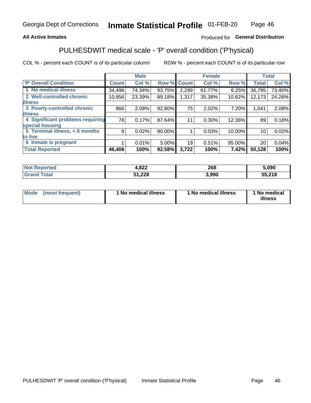## **All Active Inmates**

## Produced for General Distribution

# PULHESDWIT medical scale - 'P' overall condition ('P'hysical)

COL % - percent each COUNT is of its particular column

|                                  |              | <b>Male</b> |        |              | <b>Female</b> |        |              | <b>Total</b> |
|----------------------------------|--------------|-------------|--------|--------------|---------------|--------|--------------|--------------|
| <b>P' Overall Condition</b>      | <b>Count</b> | Col %       | Row %  | <b>Count</b> | Col %         | Row %  | <b>Total</b> | Col %        |
| 1 No medical illness             | 34,496       | 74.34%      | 93.75% | 2,299        | 61.77%        | 6.25%  | 36,795       | 73.40%       |
| 2 Well-controlled chronic        | 10,856       | 23.39%      | 89.18% | 1,317        | 35.38%        | 10.82% | 12,173       | 24.28%       |
| <b>lillness</b>                  |              |             |        |              |               |        |              |              |
| 3 Poorly-controlled chronic      | 966          | 2.08%       | 92.80% | 75           | 2.02%         | 7.20%  | 1,041        | 2.08%        |
| <b>illness</b>                   |              |             |        |              |               |        |              |              |
| 4 Significant problems requiring | 78           | 0.17%       | 87.64% |              | 0.30%         | 12.36% | 89           | 0.18%        |
| special housing                  |              |             |        |              |               |        |              |              |
| 5 Terminal illness, < 6 months   | 9            | 0.02%       | 90.00% |              | 0.03%         | 10.00% | 10           | 0.02%        |
| to live                          |              |             |        |              |               |        |              |              |
| 6 Inmate is pregnant             |              | 0.01%       | 5.00%  | 19           | 0.51%         | 95.00% | 20           | 0.04%        |
| <b>Total Reported</b>            | 46,406       | 100%        | 92.58% | 3,722        | 100%          | 7.42%  | 50,128       | 100%         |

| тео | റാറ<br>4.OZZ     | 268  | 5.090            |
|-----|------------------|------|------------------|
|     | $\sim$<br>022. ا | .990 | EE 740<br>.Z I C |

| Mode<br>(most frequent) | 1 No medical illness | <sup>1</sup> No medical illness | 1 No medical<br>illness |
|-------------------------|----------------------|---------------------------------|-------------------------|
|-------------------------|----------------------|---------------------------------|-------------------------|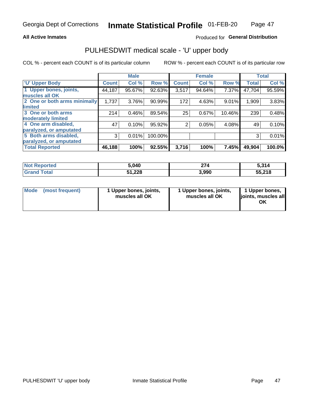## **All Active Inmates**

## Produced for General Distribution

# PULHESDWIT medical scale - 'U' upper body

COL % - percent each COUNT is of its particular column

|                              |              | <b>Male</b> |         |                | <b>Female</b> |        |              | <b>Total</b> |
|------------------------------|--------------|-------------|---------|----------------|---------------|--------|--------------|--------------|
| <b>U' Upper Body</b>         | <b>Count</b> | Col %       | Row %   | <b>Count</b>   | Col %         | Row %  | <b>Total</b> | Col %        |
| 1 Upper bones, joints,       | 44,187       | 95.67%      | 92.63%  | 3,517          | 94.64%        | 7.37%  | 47,704       | 95.59%       |
| muscles all OK               |              |             |         |                |               |        |              |              |
| 2 One or both arms minimally | 1,737        | 3.76%       | 90.99%  | 172            | 4.63%         | 9.01%  | 1,909        | 3.83%        |
| limited                      |              |             |         |                |               |        |              |              |
| 3 One or both arms           | 214          | 0.46%       | 89.54%  | 25             | 0.67%         | 10.46% | 239          | 0.48%        |
| <b>moderately limited</b>    |              |             |         |                |               |        |              |              |
| 4 One arm disabled,          | 47           | 0.10%       | 95.92%  | $\overline{2}$ | 0.05%         | 4.08%  | 49           | 0.10%        |
| paralyzed, or amputated      |              |             |         |                |               |        |              |              |
| 5 Both arms disabled,        | 3            | 0.01%       | 100.00% |                |               |        | 3            | 0.01%        |
| paralyzed, or amputated      |              |             |         |                |               |        |              |              |
| <b>Total Reported</b>        | 46,188       | 100%        | 92.55%  | 3,716          | 100%          | 7.45%  | 49,904       | 100.0%       |

| <b>Not Reported</b> | 5,040  | 274   | 5,314  |
|---------------------|--------|-------|--------|
| <b>Grand Total</b>  | 51,228 | 3,990 | 55,218 |

| Mode<br>(most frequent) | 1 Upper bones, joints,<br>muscles all OK | 1 Upper bones, joints,<br>muscles all OK | 1 Upper bones,<br>joints, muscles all<br>ΟK |
|-------------------------|------------------------------------------|------------------------------------------|---------------------------------------------|
|-------------------------|------------------------------------------|------------------------------------------|---------------------------------------------|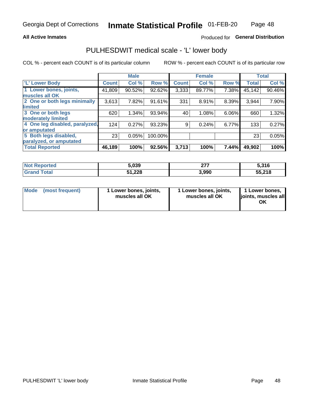## **All Active Inmates**

## Produced for General Distribution

## PULHESDWIT medical scale - 'L' lower body

COL % - percent each COUNT is of its particular column

|                                |              | <b>Male</b> |         |              | <b>Female</b> |       |              | <b>Total</b> |
|--------------------------------|--------------|-------------|---------|--------------|---------------|-------|--------------|--------------|
| 'L' Lower Body                 | <b>Count</b> | Col %       | Row %   | <b>Count</b> | Col %         | Row % | <b>Total</b> | Col %        |
| 1 Lower bones, joints,         | 41,809       | 90.52%      | 92.62%  | 3,333        | 89.77%        | 7.38% | 45,142       | 90.46%       |
| muscles all OK                 |              |             |         |              |               |       |              |              |
| 2 One or both legs minimally   | 3,613        | 7.82%       | 91.61%  | 331          | 8.91%         | 8.39% | 3,944        | 7.90%        |
| limited                        |              |             |         |              |               |       |              |              |
| 3 One or both legs             | 620          | 1.34%       | 93.94%  | 40           | 1.08%         | 6.06% | 660          | 1.32%        |
| moderately limited             |              |             |         |              |               |       |              |              |
| 4 One leg disabled, paralyzed, | 124          | 0.27%       | 93.23%  | 9            | 0.24%         | 6.77% | 133          | 0.27%        |
| or amputated                   |              |             |         |              |               |       |              |              |
| 5 Both legs disabled,          | 23           | 0.05%       | 100.00% |              |               |       | 23           | 0.05%        |
| paralyzed, or amputated        |              |             |         |              |               |       |              |              |
| <b>Total Reported</b>          | 46,189       | 100%        | 92.56%  | 3,713        | 100%          | 7.44% | 49,902       | 100%         |

| <b>Not Reported</b> | 5,039  | ヘフワ<br>Z I I | 5,316  |
|---------------------|--------|--------------|--------|
| <b>Grand Total</b>  | 51,228 | 3,990        | 55,218 |

| Mode | (most frequent) | 1 Lower bones, joints,<br>muscles all OK | I Lower bones, joints,<br>muscles all OK | 1 Lower bones,<br>joints, muscles all<br>ΟK |
|------|-----------------|------------------------------------------|------------------------------------------|---------------------------------------------|
|------|-----------------|------------------------------------------|------------------------------------------|---------------------------------------------|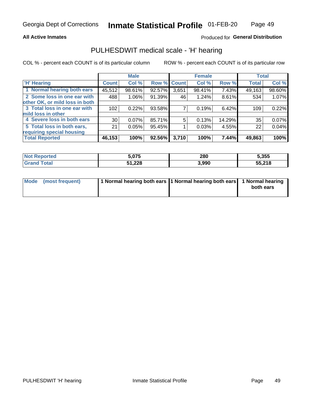## **All Active Inmates**

## Produced for General Distribution

## PULHESDWIT medical scale - 'H' hearing

COL % - percent each COUNT is of its particular column

|                                |              | <b>Male</b> |             |       | <b>Female</b> |        | <b>Total</b> |        |
|--------------------------------|--------------|-------------|-------------|-------|---------------|--------|--------------|--------|
| <b>H' Hearing</b>              | <b>Count</b> | Col %       | Row % Count |       | Col %         | Row %  | <b>Total</b> | Col %  |
| 1 Normal hearing both ears     | 45,512       | 98.61%      | 92.57%      | 3,651 | 98.41%        | 7.43%  | 49,163       | 98.60% |
| 2 Some loss in one ear with    | 488          | 1.06%       | 91.39%      | 46    | 1.24%         | 8.61%  | 534          | 1.07%  |
| other OK, or mild loss in both |              |             |             |       |               |        |              |        |
| 3 Total loss in one ear with   | 102          | 0.22%       | 93.58%      |       | 0.19%         | 6.42%  | 109          | 0.22%  |
| mild loss in other             |              |             |             |       |               |        |              |        |
| 4 Severe loss in both ears     | 30           | $0.07\%$    | 85.71%      | 5     | 0.13%         | 14.29% | 35           | 0.07%  |
| 5 Total loss in both ears,     | 21           | 0.05%       | 95.45%      |       | 0.03%         | 4.55%  | 22           | 0.04%  |
| requiring special housing      |              |             |             |       |               |        |              |        |
| <b>Total Reported</b>          | 46,153       | 100%        | 92.56%      | 3,710 | 100%          | 7.44%  | 49,863       | 100%   |

| <b>orted</b><br>' NO) | 5,075  | 280   | 5,355  |
|-----------------------|--------|-------|--------|
| $F$ ntal<br>υιαι      | 51,228 | 3,990 | 55,218 |

| Mode (most frequent) | 1 Normal hearing both ears 11 Normal hearing both ears 1 Normal hearing | both ears |
|----------------------|-------------------------------------------------------------------------|-----------|
|                      |                                                                         |           |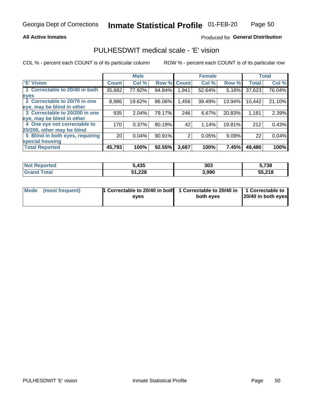## **All Active Inmates**

## Produced for General Distribution

## PULHESDWIT medical scale - 'E' vision

COL % - percent each COUNT is of its particular column

|                                 |              | <b>Male</b> |        |              | <b>Female</b> |        |              | <b>Total</b> |
|---------------------------------|--------------|-------------|--------|--------------|---------------|--------|--------------|--------------|
| <b>E' Vision</b>                | <b>Count</b> | Col %       | Row %  | <b>Count</b> | Col %         | Row %  | <b>Total</b> | Col %        |
| 1 Correctable to 20/40 in both  | 35,682       | 77.92%      | 94.84% | 1,941        | 52.64%        | 5.16%  | 37,623       | 76.04%       |
| eyes                            |              |             |        |              |               |        |              |              |
| 2 Correctable to 20/70 in one   | 8,986        | 19.62%      | 86.06% | 1,456        | 39.49%        | 13.94% | 10,442       | 21.10%       |
| eye, may be blind in other      |              |             |        |              |               |        |              |              |
| 3 Correctable to 20/200 in one  | 935          | 2.04%       | 79.17% | 246          | 6.67%         | 20.83% | 1,181        | 2.39%        |
| eye, may be blind in other      |              |             |        |              |               |        |              |              |
| 4 One eye not correctable to    | 170          | 0.37%       | 80.19% | 42           | 1.14%         | 19.81% | 212          | 0.43%        |
| 20/200, other may be blind      |              |             |        |              |               |        |              |              |
| 5 Blind in both eyes, requiring | 20           | 0.04%       | 90.91% | 2            | 0.05%         | 9.09%  | 22           | 0.04%        |
| special housing                 |              |             |        |              |               |        |              |              |
| <b>Total Reported</b>           | 45,793       | 100%        | 92.55% | 3,687        | 100%          | 7.45%  | 49,480       | 100%         |

| <b>Not Reported</b> | 5,435  | 303   | 5,738  |
|---------------------|--------|-------|--------|
| <b>Total</b>        | 51,228 | 3,990 | 55,218 |

| Mode (most frequent) | 1 Correctable to 20/40 in both<br>eves | 1 Correctable to 20/40 in   1 Correctable to  <br>both eves | 20/40 in both eyes |
|----------------------|----------------------------------------|-------------------------------------------------------------|--------------------|
|                      |                                        |                                                             |                    |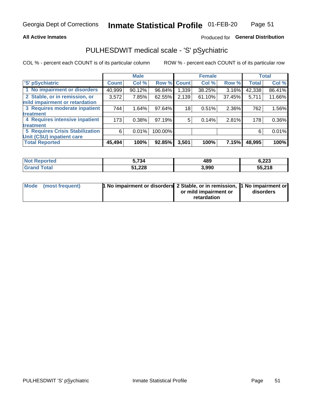## **All Active Inmates**

## Produced for General Distribution

# PULHESDWIT medical scale - 'S' pSychiatric

COL % - percent each COUNT is of its particular column

|                                        |              | <b>Male</b> |         |             | <b>Female</b> |        |              | <b>Total</b> |
|----------------------------------------|--------------|-------------|---------|-------------|---------------|--------|--------------|--------------|
| 'S' pSychiatric                        | <b>Count</b> | Col %       |         | Row % Count | Col %         | Row %  | <b>Total</b> | Col %        |
| 1 No impairment or disorders           | 40,999       | 90.12%      | 96.84%  | ا 339.ا     | 38.25%        | 3.16%  | 42,338       | 86.41%       |
| 2 Stable, or in remission, or          | 3,572        | 7.85%       | 62.55%  | 2,139       | 61.10%        | 37.45% | 5,711        | 11.66%       |
| mild impairment or retardation         |              |             |         |             |               |        |              |              |
| 3 Requires moderate inpatient          | 744          | 1.64%       | 97.64%  | 18          | 0.51%         | 2.36%  | 762          | 1.56%        |
| treatment                              |              |             |         |             |               |        |              |              |
| 4 Requires intensive inpatient         | 173          | 0.38%       | 97.19%  | 5.          | 0.14%         | 2.81%  | 178          | 0.36%        |
| treatment                              |              |             |         |             |               |        |              |              |
| <b>5 Requires Crisis Stabilization</b> | 6            | 0.01%       | 100.00% |             |               |        | 6            | 0.01%        |
| Unit (CSU) inpatient care              |              |             |         |             |               |        |              |              |
| <b>Total Reported</b>                  | 45,494       | 100%        | 92.85%  | 3,501       | 100%          | 7.15%  | 48,995       | 100%         |

| <b>Not Reported</b>     | 5,734  | 489   | 6,223  |
|-------------------------|--------|-------|--------|
| <b>Total</b><br>' Grand | 51,228 | 3,990 | 55,218 |

| Mode (most frequent) | <b>1 No impairment or disorders 2 Stable, or in remission, 1 No impairment or</b> |                       |           |
|----------------------|-----------------------------------------------------------------------------------|-----------------------|-----------|
|                      |                                                                                   | or mild impairment or | disorders |
|                      |                                                                                   | retardation           |           |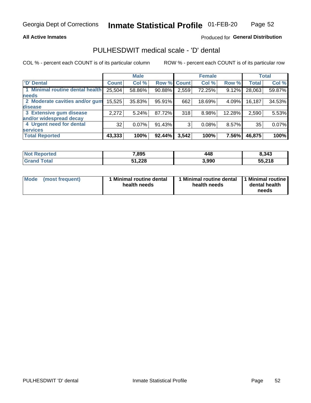## **All Active Inmates**

## Produced for General Distribution

## PULHESDWIT medical scale - 'D' dental

COL % - percent each COUNT is of its particular column

|                                 |              | <b>Male</b> |           |              | <b>Female</b> |          |              | <b>Total</b> |
|---------------------------------|--------------|-------------|-----------|--------------|---------------|----------|--------------|--------------|
| <b>D'</b> Dental                | <b>Count</b> | Col %       | Row %     | <b>Count</b> | Col %         | Row %    | <b>Total</b> | Col %        |
| 1 Minimal routine dental health | 25,504       | 58.86%      | 90.88%    | 2,559        | 72.25%        | 9.12%    | 28,063       | 59.87%       |
| <b>needs</b>                    |              |             |           |              |               |          |              |              |
| 2 Moderate cavities and/or gum  | 15,525       | 35.83%      | 95.91%    | 662          | 18.69%        | 4.09%    | 16,187       | 34.53%       |
| disease                         |              |             |           |              |               |          |              |              |
| 3 Extensive gum disease         | 2,272        | 5.24%       | 87.72%    | 318          | 8.98%         | 12.28%   | 2,590        | 5.53%        |
| and/or widespread decay         |              |             |           |              |               |          |              |              |
| 4 Urgent need for dental        | 32           | $0.07\%$    | 91.43%    | 3            | 0.08%         | $8.57\%$ | 35           | 0.07%        |
| <b>services</b>                 |              |             |           |              |               |          |              |              |
| <b>Total Reported</b>           | 43,333       | 100%        | $92.44\%$ | 3,542        | 100%          | 7.56%    | 46,875       | 100%         |

| Not R<br><b>Prorted</b> | 7,895  | 448   | 8,343  |
|-------------------------|--------|-------|--------|
| Гоtal                   | 51,228 | 3,990 | 55,218 |

| <b>Mode</b> | (most frequent) | Minimal routine dental<br>health needs | 1 Minimal routine dental 11 Minimal routine<br>health needs | dental health<br>needs |
|-------------|-----------------|----------------------------------------|-------------------------------------------------------------|------------------------|
|-------------|-----------------|----------------------------------------|-------------------------------------------------------------|------------------------|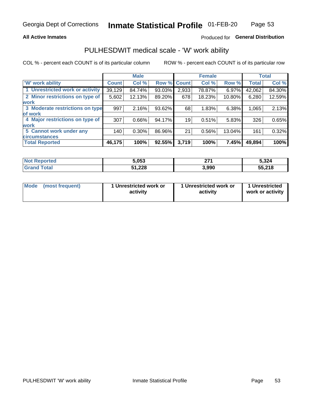## **All Active Inmates**

## Produced for General Distribution

## PULHESDWIT medical scale - 'W' work ability

COL % - percent each COUNT is of its particular column

|                                 |              | <b>Male</b> |        |              | <b>Female</b> |        |              | <b>Total</b> |
|---------------------------------|--------------|-------------|--------|--------------|---------------|--------|--------------|--------------|
| <b>W' work ability</b>          | <b>Count</b> | Col %       | Row %  | <b>Count</b> | Col %         | Row %  | <b>Total</b> | Col %        |
| 1 Unrestricted work or activity | 39,129       | 84.74%      | 93.03% | 2,933        | 78.87%        | 6.97%  | 42,062       | 84.30%       |
| 2 Minor restrictions on type of | 5,602        | 12.13%      | 89.20% | 678          | 18.23%        | 10.80% | 6,280        | 12.59%       |
| <b>work</b>                     |              |             |        |              |               |        |              |              |
| 3 Moderate restrictions on type | 997          | 2.16%       | 93.62% | 68           | 1.83%         | 6.38%  | 1,065        | 2.13%        |
| lof work                        |              |             |        |              |               |        |              |              |
| 4 Major restrictions on type of | 307          | 0.66%       | 94.17% | 19           | 0.51%         | 5.83%  | 326          | 0.65%        |
| <b>work</b>                     |              |             |        |              |               |        |              |              |
| 5 Cannot work under any         | 140          | $0.30\%$    | 86.96% | 21           | 0.56%         | 13.04% | 161          | 0.32%        |
| <b>circumstances</b>            |              |             |        |              |               |        |              |              |
| <b>Total Reported</b>           | 46,175       | 100%        | 92.55% | 3,719        | 100%          | 7.45%  | 49,894       | 100%         |

| <b>Not Reported</b>   | 5,053  | 274<br>41 I | 5,324  |
|-----------------------|--------|-------------|--------|
| Total<br><b>Grand</b> | 51,228 | 3,990       | 55,218 |

| <b>Mode</b>     | 1 Unrestricted work or | 1 Unrestricted work or | 1 Unrestricted   |
|-----------------|------------------------|------------------------|------------------|
| (most frequent) | activity               | activity               | work or activity |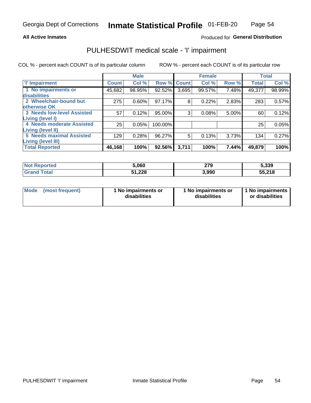## **All Active Inmates**

## Produced for General Distribution

# PULHESDWIT medical scale - 'I' impairment

COL % - percent each COUNT is of its particular column

|                                                       |              | <b>Male</b> |         |             | <b>Female</b> |       |              | <b>Total</b> |
|-------------------------------------------------------|--------------|-------------|---------|-------------|---------------|-------|--------------|--------------|
| <b>T' Impairment</b>                                  | <b>Count</b> | Col %       |         | Row % Count | Col %         | Row % | <b>Total</b> | Col %        |
| 1 No impairments or<br>disabilities                   | 45,682       | 98.95%      | 92.52%  | 3,695       | 99.57%        | 7.48% | 49,377       | 98.99%       |
| 2 Wheelchair-bound but<br>otherwise OK                | 275          | 0.60%       | 97.17%  | 8           | 0.22%         | 2.83% | 283          | 0.57%        |
| <b>3 Needs low-level Assisted</b><br>Living (level I) | 57           | 0.12%       | 95.00%  | 3           | 0.08%         | 5.00% | 60           | 0.12%        |
| 4 Needs moderate Assisted<br>Living (level II)        | 25           | 0.05%       | 100.00% |             |               |       | 25           | 0.05%        |
| <b>5 Needs maximal Assisted</b><br>Living (level III) | 129          | 0.28%       | 96.27%  | 5           | 0.13%         | 3.73% | 134          | 0.27%        |
| <b>Total Reported</b>                                 | 46, 168      | 100%        | 92.56%  | 3,711       | 100%          | 7.44% | 49,879       | 100%         |

| <b>Not</b><br>Reported | 5,060  | 279<br>__ | 5,339  |
|------------------------|--------|-----------|--------|
| Total                  | 51,228 | 3,990     | 55,218 |

| Mode            | 1 No impairments or | 1 No impairments or | 1 No impairments |
|-----------------|---------------------|---------------------|------------------|
| (most frequent) | disabilities        | disabilities        | or disabilities  |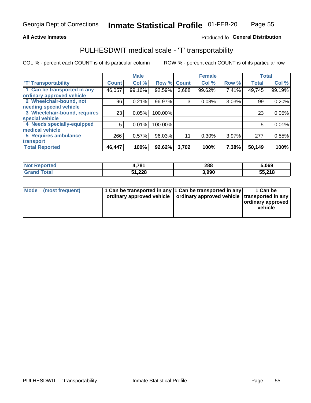## **All Active Inmates**

## Produced fo General Distribution

## PULHESDWIT medical scale - 'T' transportability

COL % - percent each COUNT is of its particular column

|                              |              | <b>Male</b> |         |              | <b>Female</b> |       |              | <b>Total</b> |
|------------------------------|--------------|-------------|---------|--------------|---------------|-------|--------------|--------------|
| <b>T' Transportability</b>   | <b>Count</b> | Col %       | Row %   | <b>Count</b> | Col %         | Row % | <b>Total</b> | Col %        |
| 1 Can be transported in any  | 46,057       | 99.16%      | 92.59%  | 3,688        | 99.62%        | 7.41% | 49,745       | 99.19%       |
| ordinary approved vehicle    |              |             |         |              |               |       |              |              |
| 2 Wheelchair-bound, not      | 96           | 0.21%       | 96.97%  | 3            | 0.08%         | 3.03% | 99           | 0.20%        |
| needing special vehicle      |              |             |         |              |               |       |              |              |
| 3 Wheelchair-bound, requires | 23           | 0.05%       | 100.00% |              |               |       | 23           | 0.05%        |
| special vehicle              |              |             |         |              |               |       |              |              |
| 4 Needs specially-equipped   | 5            | 0.01%       | 100.00% |              |               |       | 5            | 0.01%        |
| medical vehicle              |              |             |         |              |               |       |              |              |
| <b>5 Requires ambulance</b>  | 266          | 0.57%       | 96.03%  | 11           | 0.30%         | 3.97% | 277          | 0.55%        |
| transport                    |              |             |         |              |               |       |              |              |
| <b>Total Reported</b>        | 46,447       | 100%        | 92.62%  | 3,702        | 100%          | 7.38% | 50,149       | 100%         |

| <b>Not</b><br><b>Reported</b> | .781   | 288   | 5,069  |
|-------------------------------|--------|-------|--------|
| <b>otal</b>                   | 51,228 | 3,990 | 55,218 |

|  | Mode (most frequent) | 1 Can be transported in any 1 Can be transported in any<br>ordinary approved vehicle   ordinary approved vehicle   transported in any |  | 1 Can be<br>  ordinary approved  <br>vehicle |
|--|----------------------|---------------------------------------------------------------------------------------------------------------------------------------|--|----------------------------------------------|
|--|----------------------|---------------------------------------------------------------------------------------------------------------------------------------|--|----------------------------------------------|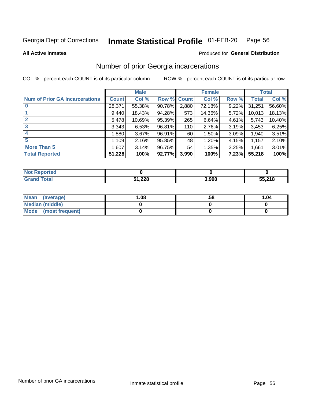#### Inmate Statistical Profile 01-FEB-20 Page 56

**All Active Inmates** 

## **Produced for General Distribution**

## Number of prior Georgia incarcerations

COL % - percent each COUNT is of its particular column

|                                       |              | <b>Male</b> |             |       | <b>Female</b> |       |        | <b>Total</b> |
|---------------------------------------|--------------|-------------|-------------|-------|---------------|-------|--------|--------------|
| <b>Num of Prior GA Incarcerations</b> | <b>Count</b> | Col %       | Row % Count |       | Col %         | Row % | Total  | Col %        |
| $\bf{0}$                              | 28,371       | 55.38%      | 90.78%      | 2,880 | 72.18%        | 9.22% | 31,251 | 56.60%       |
|                                       | 9,440        | 18.43%      | 94.28%      | 573   | 14.36%        | 5.72% | 10,013 | 18.13%       |
| $\overline{2}$                        | 5,478        | 10.69%      | 95.39%      | 265   | 6.64%         | 4.61% | 5,743  | 10.40%       |
| 3                                     | 3,343        | 6.53%       | 96.81%      | 110   | 2.76%         | 3.19% | 3,453  | 6.25%        |
| $\boldsymbol{4}$                      | 1,880        | 3.67%       | 96.91%      | 60    | 1.50%         | 3.09% | 1,940  | 3.51%        |
| 5                                     | 1,109        | 2.16%       | 95.85%      | 48    | 1.20%         | 4.15% | 1,157  | 2.10%        |
| <b>More Than 5</b>                    | 1,607        | 3.14%       | 96.75%      | 54    | 1.35%         | 3.25% | 1,661  | 3.01%        |
| <b>Total Reported</b>                 | 51,228       | 100%        | 92.77%      | 3,990 | 100%          | 7.23% | 55,218 | 100%         |

| <b>Not</b><br><b>' Reported</b> |        |       |        |
|---------------------------------|--------|-------|--------|
| Total<br><b>Grand</b>           | 51,228 | 3,990 | 55,218 |

| Mean (average)       | .08 | .58 | 1.04 |
|----------------------|-----|-----|------|
| Median (middle)      |     |     |      |
| Mode (most frequent) |     |     |      |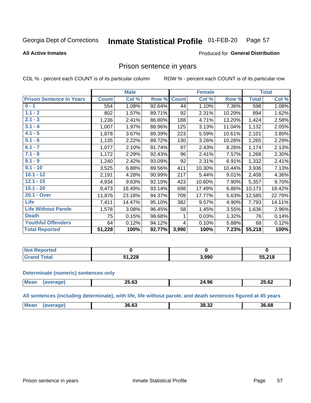#### Inmate Statistical Profile 01-FEB-20 Page 57

## **All Active Inmates**

## Produced for General Distribution

## Prison sentence in years

COL % - percent each COUNT is of its particular column

ROW % - percent each COUNT is of its particular row

|                                 |              | <b>Male</b> |        |              | <b>Female</b> |        |              | <b>Total</b> |
|---------------------------------|--------------|-------------|--------|--------------|---------------|--------|--------------|--------------|
| <b>Prison Sentence In Years</b> | <b>Count</b> | Col %       | Row %  | <b>Count</b> | Col %         | Row %  | <b>Total</b> | Col %        |
| $0 - 1$                         | 554          | 1.08%       | 92.64% | 44           | 1.10%         | 7.36%  | 598          | 1.08%        |
| $1.1 - 2$                       | 802          | 1.57%       | 89.71% | 92           | 2.31%         | 10.29% | 894          | 1.62%        |
| $2.1 - 3$                       | 1,236        | 2.41%       | 86.80% | 188          | 4.71%         | 13.20% | 1,424        | 2.58%        |
| $3.1 - 4$                       | 1,007        | 1.97%       | 88.96% | 125          | 3.13%         | 11.04% | 1,132        | 2.05%        |
| $4.1 - 5$                       | 1,878        | 3.67%       | 89.39% | 223          | 5.59%         | 10.61% | 2,101        | 3.80%        |
| $5.1 - 6$                       | 1,135        | 2.22%       | 89.72% | 130          | 3.26%         | 10.28% | 1,265        | 2.29%        |
| $6.1 - 7$                       | 1,077        | 2.10%       | 91.74% | 97           | 2.43%         | 8.26%  | 1,174        | 2.13%        |
| $7.1 - 8$                       | 1,172        | 2.29%       | 92.43% | 96           | 2.41%         | 7.57%  | 1,268        | 2.30%        |
| $8.1 - 9$                       | 1,240        | 2.42%       | 93.09% | 92           | 2.31%         | 6.91%  | 1,332        | 2.41%        |
| $9.1 - 10$                      | 3,525        | 6.88%       | 89.56% | 411          | 10.30%        | 10.44% | 3,936        | 7.13%        |
| $10.1 - 12$                     | 2,191        | 4.28%       | 90.99% | 217          | 5.44%         | 9.01%  | 2,408        | 4.36%        |
| $12.1 - 15$                     | 4,934        | 9.63%       | 92.10% | 423          | 10.60%        | 7.90%  | 5,357        | 9.70%        |
| $15.1 - 20$                     | 9,473        | 18.49%      | 93.14% | 698          | 17.49%        | 6.86%  | 10,171       | 18.42%       |
| 20.1 - Over                     | 11,876       | 23.18%      | 94.37% | 709          | 17.77%        | 5.63%  | 12,585       | 22.79%       |
| Life                            | 7,411        | 14.47%      | 95.10% | 382          | 9.57%         | 4.90%  | 7,793        | 14.11%       |
| <b>Life Without Parole</b>      | 1,578        | 3.08%       | 96.45% | 58           | 1.45%         | 3.55%  | 1,636        | 2.96%        |
| <b>Death</b>                    | 75           | 0.15%       | 98.68% |              | 0.03%         | 1.32%  | 76           | 0.14%        |
| <b>Youthful Offenders</b>       | 64           | 0.12%       | 94.12% | 4            | 0.10%         | 5.88%  | 68           | 0.12%        |
| <b>Total Reported</b>           | 51,228       | 100%        | 92.77% | 3,990        | 100%          | 7.23%  | 55,218       | 100%         |

| : Reported<br>I NOT |       |       |        |
|---------------------|-------|-------|--------|
| <b>otal</b>         | 1,228 | 3,990 | 55,218 |

### **Determinate (numeric) sentences only**

| <b>Mean</b> | <b>AF AA</b><br>_J.VJ | 24.96 | 25.62<br>25.62 |
|-------------|-----------------------|-------|----------------|
|             |                       |       |                |

All sentences (including determinate), with life, life without parole, and death sentences figured at 45 years

| Me:<br>38.32<br>36.63<br>36.68<br>. UJ |  |  |  |
|----------------------------------------|--|--|--|
|                                        |  |  |  |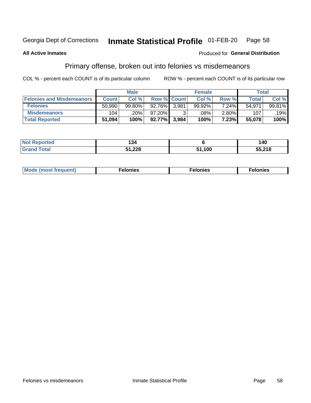#### Inmate Statistical Profile 01-FEB-20 Page 58

## **All Active Inmates**

## **Produced for General Distribution**

## Primary offense, broken out into felonies vs misdemeanors

COL % - percent each COUNT is of its particular column

|                                  | <b>Male</b>  |           |           |                    | <b>Female</b> | Total    |              |        |
|----------------------------------|--------------|-----------|-----------|--------------------|---------------|----------|--------------|--------|
| <b>Felonies and Misdemeanors</b> | <b>Count</b> | Col%      |           | <b>Row % Count</b> | Col%          | Row %    | <b>Total</b> | Col%   |
| <b>Felonies</b>                  | 50,990       | $99.80\%$ | 92.76%    | 3.981              | 99.92%        | 7.24%    | 54.971       | 99.81% |
| <b>Misdemeanors</b>              | 104          | .20%      | $97.20\%$ |                    | $.08\%$       | $2.80\%$ | 107          | .19%   |
| <b>Total Reported</b>            | 51,094       | 100%      | $92.77\%$ | 3.984              | 100%          | 7.23%    | 55,078       | 100%   |

| <b>Not Reported</b>   | 34ء،   |        | 140    |
|-----------------------|--------|--------|--------|
| Total<br><b>Grand</b> | 51,228 | 51,100 | 55,218 |

| Mo | ____ | 11 C.S<br>. | onies<br>. |
|----|------|-------------|------------|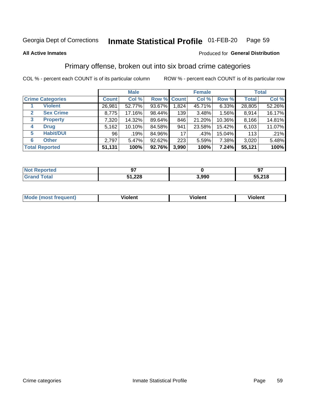#### Inmate Statistical Profile 01-FEB-20 Page 59

### **All Active Inmates**

## Produced for General Distribution

## Primary offense, broken out into six broad crime categories

COL % - percent each COUNT is of its particular column

|                                 |              | <b>Male</b> |        |             | <b>Female</b> | <b>Total</b> |              |        |
|---------------------------------|--------------|-------------|--------|-------------|---------------|--------------|--------------|--------|
| <b>Crime Categories</b>         | <b>Count</b> | Col %       |        | Row % Count | Col %         | Row %        | <b>Total</b> | Col %  |
| <b>Violent</b>                  | 26,981       | 52.77%      | 93.67% | 1,824       | 45.71%        | $6.33\%$     | 28,805       | 52.26% |
| <b>Sex Crime</b><br>2           | 8,775        | 17.16%      | 98.44% | 139         | 3.48%         | 1.56%        | 8,914        | 16.17% |
| $\mathbf{3}$<br><b>Property</b> | 7,320        | 14.32%      | 89.64% | 846         | 21.20%        | 10.36%       | 8,166        | 14.81% |
| <b>Drug</b><br>4                | 5,162        | 10.10%      | 84.58% | 941         | 23.58%        | 15.42%       | 6,103        | 11.07% |
| <b>Habit/DUI</b><br>5           | 96           | .19%        | 84.96% | 17          | $.43\%$       | 15.04%       | 113          | .21%   |
| <b>Other</b><br>6               | 2,797        | 5.47%       | 92.62% | 223         | 5.59%         | 7.38%        | 3,020        | 5.48%  |
| <b>Total Reported</b>           | 51,131       | 100%        | 92.76% | 3,990       | 100%          | 7.24%        | 55,121       | 100%   |

| `ortea i<br><b>NOT</b> |        |                | כח     |
|------------------------|--------|----------------|--------|
| $F$ ntal               | 51,228 | e aan<br>J.JJU | 55,218 |

| <b>Mode</b><br>t frequent)<br>THOS | .<br>iolent | 'iolent | <b>Violent</b> |
|------------------------------------|-------------|---------|----------------|
|                                    |             |         |                |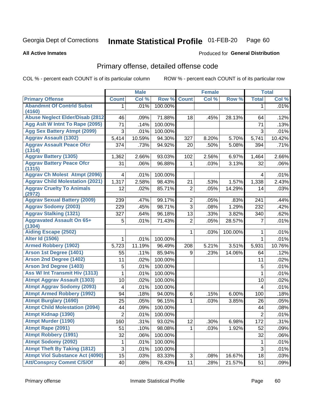### Inmate Statistical Profile 01-FEB-20 Page 60

### **All Active Inmates**

## **Produced for General Distribution**

# Primary offense, detailed offense code

COL % - percent each COUNT is of its particular column

|                                                   |                         | <b>Male</b> |         |                | <b>Female</b> |         |                | <b>Total</b> |
|---------------------------------------------------|-------------------------|-------------|---------|----------------|---------------|---------|----------------|--------------|
| <b>Primary Offense</b>                            | <b>Count</b>            | Col %       | Row %   | <b>Count</b>   | Col %         | Row %   | <b>Total</b>   | Col %        |
| <b>Abandmnt Of Contrid Subst</b>                  | 1.                      | .01%        | 100.00% |                |               |         | 1              | .01%         |
| (4160)<br><b>Abuse Neglect Elder/Disab (2812)</b> |                         |             |         |                |               |         |                |              |
| Agg Aslt W Intnt To Rape (2095)                   | 46                      | .09%        | 71.88%  | 18             | .45%          | 28.13%  | 64             | .12%         |
| <b>Agg Sex Battery Atmpt (2099)</b>               | 71                      | .14%        | 100.00% |                |               |         | 71             | .13%         |
| <b>Aggrav Assault (1302)</b>                      | 3                       | .01%        | 100.00% |                |               |         | 3              | .01%         |
|                                                   | 5,414                   | 10.59%      | 94.30%  | 327            | 8.20%         | 5.70%   | 5,741          | 10.42%       |
| <b>Aggrav Assault Peace Ofcr</b><br>(1314)        | 374                     | .73%        | 94.92%  | 20             | .50%          | 5.08%   | 394            | .71%         |
| <b>Aggrav Battery (1305)</b>                      | 1,362                   | 2.66%       | 93.03%  | 102            | 2.56%         | 6.97%   | 1,464          | 2.66%        |
| <b>Aggrav Battery Peace Ofcr</b><br>(1315)        | 31                      | .06%        | 96.88%  | 1              | .03%          | 3.13%   | 32             | .06%         |
| <b>Aggrav Ch Molest Atmpt (2096)</b>              | 4                       | .01%        | 100.00% |                |               |         | 4              | .01%         |
| <b>Aggrav Child Molestation (2021)</b>            | 1,317                   | 2.58%       | 98.43%  | 21             | .53%          | 1.57%   | 1,338          | 2.43%        |
| <b>Aggrav Cruelty To Animals</b><br>(2972)        | 12                      | .02%        | 85.71%  | $\overline{2}$ | .05%          | 14.29%  | 14             | .03%         |
| <b>Aggrav Sexual Battery (2009)</b>               | 239                     | .47%        | 99.17%  | $\overline{2}$ | .05%          | .83%    | 241            | .44%         |
| <b>Aggrav Sodomy (2003)</b>                       | 229                     | .45%        | 98.71%  | $\overline{3}$ | .08%          | 1.29%   | 232            | .42%         |
| <b>Aggrav Stalking (1321)</b>                     | 327                     | .64%        | 96.18%  | 13             | .33%          | 3.82%   | 340            | .62%         |
| <b>Aggravated Assault On 65+</b><br>(1304)        | 5                       | .01%        | 71.43%  | $\overline{2}$ | .05%          | 28.57%  | 7              | .01%         |
| <b>Aiding Escape (2502)</b>                       |                         |             |         | 1              | .03%          | 100.00% | 1              | .01%         |
| <b>Alter Id (1506)</b>                            | 1                       | .01%        | 100.00% |                |               |         | 1              | .01%         |
| <b>Armed Robbery (1902)</b>                       | 5,723                   | 11.19%      | 96.49%  | 208            | 5.21%         | 3.51%   | 5,931          | 10.76%       |
| Arson 1st Degree (1401)                           | 55                      | .11%        | 85.94%  | 9              | .23%          | 14.06%  | 64             | .12%         |
| <b>Arson 2nd Degree (1402)</b>                    | 11                      | .02%        | 100.00% |                |               |         | 11             | .02%         |
| <b>Arson 3rd Degree (1403)</b>                    | 5                       | .01%        | 100.00% |                |               |         | 5              | .01%         |
| Ass W/ Int Transmit Hiv (1313)                    | 1                       | .01%        | 100.00% |                |               |         | 1              | .01%         |
| <b>Atmpt Aggrav Assault (1303)</b>                | 10                      | .02%        | 100.00% |                |               |         | 10             | .02%         |
| <b>Atmpt Aggrav Sodomy (2093)</b>                 | $\overline{\mathbf{4}}$ | .01%        | 100.00% |                |               |         | 4              | .01%         |
| <b>Atmpt Armed Robbery (1992)</b>                 | 94                      | .18%        | 94.00%  | 6              | .15%          | 6.00%   | 100            | .18%         |
| <b>Atmpt Burglary (1690)</b>                      | 25                      | .05%        | 96.15%  | 1              | .03%          | 3.85%   | 26             | .05%         |
| <b>Atmpt Child Molestation (2094)</b>             | 44                      | .09%        | 100.00% |                |               |         | 44             | .08%         |
| <b>Atmpt Kidnap (1390)</b>                        | $\overline{2}$          | .01%        | 100.00% |                |               |         | $\overline{c}$ | .01%         |
| <b>Atmpt Murder (1190)</b>                        | 160                     | .31%        | 93.02%  | 12             | .30%          | 6.98%   | 172            | .31%         |
| Atmpt Rape (2091)                                 | 51                      | .10%        | 98.08%  |                | .03%          | 1.92%   | 52             | .09%         |
| <b>Atmpt Robbery (1991)</b>                       | 32                      | .06%        | 100.00% |                |               |         | 32             | .06%         |
| <b>Atmpt Sodomy (2092)</b>                        | 1                       | .01%        | 100.00% |                |               |         | 1              | .01%         |
| <b>Atmpt Theft By Taking (1812)</b>               | 3                       | .01%        | 100.00% |                |               |         | 3              | .01%         |
| <b>Atmpt Viol Substance Act (4090)</b>            | 15                      | .03%        | 83.33%  | 3              | .08%          | 16.67%  | 18             | .03%         |
| <b>Att/Consprcy Commt C/S/Of</b>                  | 40                      | .08%        | 78.43%  | 11             | .28%          | 21.57%  | 51             | .09%         |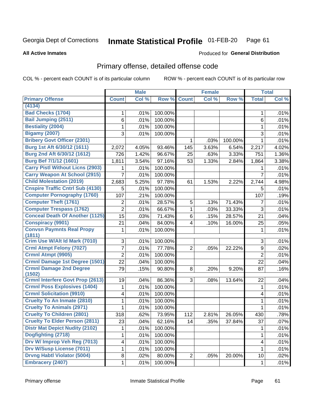### Inmate Statistical Profile 01-FEB-20 Page 61

**Produced for General Distribution** 

### **All Active Inmates**

# Primary offense, detailed offense code

COL % - percent each COUNT is of its particular column

|                                          |                         | <b>Male</b> |         |                | <b>Female</b> |         |                | <b>Total</b> |
|------------------------------------------|-------------------------|-------------|---------|----------------|---------------|---------|----------------|--------------|
| <b>Primary Offense</b>                   | <b>Count</b>            | Col %       | Row %   | <b>Count</b>   | Col %         | Row %   | <b>Total</b>   | Col %        |
| (4134)                                   |                         |             |         |                |               |         |                |              |
| <b>Bad Checks (1704)</b>                 | 1                       | .01%        | 100.00% |                |               |         | 1              | .01%         |
| Bail Jumping (2511)                      | 6                       | .01%        | 100.00% |                |               |         | 6              | .01%         |
| <b>Bestiality (2004)</b>                 | 1                       | .01%        | 100.00% |                |               |         | 1              | .01%         |
| <b>Bigamy (2007)</b>                     | 3                       | .01%        | 100.00% |                |               |         | 3              | .01%         |
| <b>Bribery Govt Officer (2301)</b>       |                         |             |         | 1              | .03%          | 100.00% | $\mathbf{1}$   | .01%         |
| Burg 1st Aft 6/30/12 (1611)              | 2,072                   | 4.05%       | 93.46%  | 145            | 3.63%         | 6.54%   | 2,217          | 4.02%        |
| Burg 2nd Aft 6/30/12 (1612)              | 726                     | 1.42%       | 96.67%  | 25             | .63%          | 3.33%   | 751            | 1.36%        |
| <b>Burg Bef 7/1/12 (1601)</b>            | 1,811                   | 3.54%       | 97.16%  | 53             | 1.33%         | 2.84%   | 1,864          | 3.38%        |
| <b>Carry Pistl Without Licns (2903)</b>  | 1                       | .01%        | 100.00% |                |               |         |                | .01%         |
| <b>Carry Weapon At School (2915)</b>     | $\overline{7}$          | .01%        | 100.00% |                |               |         | $\overline{7}$ | .01%         |
| <b>Child Molestation (2019)</b>          | 2,683                   | 5.25%       | 97.78%  | 61             | 1.53%         | 2.22%   | 2,744          | 4.98%        |
| <b>Cnspire Traffic Cntrl Sub (4130)</b>  | 5                       | .01%        | 100.00% |                |               |         | 5              | .01%         |
| <b>Computer Pornography (1760)</b>       | 107                     | .21%        | 100.00% |                |               |         | 107            | .19%         |
| <b>Computer Theft (1761)</b>             | 2                       | .01%        | 28.57%  | 5              | .13%          | 71.43%  | 7              | .01%         |
| <b>Computer Trespass (1762)</b>          | $\overline{2}$          | .01%        | 66.67%  | $\mathbf{1}$   | .03%          | 33.33%  | 3              | .01%         |
| <b>Conceal Death Of Another (1125)</b>   | 15                      | .03%        | 71.43%  | 6              | .15%          | 28.57%  | 21             | .04%         |
| <b>Conspiracy (9901)</b>                 | 21                      | .04%        | 84.00%  | 4              | .10%          | 16.00%  | 25             | .05%         |
| <b>Convsn Paymnts Real Propy</b>         | 1                       | .01%        | 100.00% |                |               |         | 1              | .01%         |
| (1811)                                   |                         |             |         |                |               |         |                |              |
| Crim Use W/Alt Id Mark (7010)            | 3                       | .01%        | 100.00% |                |               |         | 3              | .01%         |
| <b>Crml Atmpt Felony (7027)</b>          | $\overline{7}$          | .01%        | 77.78%  | $\overline{2}$ | .05%          | 22.22%  | 9              | .02%         |
| <b>Crmnl Atmpt (9905)</b>                | $\overline{2}$          | .01%        | 100.00% |                |               |         | $\overline{2}$ | .01%         |
| Crmnl Damage 1st Degree (1501)           | 22                      | .04%        | 100.00% |                |               |         | 22             | .04%         |
| <b>Crmnl Damage 2nd Degree</b><br>(1502) | 79                      | .15%        | 90.80%  | 8              | .20%          | 9.20%   | 87             | .16%         |
| <b>Crmnl Interfere Govt Prop (2613)</b>  | 19                      | .04%        | 86.36%  | 3              | .08%          | 13.64%  | 22             | .04%         |
| <b>Crmnl Poss Explosives (1404)</b>      | 1                       | .01%        | 100.00% |                |               |         | $\mathbf{1}$   | .01%         |
| <b>Crmnl Solicitation (9910)</b>         | $\overline{\mathbf{4}}$ | .01%        | 100.00% |                |               |         | 4              | .01%         |
| <b>Cruelty To An Inmate (2810)</b>       | 1                       | .01%        | 100.00% |                |               |         | 1              | .01%         |
| <b>Cruelty To Animals (2971)</b>         | 1                       | .01%        | 100.00% |                |               |         | 1              | .01%         |
| <b>Cruelty To Children (2801)</b>        | 318                     | .62%        | 73.95%  | 112            | 2.81%         | 26.05%  | 430            | .78%         |
| <b>Cruelty To Elder Person (2811)</b>    | 23                      | .04%        | 62.16%  | 14             | .35%          | 37.84%  | 37             | .07%         |
| <b>Distr Mat Depict Nudity (2102)</b>    | 1                       | .01%        | 100.00% |                |               |         | 1              | .01%         |
| Dogfighting (2718)                       | 1                       | .01%        | 100.00% |                |               |         | 1              | .01%         |
| Drv W/ Improp Veh Reg (7013)             | $\overline{\mathbf{4}}$ | .01%        | 100.00% |                |               |         | 4              | .01%         |
| <b>Drv W/Susp License (7011)</b>         | 1                       | .01%        | 100.00% |                |               |         | $\mathbf 1$    | .01%         |
| <b>Drvng Habtl Violator (5004)</b>       | 8                       | .02%        | 80.00%  | $\overline{2}$ | .05%          | 20.00%  | 10             | .02%         |
| <b>Embracery (2407)</b>                  | $\mathbf{1}$            | .01%        | 100.00% |                |               |         | $\mathbf{1}$   | .01%         |
|                                          |                         |             |         |                |               |         |                |              |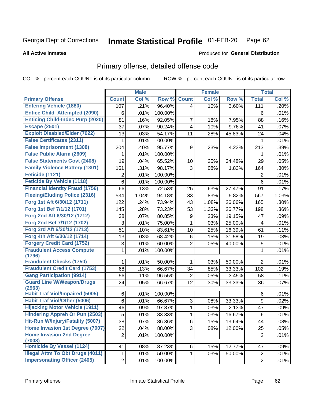### Inmate Statistical Profile 01-FEB-20 Page 62

**All Active Inmates** 

## **Produced for General Distribution**

# Primary offense, detailed offense code

COL % - percent each COUNT is of its particular column

|                                            |                  | <b>Male</b> |                  |                | <b>Female</b> |        |                | <b>Total</b> |
|--------------------------------------------|------------------|-------------|------------------|----------------|---------------|--------|----------------|--------------|
| <b>Primary Offense</b>                     | <b>Count</b>     | Col %       | Row <sup>%</sup> | <b>Count</b>   | Col %         | Row %  | <b>Total</b>   | Col %        |
| <b>Entering Vehicle (1880)</b>             | 107              | .21%        | 96.40%           | 4              | .10%          | 3.60%  | 111            | .20%         |
| <b>Entice Child Attempted (2090)</b>       | 6                | .01%        | 100.00%          |                |               |        | 6              | .01%         |
| <b>Enticing Child-Indec Purp (2020)</b>    | 81               | .16%        | 92.05%           | 7              | .18%          | 7.95%  | 88             | .16%         |
| <b>Escape (2501)</b>                       | 37               | .07%        | 90.24%           | 4              | .10%          | 9.76%  | 41             | .07%         |
| <b>Exploit Disabled/Elder (7022)</b>       | 13               | .03%        | 54.17%           | 11             | .28%          | 45.83% | 24             | .04%         |
| <b>False Certificates (2311)</b>           | 1                | .01%        | 100.00%          |                |               |        | 1              | .01%         |
| <b>False Imprisonment (1308)</b>           | 204              | .40%        | 95.77%           | 9              | .23%          | 4.23%  | 213            | .39%         |
| <b>False Public Alarm (2609)</b>           | 1                | .01%        | 100.00%          |                |               |        | 1              | .01%         |
| <b>False Statements Govt (2408)</b>        | 19               | .04%        | 65.52%           | 10             | .25%          | 34.48% | 29             | .05%         |
| <b>Family Violence Battery (1301)</b>      | 161              | .31%        | 98.17%           | 3              | .08%          | 1.83%  | 164            | .30%         |
| Feticide (1121)                            | $\overline{2}$   | .01%        | 100.00%          |                |               |        | $\overline{2}$ | .01%         |
| <b>Feticide By Vehicle (1118)</b>          | 6                | .01%        | 100.00%          |                |               |        | 6              | .01%         |
| <b>Financial Identity Fraud (1756)</b>     | 66               | .13%        | 72.53%           | 25             | .63%          | 27.47% | 91             | .17%         |
| <b>Fleeing/Eluding Police (2316)</b>       | 534              | 1.04%       | 94.18%           | 33             | .83%          | 5.82%  | 567            | 1.03%        |
| Forg 1st Aft 6/30/12 (1711)                | 122              | .24%        | 73.94%           | 43             | 1.08%         | 26.06% | 165            | .30%         |
| Forg 1st Bef 7/1/12 (1701)                 | 145              | .28%        | 73.23%           | 53             | 1.33%         | 26.77% | 198            | .36%         |
| Forg 2nd Aft 6/30/12 (1712)                | 38               | .07%        | 80.85%           | 9              | .23%          | 19.15% | 47             | .09%         |
| Forg 2nd Bef 7/1/12 (1702)                 | 3                | .01%        | 75.00%           | 1              | .03%          | 25.00% | 4              | .01%         |
| Forg 3rd Aft 6/30/12 (1713)                | 51               | .10%        | 83.61%           | 10             | .25%          | 16.39% | 61             | .11%         |
| Forg 4th Aft 6/30/12 (1714)                | 13               | .03%        | 68.42%           | 6              | .15%          | 31.58% | 19             | .03%         |
| <b>Forgery Credit Card (1752)</b>          | 3                | .01%        | 60.00%           | $\overline{2}$ | .05%          | 40.00% | 5              | .01%         |
| <b>Fraudulent Access Compute</b><br>(1796) | 1                | .01%        | 100.00%          |                |               |        | 1              | .01%         |
| <b>Fraudulent Checks (1750)</b>            | 1                | .01%        | 50.00%           | 1              | .03%          | 50.00% | $\overline{2}$ | .01%         |
| <b>Fraudulent Credit Card (1753)</b>       | 68               | .13%        | 66.67%           | 34             | .85%          | 33.33% | 102            | .19%         |
| <b>Gang Participation (9914)</b>           | 56               | .11%        | 96.55%           | $\overline{2}$ | .05%          | 3.45%  | 58             | .11%         |
| <b>Guard Line W/Weapon/Drugs</b>           | 24               | .05%        | 66.67%           | 12             | .30%          | 33.33% | 36             | .07%         |
| (2963)                                     |                  |             |                  |                |               |        |                |              |
| <b>Habit Traf Viol/Impaired (5005)</b>     | 6                | .01%        | 100.00%          |                |               |        | 6              | .01%         |
| <b>Habit Traf Viol/Other (5006)</b>        | 6                | .01%        | 66.67%           | 3              | .08%          | 33.33% | 9              | .02%         |
| <b>Hijacking Motor Vehicle (1911)</b>      | 46               | .09%        | 97.87%           | 1              | .03%          | 2.13%  | 47             | .09%         |
| <b>Hindering Appreh Or Pun (2503)</b>      | 5                | .01%        | 83.33%           | 1              | .03%          | 16.67% | 6              | .01%         |
| Hit-Run W/Injury/Fatality (5007)           | 38               | .07%        | 86.36%           | 6              | .15%          | 13.64% | 44             | .08%         |
| Home Invasion 1st Degree (7007)            | 22               | .04%        | 88.00%           | 3              | .08%          | 12.00% | 25             | .05%         |
| <b>Home Invasion 2nd Degree</b><br>(7008)  | $\boldsymbol{2}$ | .01%        | 100.00%          |                |               |        | $\overline{c}$ | .01%         |
| <b>Homicide By Vessel (1124)</b>           | 41               | .08%        | 87.23%           | 6              | .15%          | 12.77% | 47             | .09%         |
| <b>Illegal Attm To Obt Drugs (4011)</b>    | 1                | .01%        | 50.00%           | $\mathbf{1}$   | .03%          | 50.00% | $\overline{c}$ | .01%         |
| <b>Impersonating Officer (2405)</b>        | $\overline{2}$   | .01%        | 100.00%          |                |               |        | $\overline{2}$ | .01%         |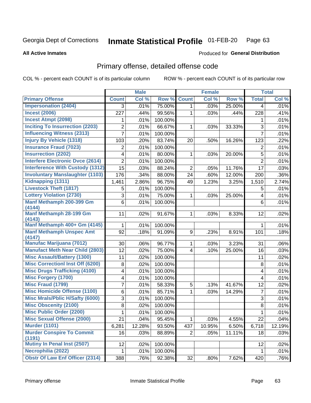### Inmate Statistical Profile 01-FEB-20 Page 63

### **All Active Inmates**

### Produced for General Distribution

# Primary offense, detailed offense code

COL % - percent each COUNT is of its particular column

| Col %<br><b>Primary Offense</b><br>Col %<br>Row %<br><b>Count</b><br>Col %<br>Row %<br><b>Count</b><br><b>Total</b><br><b>Impersonation (2404)</b><br>.01%<br>.01%<br>75.00%<br>.03%<br>25.00%<br>3<br>1<br>4<br><b>Incest (2006)</b><br>227<br>.44%<br>99.56%<br>228<br>.41%<br>1<br>.03%<br>.44%<br><b>Incest Atmpt (2098)</b><br>.01%<br>100.00%<br>.01%<br>1<br>1<br><b>Inciting To Insurrection (2203)</b><br>2<br>.01%<br>66.67%<br>3<br>.01%<br>33.33%<br>1<br>.03%<br><b>Influencing Witness (2313)</b><br>$\overline{7}$<br>$\overline{7}$<br>.01%<br>.01%<br>100.00%<br><b>Injury By Vehicle (1318)</b><br>.20%<br>83.74%<br>123<br>.22%<br>103<br>20<br>.50%<br>16.26%<br><b>Insurance Fraud (7023)</b><br>$\overline{2}$<br>.01%<br>100.00%<br>.01%<br>$\overline{2}$<br><b>Insurrection (2202)</b><br>.01%<br>.01%<br>4<br>80.00%<br>20.00%<br>5<br>.03%<br>1 |
|----------------------------------------------------------------------------------------------------------------------------------------------------------------------------------------------------------------------------------------------------------------------------------------------------------------------------------------------------------------------------------------------------------------------------------------------------------------------------------------------------------------------------------------------------------------------------------------------------------------------------------------------------------------------------------------------------------------------------------------------------------------------------------------------------------------------------------------------------------------------------|
|                                                                                                                                                                                                                                                                                                                                                                                                                                                                                                                                                                                                                                                                                                                                                                                                                                                                            |
|                                                                                                                                                                                                                                                                                                                                                                                                                                                                                                                                                                                                                                                                                                                                                                                                                                                                            |
|                                                                                                                                                                                                                                                                                                                                                                                                                                                                                                                                                                                                                                                                                                                                                                                                                                                                            |
|                                                                                                                                                                                                                                                                                                                                                                                                                                                                                                                                                                                                                                                                                                                                                                                                                                                                            |
|                                                                                                                                                                                                                                                                                                                                                                                                                                                                                                                                                                                                                                                                                                                                                                                                                                                                            |
|                                                                                                                                                                                                                                                                                                                                                                                                                                                                                                                                                                                                                                                                                                                                                                                                                                                                            |
|                                                                                                                                                                                                                                                                                                                                                                                                                                                                                                                                                                                                                                                                                                                                                                                                                                                                            |
|                                                                                                                                                                                                                                                                                                                                                                                                                                                                                                                                                                                                                                                                                                                                                                                                                                                                            |
|                                                                                                                                                                                                                                                                                                                                                                                                                                                                                                                                                                                                                                                                                                                                                                                                                                                                            |
| <b>Interfere Electronic Dvce (2614)</b><br>$\overline{2}$<br>100.00%<br>$\overline{2}$<br>.01%<br>.01%                                                                                                                                                                                                                                                                                                                                                                                                                                                                                                                                                                                                                                                                                                                                                                     |
| <b>Interference With Custody (1312)</b><br>15<br>.03%<br>88.24%<br>2<br>11.76%<br>17<br>.03%<br>.05%                                                                                                                                                                                                                                                                                                                                                                                                                                                                                                                                                                                                                                                                                                                                                                       |
| <b>Involuntary Manslaughter (1103)</b><br>176<br>.34%<br>88.00%<br>24<br>.60%<br>200<br>.36%<br>12.00%                                                                                                                                                                                                                                                                                                                                                                                                                                                                                                                                                                                                                                                                                                                                                                     |
| Kidnapping (1311)<br>96.75%<br>2.86%<br>49<br>1.23%<br>3.25%<br>1,510<br>2.74%<br>1,461                                                                                                                                                                                                                                                                                                                                                                                                                                                                                                                                                                                                                                                                                                                                                                                    |
| <b>Livestock Theft (1817)</b><br>5<br>.01%<br>100.00%<br>5<br>.01%                                                                                                                                                                                                                                                                                                                                                                                                                                                                                                                                                                                                                                                                                                                                                                                                         |
| <b>Lottery Violation (2730)</b><br>3<br>.01%<br>75.00%<br>.01%<br>.03%<br>25.00%<br>$\overline{\mathbf{4}}$<br>1                                                                                                                                                                                                                                                                                                                                                                                                                                                                                                                                                                                                                                                                                                                                                           |
| Manf Methamph 200-399 Gm<br>6<br>.01%<br>100.00%<br>.01%<br>6                                                                                                                                                                                                                                                                                                                                                                                                                                                                                                                                                                                                                                                                                                                                                                                                              |
| (4144)                                                                                                                                                                                                                                                                                                                                                                                                                                                                                                                                                                                                                                                                                                                                                                                                                                                                     |
| <b>Manf Methamph 28-199 Gm</b><br>91.67%<br>.02%<br>11<br>.02%<br>.03%<br>8.33%<br>12<br>1<br>(4143)                                                                                                                                                                                                                                                                                                                                                                                                                                                                                                                                                                                                                                                                                                                                                                       |
| Manf Methamph 400+ Gm (4145)<br>1<br>.01%<br>100.00%<br>.01%<br>1                                                                                                                                                                                                                                                                                                                                                                                                                                                                                                                                                                                                                                                                                                                                                                                                          |
| <b>Manf Methamph Unspec Amt</b><br>92<br>.18%<br>91.09%<br>9<br>.18%<br>.23%<br>8.91%<br>101                                                                                                                                                                                                                                                                                                                                                                                                                                                                                                                                                                                                                                                                                                                                                                               |
| (4147)                                                                                                                                                                                                                                                                                                                                                                                                                                                                                                                                                                                                                                                                                                                                                                                                                                                                     |
| <b>Manufac Marijuana (7012)</b><br>96.77%<br>30<br>.06%<br>$\mathbf{1}$<br>3.23%<br>31<br>.06%<br>.03%                                                                                                                                                                                                                                                                                                                                                                                                                                                                                                                                                                                                                                                                                                                                                                     |
| <b>Manufact Meth Near Child (2803)</b><br>12<br>.02%<br>75.00%<br>$\overline{\mathbf{4}}$<br>25.00%<br>.03%<br>.10%<br>16                                                                                                                                                                                                                                                                                                                                                                                                                                                                                                                                                                                                                                                                                                                                                  |
| <b>Misc Assault/Battery (1300)</b><br>11<br>100.00%<br>.02%<br>11<br>.02%                                                                                                                                                                                                                                                                                                                                                                                                                                                                                                                                                                                                                                                                                                                                                                                                  |
| <b>Misc Correctionl Inst Off (6200)</b><br>.01%<br>8<br>.02%<br>100.00%<br>8                                                                                                                                                                                                                                                                                                                                                                                                                                                                                                                                                                                                                                                                                                                                                                                               |
| <b>Misc Drugs Trafficking (4100)</b><br>100.00%<br>4<br>.01%<br>.01%<br>4                                                                                                                                                                                                                                                                                                                                                                                                                                                                                                                                                                                                                                                                                                                                                                                                  |
| <b>Misc Forgery (1700)</b><br>4<br>.01%<br>100.00%<br>.01%<br>4                                                                                                                                                                                                                                                                                                                                                                                                                                                                                                                                                                                                                                                                                                                                                                                                            |
| <b>Misc Fraud (1799)</b><br>7<br>.01%<br>58.33%<br>5<br>41.67%<br>12<br>.13%<br>.02%                                                                                                                                                                                                                                                                                                                                                                                                                                                                                                                                                                                                                                                                                                                                                                                       |
| <b>Misc Homicide Offense (1100)</b><br>.01%<br>85.71%<br>$\overline{7}$<br>.01%<br>6<br>14.29%<br>1<br>.03%                                                                                                                                                                                                                                                                                                                                                                                                                                                                                                                                                                                                                                                                                                                                                                |
| <b>Misc Mrals/Pblic H/Safty (6000)</b><br>3<br>3<br>.01%<br>100.00%<br>.01%                                                                                                                                                                                                                                                                                                                                                                                                                                                                                                                                                                                                                                                                                                                                                                                                |
| <b>Misc Obscenity (2100)</b><br>8<br>8<br>.02%<br>100.00%<br>.01%                                                                                                                                                                                                                                                                                                                                                                                                                                                                                                                                                                                                                                                                                                                                                                                                          |
| <b>Misc Public Order (2200)</b><br>1<br>.01%<br>100.00%<br>.01%<br>1                                                                                                                                                                                                                                                                                                                                                                                                                                                                                                                                                                                                                                                                                                                                                                                                       |
| <b>Misc Sexual Offense (2000)</b><br>.04%<br>95.45%<br>$.03\%$<br>4.55%<br>22<br>21<br>.04%<br>$\mathbf{1}$                                                                                                                                                                                                                                                                                                                                                                                                                                                                                                                                                                                                                                                                                                                                                                |
| <b>Murder (1101)</b><br>6,281<br>93.50%<br>6,718<br>12.19%<br>12.28%<br>437<br>10.95%<br>6.50%                                                                                                                                                                                                                                                                                                                                                                                                                                                                                                                                                                                                                                                                                                                                                                             |
| <b>Murder Conspire To Commit</b><br>11.11%<br>16<br>.03%<br>88.89%<br>.05%<br>18<br>.03%<br>$\overline{2}$<br>(1191)                                                                                                                                                                                                                                                                                                                                                                                                                                                                                                                                                                                                                                                                                                                                                       |
| Mutiny In Penal Inst (2507)<br>12<br>100.00%<br>12<br>.02%<br>.02%                                                                                                                                                                                                                                                                                                                                                                                                                                                                                                                                                                                                                                                                                                                                                                                                         |
| Necrophilia (2022)<br>.01%<br>100.00%<br>.01%<br>1<br>$\mathbf{1}$                                                                                                                                                                                                                                                                                                                                                                                                                                                                                                                                                                                                                                                                                                                                                                                                         |
| <b>Obstr Of Law Enf Officer (2314)</b><br>388<br>.76%<br>92.38%<br>32<br>.80%<br>7.62%<br>.76%<br>420                                                                                                                                                                                                                                                                                                                                                                                                                                                                                                                                                                                                                                                                                                                                                                      |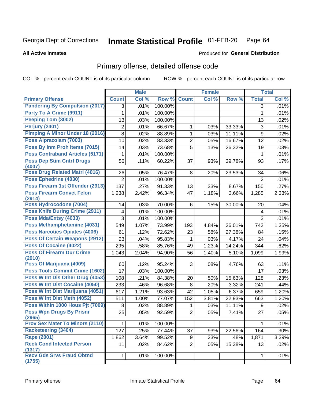### **Inmate Statistical Profile 01-FEB-20** Page 64

### **All Active Inmates**

## **Produced for General Distribution**

## Primary offense, detailed offense code

COL % - percent each COUNT is of its particular column

|                                            |                | <b>Male</b> |         |                | <b>Female</b> |        |                  | <b>Total</b> |
|--------------------------------------------|----------------|-------------|---------|----------------|---------------|--------|------------------|--------------|
| <b>Primary Offense</b>                     | <b>Count</b>   | Col %       | Row %   | <b>Count</b>   | Col %         | Row %  | <b>Total</b>     | Col %        |
| <b>Pandering By Compulsion (2017)</b>      | 3              | .01%        | 100.00% |                |               |        | 3                | .01%         |
| Party To A Crime (9911)                    | 1              | .01%        | 100.00% |                |               |        | 1                | .01%         |
| Peeping Tom (3002)                         | 13             | .03%        | 100.00% |                |               |        | 13               | .02%         |
| Perjury (2401)                             | $\overline{2}$ | .01%        | 66.67%  | 1              | .03%          | 33.33% | $\mathfrak{S}$   | .01%         |
| <b>Pimping A Minor Under 18 (2016)</b>     | 8              | .02%        | 88.89%  | $\mathbf{1}$   | .03%          | 11.11% | $\boldsymbol{9}$ | .02%         |
| Poss Alprazolam (7003)                     | 10             | .02%        | 83.33%  | $\overline{2}$ | .05%          | 16.67% | 12               | .02%         |
| Poss By Inm Proh Items (7015)              | 14             | .03%        | 73.68%  | 5              | .13%          | 26.32% | 19               | .03%         |
| <b>Poss Contraband Articles (5171)</b>     | 1              | .01%        | 100.00% |                |               |        | 1                | .01%         |
| <b>Poss Dep Stim Cntrf Drugs</b><br>(4007) | 56             | .11%        | 60.22%  | 37             | .93%          | 39.78% | 93               | .17%         |
| <b>Poss Drug Related Matri (4016)</b>      | 26             | .05%        | 76.47%  | 8              | .20%          | 23.53% | 34               | .06%         |
| Poss Ephedrine (4030)                      | $\overline{2}$ | .01%        | 100.00% |                |               |        | $\overline{2}$   | .01%         |
| Poss Firearm 1st Offender (2913)           | 137            | .27%        | 91.33%  | 13             | .33%          | 8.67%  | 150              | .27%         |
| <b>Poss Firearm Convct Felon</b><br>(2914) | 1,238          | 2.42%       | 96.34%  | 47             | 1.18%         | 3.66%  | 1,285            | 2.33%        |
| Poss Hydrocodone (7004)                    | 14             | .03%        | 70.00%  | 6              | .15%          | 30.00% | 20               | .04%         |
| <b>Poss Knife During Crime (2911)</b>      | 4              | .01%        | 100.00% |                |               |        | 4                | .01%         |
| Poss Mda/Extsy (4033)                      | 3              | .01%        | 100.00% |                |               |        | 3                | .01%         |
| Poss Methamphetamine (4031)                | 549            | 1.07%       | 73.99%  | 193            | 4.84%         | 26.01% | 742              | 1.35%        |
| <b>Poss Narcotics Opiates (4006)</b>       | 61             | .12%        | 72.62%  | 23             | .58%          | 27.38% | 84               | .15%         |
| <b>Poss Of Certain Weapons (2912)</b>      | 23             | .04%        | 95.83%  | 1              | .03%          | 4.17%  | 24               | .04%         |
| Poss Of Cocaine (4022)                     | 295            | .58%        | 85.76%  | 49             | 1.23%         | 14.24% | 344              | .62%         |
| <b>Poss Of Firearm Dur Crime</b><br>(2910) | 1,043          | 2.04%       | 94.90%  | 56             | 1.40%         | 5.10%  | 1,099            | 1.99%        |
| Poss Of Marijuana (4009)                   | 60             | .12%        | 95.24%  | 3              | .08%          | 4.76%  | 63               | .11%         |
| <b>Poss Tools Commit Crime (1602)</b>      | 17             | .03%        | 100.00% |                |               |        | 17               | .03%         |
| Poss W Int Dis Other Drug (4053)           | 108            | .21%        | 84.38%  | 20             | .50%          | 15.63% | 128              | .23%         |
| <b>Poss W Int Dist Cocaine (4050)</b>      | 233            | .46%        | 96.68%  | 8              | .20%          | 3.32%  | 241              | .44%         |
| Poss W Int Dist Marijuana (4051)           | 617            | 1.21%       | 93.63%  | 42             | 1.05%         | 6.37%  | 659              | 1.20%        |
| Poss W Int Dist Meth (4052)                | 511            | 1.00%       | 77.07%  | 152            | 3.81%         | 22.93% | 663              | 1.20%        |
| Poss Within 1000 Hous Pit (7009)           | 8              | .02%        | 88.89%  | 1              | .03%          | 11.11% | 9                | .02%         |
| <b>Poss Wpn Drugs By Prisnr</b><br>(2965)  | 25             | .05%        | 92.59%  | $\overline{2}$ | .05%          | 7.41%  | 27               | .05%         |
| <b>Prov Sex Mater To Minors (2110)</b>     | 1              | .01%        | 100.00% |                |               |        | 1                | .01%         |
| <b>Racketeering (3404)</b>                 | 127            | .25%        | 77.44%  | 37             | .93%          | 22.56% | 164              | .30%         |
| <b>Rape (2001)</b>                         | 1,862          | 3.64%       | 99.52%  | 9              | .23%          | .48%   | 1,871            | 3.39%        |
| <b>Reck Cond Infected Person</b><br>(1317) | 11             | .02%        | 84.62%  | $\overline{2}$ | .05%          | 15.38% | 13               | .02%         |
| <b>Recy Gds Srvs Fraud Obtnd</b><br>(1755) | $\mathbf{1}$   | .01%        | 100.00% |                |               |        | 1                | .01%         |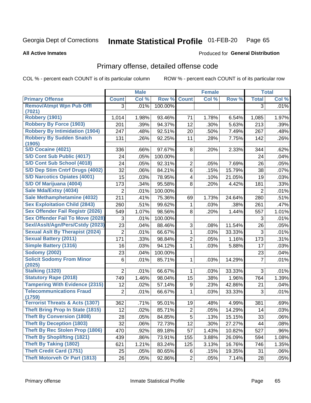### Inmate Statistical Profile 01-FEB-20 Page 65

**All Active Inmates** 

## **Produced for General Distribution**

## Primary offense, detailed offense code

COL % - percent each COUNT is of its particular column

|                                            |                | <b>Male</b> |         |                         | <b>Female</b> |        |                | <b>Total</b> |
|--------------------------------------------|----------------|-------------|---------|-------------------------|---------------|--------|----------------|--------------|
| <b>Primary Offense</b>                     | <b>Count</b>   | Col %       | Row %   | <b>Count</b>            | Col %         | Row %  | <b>Total</b>   | Col %        |
| <b>Remov/Atmpt Wpn Pub Offl</b>            | 3              | .01%        | 100.00% |                         |               |        | 3              | .01%         |
| (7021)                                     |                |             |         |                         |               |        |                |              |
| Robbery (1901)                             | 1,014          | 1.98%       | 93.46%  | 71                      | 1.78%         | 6.54%  | 1,085          | 1.97%        |
| <b>Robbery By Force (1903)</b>             | 201            | .39%        | 94.37%  | 12                      | .30%          | 5.63%  | 213            | .39%         |
| <b>Robbery By Intimidation (1904)</b>      | 247            | .48%        | 92.51%  | 20                      | .50%          | 7.49%  | 267            | .48%         |
| <b>Robbery By Sudden Snatch</b><br>(1905)  | 131            | .26%        | 92.25%  | 11                      | .28%          | 7.75%  | 142            | .26%         |
| S/D Cocaine (4021)                         | 336            | .66%        | 97.67%  | 8                       | .20%          | 2.33%  | 344            | .62%         |
| <b>S/D Cont Sub Public (4017)</b>          | 24             | .05%        | 100.00% |                         |               |        | 24             | .04%         |
| S/D Cont Sub School (4018)                 | 24             | .05%        | 92.31%  | $\overline{2}$          | .05%          | 7.69%  | 26             | .05%         |
| S/D Dep Stim Cntrf Drugs (4002)            | 32             | .06%        | 84.21%  | 6                       | .15%          | 15.79% | 38             | .07%         |
| <b>S/D Narcotics Opiates (4001)</b>        | 15             | .03%        | 78.95%  | $\overline{\mathbf{4}}$ | .10%          | 21.05% | 19             | .03%         |
| S/D Of Marijuana (4004)                    | 173            | .34%        | 95.58%  | 8                       | .20%          | 4.42%  | 181            | .33%         |
| Sale Mda/Extsy (4034)                      | $\overline{2}$ | .01%        | 100.00% |                         |               |        | 2              | .01%         |
| Sale Methamphetamine (4032)                | 211            | .41%        | 75.36%  | 69                      | 1.73%         | 24.64% | 280            | .51%         |
| <b>Sex Exploitation Child (2843)</b>       | 260            | .51%        | 99.62%  | 1                       | .03%          | .38%   | 261            | .47%         |
| <b>Sex Offender Fail Registr (2026)</b>    | 549            | 1.07%       | 98.56%  | 8                       | .20%          | 1.44%  | 557            | 1.01%        |
| <b>Sex Offender Fail To Move (2028)</b>    | 3              | .01%        | 100.00% |                         |               |        | 3              | .01%         |
| Sexl/Asslt/Agn/Pers/Cstdy (2023)           | 23             | .04%        | 88.46%  | 3                       | .08%          | 11.54% | 26             | .05%         |
| <b>Sexual Aslt By Therapist (2024)</b>     | $\overline{2}$ | .01%        | 66.67%  | $\mathbf{1}$            | .03%          | 33.33% | $\mathfrak{S}$ | .01%         |
| <b>Sexual Battery (2011)</b>               | 171            | .33%        | 98.84%  | $\overline{2}$          | .05%          | 1.16%  | 173            | .31%         |
| <b>Simple Battery (1316)</b>               | 16             | .03%        | 94.12%  | 1                       | .03%          | 5.88%  | 17             | .03%         |
| <b>Sodomy (2002)</b>                       | 23             | .04%        | 100.00% |                         |               |        | 23             | .04%         |
| <b>Solicit Sodomy From Minor</b>           | 6              | .01%        | 85.71%  | 1                       | .03%          | 14.29% | $\overline{7}$ | .01%         |
| (2025)                                     |                |             |         |                         |               |        |                |              |
| <b>Stalking (1320)</b>                     | $\overline{2}$ | .01%        | 66.67%  | 1                       | .03%          | 33.33% | 3              | .01%         |
| <b>Statutory Rape (2018)</b>               | 749            | 1.46%       | 98.04%  | 15                      | .38%          | 1.96%  | 764            | 1.39%        |
| <b>Tampering With Evidence (2315)</b>      | 12             | .02%        | 57.14%  | 9                       | .23%          | 42.86% | 21             | .04%         |
| <b>Telecommunications Fraud</b><br>(1759)  | $\overline{2}$ | .01%        | 66.67%  | 1                       | .03%          | 33.33% | 3              | .01%         |
| <b>Terrorist Threats &amp; Acts (1307)</b> | 362            | .71%        | 95.01%  | 19                      | .48%          | 4.99%  | 381            | .69%         |
| <b>Theft Bring Prop In State (1815)</b>    | 12             | .02%        | 85.71%  | $\overline{2}$          | .05%          | 14.29% | 14             | .03%         |
| <b>Theft By Conversion (1808)</b>          | 28             | .05%        | 84.85%  | $\overline{5}$          | .13%          | 15.15% | 33             | .06%         |
| <b>Theft By Deception (1803)</b>           | 32             | .06%        | 72.73%  | 12                      | .30%          | 27.27% | 44             | .08%         |
| Theft By Rec Stolen Prop (1806)            | 470            | .92%        | 89.18%  | 57                      | 1.43%         | 10.82% | 527            | .96%         |
| <b>Theft By Shoplifting (1821)</b>         | 439            | .86%        | 73.91%  | 155                     | 3.88%         | 26.09% | 594            | 1.08%        |
| <b>Theft By Taking (1802)</b>              | 621            | 1.21%       | 83.24%  | 125                     | 3.13%         | 16.76% | 746            | 1.35%        |
| <b>Theft Credit Card (1751)</b>            | 25             | .05%        | 80.65%  | 6                       | .15%          | 19.35% | 31             | .06%         |
| <b>Theft Motorveh Or Part (1813)</b>       | 26             | .05%        | 92.86%  | $\overline{2}$          | .05%          | 7.14%  | 28             | .05%         |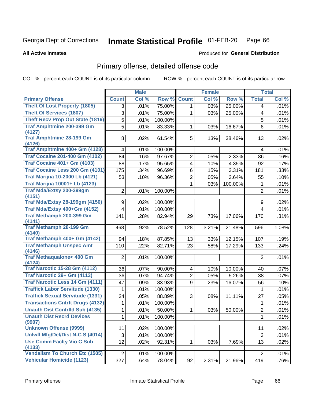### Inmate Statistical Profile 01-FEB-20 Page 66

**All Active Inmates** 

### Produced for General Distribution

# Primary offense, detailed offense code

COL % - percent each COUNT is of its particular column

|                                               |                     | <b>Male</b> |         |                         | <b>Female</b> |         |                | <b>Total</b> |
|-----------------------------------------------|---------------------|-------------|---------|-------------------------|---------------|---------|----------------|--------------|
| <b>Primary Offense</b>                        | <b>Count</b>        | Col %       | Row %   | <b>Count</b>            | Col %         | Row %   | <b>Total</b>   | Col %        |
| <b>Theft Of Lost Property (1805)</b>          | 3                   | .01%        | 75.00%  | 1                       | .03%          | 25.00%  | 4              | .01%         |
| <b>Theft Of Services (1807)</b>               | 3                   | .01%        | 75.00%  | 1                       | .03%          | 25.00%  | 4              | .01%         |
| Theft Recv Prop Out State (1816)              | $\overline{5}$      | .01%        | 100.00% |                         |               |         | 5              | .01%         |
| <b>Traf Amphtmine 200-399 Gm</b>              | 5                   | .01%        | 83.33%  | $\mathbf{1}$            | .03%          | 16.67%  | 6              | .01%         |
| (4127)                                        |                     |             |         |                         |               |         |                |              |
| <b>Traf Amphtmine 28-199 Gm</b><br>(4126)     | 8 <sup>1</sup>      | .02%        | 61.54%  | 5 <sup>1</sup>          | .13%          | 38.46%  | 13             | .02%         |
| Traf Amphtmine 400+ Gm (4128)                 | 4                   | .01%        | 100.00% |                         |               |         | 4              | .01%         |
| <b>Traf Cocaine 201-400 Gm (4102)</b>         | 84                  | .16%        | 97.67%  | 2                       | .05%          | 2.33%   | 86             | .16%         |
| <b>Traf Cocaine 401+ Gm (4103)</b>            | 88                  | .17%        | 95.65%  | $\overline{\mathbf{4}}$ | .10%          | 4.35%   | 92             | .17%         |
| Traf Cocaine Less 200 Gm (4101)               | 175                 | .34%        | 96.69%  | 6                       | .15%          | 3.31%   | 181            | .33%         |
| <b>Traf Marijna 10-2000 Lb (4121)</b>         | 53                  | .10%        | 96.36%  | 2                       | .05%          | 3.64%   | 55             | .10%         |
| <b>Traf Marijna 10001+ Lb (4123)</b>          |                     |             |         | 1                       | .03%          | 100.00% | 1              | .01%         |
| <b>Traf Mda/Extsy 200-399gm</b>               | 2                   | .01%        | 100.00% |                         |               |         | $\overline{2}$ | .01%         |
| (4151)                                        |                     |             |         |                         |               |         |                |              |
| <b>Traf Mda/Extsy 28-199gm (4150)</b>         | 9                   | .02%        | 100.00% |                         |               |         | 9              | .02%         |
| Traf Mda/Extsy 400+Gm (4152)                  | 4                   | .01%        | 100.00% |                         |               |         | 4              | .01%         |
| <b>Traf Methamph 200-399 Gm</b><br>(4141)     | 141                 | .28%        | 82.94%  | 29                      | .73%          | 17.06%  | 170            | .31%         |
| <b>Traf Methamph 28-199 Gm</b>                | 468                 | .92%        | 78.52%  | 128                     | 3.21%         | 21.48%  | 596            | 1.08%        |
| (4140)                                        |                     |             |         |                         |               |         |                |              |
| Traf Methamph 400+ Gm (4142)                  | 94                  | .18%        | 87.85%  | 13                      | .33%          | 12.15%  | 107            | .19%         |
| <b>Traf Methamph Unspec Amt</b><br>(4146)     | 110                 | .22%        | 82.71%  | 23                      | .58%          | 17.29%  | 133            | .24%         |
| <b>Traf Methaqualone&lt; 400 Gm</b><br>(4124) | $\overline{2}$      | .01%        | 100.00% |                         |               |         | $\overline{2}$ | .01%         |
| <b>Traf Narcotic 15-28 Gm (4112)</b>          | 36                  | .07%        | 90.00%  | $\overline{\mathbf{4}}$ | .10%          | 10.00%  | 40             | .07%         |
| Traf Narcotic 29+ Gm (4113)                   | 36                  | .07%        | 94.74%  | $\overline{2}$          | .05%          | 5.26%   | 38             | .07%         |
| <b>Traf Narcotic Less 14 Gm (4111)</b>        | 47                  | .09%        | 83.93%  | 9                       | .23%          | 16.07%  | 56             | .10%         |
| <b>Traffick Labor Servitude (1330)</b>        | 1                   | .01%        | 100.00% |                         |               |         | $\mathbf 1$    | .01%         |
| <b>Traffick Sexual Servitude (1331)</b>       | 24                  | .05%        | 88.89%  | 3                       | .08%          | 11.11%  | 27             | .05%         |
| <b>Transactions Cntrft Drugs (4132)</b>       | 1                   | .01%        | 100.00% |                         |               |         | 1              | .01%         |
| <b>Unauth Dist Contrild Sub (4135)</b>        | 1                   | .01%        | 50.00%  | 1                       | .03%          | 50.00%  | 2              | .01%         |
| <b>Unauth Dist Recrd Devices</b><br>(9907)    | $\mathbf{1}$        | .01%        | 100.00% |                         |               |         | $\overline{1}$ | .01%         |
| <b>Unknown Offense (9999)</b>                 | 11                  | .02%        | 100.00% |                         |               |         | 11             | .02%         |
| Uniwfl Mfg/Del/Dist N-C S (4014)              | $\overline{\omega}$ | .01%        | 100.00% |                         |               |         | 3              | .01%         |
| <b>Use Comm Facity Vio C Sub</b>              | 12                  | .02%        | 92.31%  | 1                       | .03%          | 7.69%   | 13             | .02%         |
| (4133)                                        |                     |             |         |                         |               |         |                |              |
| Vandalism To Church Etc (1505)                | $\overline{2}$      | .01%        | 100.00% |                         |               |         | $\overline{2}$ | .01%         |
| <b>Vehicular Homicide (1123)</b>              | 327                 | .64%        | 78.04%  | 92                      | 2.31%         | 21.96%  | 419            | .76%         |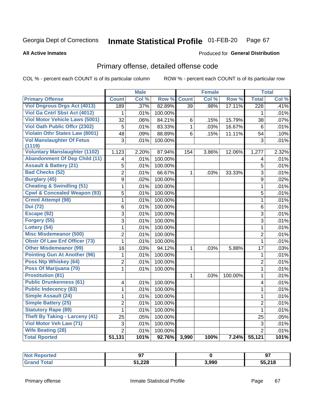### Inmate Statistical Profile 01-FEB-20 Page 67

**All Active Inmates** 

## **Produced for General Distribution**

# Primary offense, detailed offense code

COL % - percent each COUNT is of its particular column

|                                         |                 | <b>Male</b> |                  |                 | <b>Female</b> |         |                         | <b>Total</b> |
|-----------------------------------------|-----------------|-------------|------------------|-----------------|---------------|---------|-------------------------|--------------|
| <b>Primary Offense</b>                  | <b>Count</b>    | Col %       | Row <sup>%</sup> | <b>Count</b>    | Col %         | Row %   | <b>Total</b>            | Col %        |
| <b>Viol Dngrous Drgs Act (4013)</b>     | 189             | .37%        | 82.89%           | $\overline{39}$ | .98%          | 17.11%  | 228                     | .41%         |
| Viol Ga Cntrl Sbst Act (4012)           | 1               | .01%        | 100.00%          |                 |               |         | 1                       | .01%         |
| <b>Viol Motor Vehicle Laws (5001)</b>   | $\overline{32}$ | .06%        | 84.21%           | 6               | .15%          | 15.79%  | 38                      | .07%         |
| <b>Viol Oath Public Offcr (2302)</b>    | 5               | .01%        | 83.33%           | $\mathbf{1}$    | .03%          | 16.67%  | 6                       | .01%         |
| <b>Violatn Othr States Law (8001)</b>   | 48              | .09%        | 88.89%           | 6               | .15%          | 11.11%  | 54                      | .10%         |
| <b>Vol Manslaughter Of Fetus</b>        | 3               | .01%        | 100.00%          |                 |               |         | 3                       | .01%         |
| (1119)                                  |                 |             |                  |                 |               |         |                         |              |
| <b>Voluntary Manslaughter (1102)</b>    | 1,123           | 2.20%       | 87.94%           | 154             | 3.86%         | 12.06%  | 1,277                   | 2.32%        |
| <b>Abandonment Of Dep Child (11)</b>    | 4               | .01%        | 100.00%          |                 |               |         | 4                       | .01%         |
| <b>Assault &amp; Battery (21)</b>       | $\overline{5}$  | .01%        | 100.00%          |                 |               |         | $\overline{5}$          | .01%         |
| <b>Bad Checks (52)</b>                  | $\overline{2}$  | .01%        | 66.67%           | $\mathbf{1}$    | .03%          | 33.33%  | $\overline{3}$          | .01%         |
| <b>Burglary (45)</b>                    | $\overline{9}$  | .02%        | 100.00%          |                 |               |         | $\overline{9}$          | .02%         |
| <b>Cheating &amp; Swindling (51)</b>    | $\mathbf 1$     | .01%        | 100.00%          |                 |               |         | $\overline{1}$          | .01%         |
| <b>Cpwl &amp; Concealed Weapon (93)</b> | 5               | .01%        | 100.00%          |                 |               |         | $\overline{5}$          | .01%         |
| <b>Crmnl Attempt (98)</b>               | $\mathbf{1}$    | .01%        | 100.00%          |                 |               |         | $\mathbf{1}$            | .01%         |
| <b>Dui</b> (72)                         | 6               | .01%        | 100.00%          |                 |               |         | $\overline{6}$          | .01%         |
| Escape (92)                             | 3               | .01%        | 100.00%          |                 |               |         | $\overline{3}$          | .01%         |
| Forgery (55)                            | 3               | .01%        | 100.00%          |                 |               |         | $\overline{3}$          | .01%         |
| Lottery (54)                            | $\mathbf{1}$    | .01%        | 100.00%          |                 |               |         | $\mathbf{1}$            | .01%         |
| <b>Misc Misdemeanor (500)</b>           | $\overline{2}$  | .01%        | 100.00%          |                 |               |         | $\overline{2}$          | .01%         |
| <b>Obstr Of Law Enf Officer (73)</b>    | $\mathbf{1}$    | .01%        | 100.00%          |                 |               |         | $\mathbf{1}$            | .01%         |
| <b>Other Misdemeanor (99)</b>           | 16              | .03%        | 94.12%           | 1               | .03%          | 5.88%   | 17                      | .03%         |
| <b>Pointing Gun At Another (96)</b>     | 1               | .01%        | 100.00%          |                 |               |         | 1                       | .01%         |
| Poss Ntp Whiskey (64)                   | $\overline{2}$  | .01%        | 100.00%          |                 |               |         | $\overline{2}$          | .01%         |
| Poss Of Marijuana (70)                  | $\mathbf{1}$    | .01%        | 100.00%          |                 |               |         | $\mathbf{1}$            | .01%         |
| <b>Prostitution (81)</b>                |                 |             |                  | 1               | .03%          | 100.00% | $\mathbf{1}$            | .01%         |
| <b>Public Drunkenness (61)</b>          | 4               | .01%        | 100.00%          |                 |               |         | $\overline{\mathbf{4}}$ | .01%         |
| <b>Public Indecency (83)</b>            | $\mathbf{1}$    | .01%        | 100.00%          |                 |               |         | $\mathbf{1}$            | .01%         |
| <b>Simple Assault (24)</b>              | 1               | .01%        | 100.00%          |                 |               |         | $\mathbf{1}$            | .01%         |
| <b>Simple Battery (25)</b>              | $\overline{2}$  | .01%        | 100.00%          |                 |               |         | $\overline{2}$          | .01%         |
| <b>Statutory Rape (89)</b>              | 1               | .01%        | 100.00%          |                 |               |         | $\mathbf{1}$            | .01%         |
| <b>Theft By Taking - Larceny (41)</b>   | 25              | .05%        | 100.00%          |                 |               |         | 25                      | .05%         |
| Viol Motor Veh Law (71)                 | 3               | .01%        | 100.00%          |                 |               |         | $\sqrt{3}$              | .01%         |
| <b>Wife Beating (28)</b>                | $\overline{2}$  | .01%        | 100.00%          |                 |               |         | $\overline{2}$          | .01%         |
| <b>Total Rported</b>                    | 51,131          | 101%        | 92.76%           | 3,990           | 100%          | 7.24%   | 55,121                  | 101%         |

| Reported |        |       | $\sim$<br>9, |
|----------|--------|-------|--------------|
| Total    | 51,228 | 3,990 | 55,218       |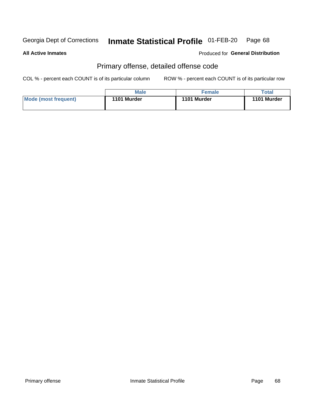### Inmate Statistical Profile 01-FEB-20 Page 68

**All Active Inmates** 

**Produced for General Distribution** 

# Primary offense, detailed offense code

COL % - percent each COUNT is of its particular column

|                      | <b>Male</b> | <b>Female</b> | $\tau$ otal |
|----------------------|-------------|---------------|-------------|
| Mode (most frequent) | 1101 Murder | 1101 Murder   | 1101 Murder |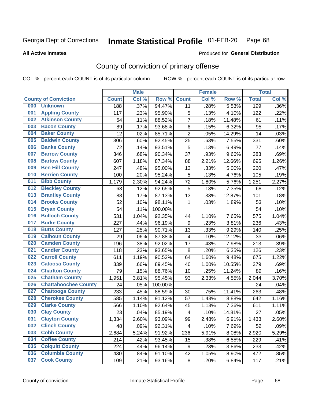### Inmate Statistical Profile 01-FEB-20 Page 68

**All Active Inmates** 

### Produced for General Distribution

# County of conviction of primary offense

COL % - percent each COUNT is of its particular column

|     |                             |              | <b>Male</b> |         |                         | <b>Female</b> |        |              | <b>Total</b> |
|-----|-----------------------------|--------------|-------------|---------|-------------------------|---------------|--------|--------------|--------------|
|     | <b>County of Conviction</b> | <b>Count</b> | Col %       | Row %   | <b>Count</b>            | Col %         | Row %  | <b>Total</b> | Col %        |
| 000 | <b>Unknown</b>              | 188          | .37%        | 94.47%  | 11                      | .28%          | 5.53%  | 199          | .36%         |
| 001 | <b>Appling County</b>       | 117          | .23%        | 95.90%  | 5                       | .13%          | 4.10%  | 122          | .22%         |
| 002 | <b>Atkinson County</b>      | 54           | .11%        | 88.52%  | $\overline{7}$          | .18%          | 11.48% | 61           | .11%         |
| 003 | <b>Bacon County</b>         | 89           | .17%        | 93.68%  | 6                       | .15%          | 6.32%  | 95           | .17%         |
| 004 | <b>Baker County</b>         | 12           | .02%        | 85.71%  | $\overline{2}$          | .05%          | 14.29% | 14           | .03%         |
| 005 | <b>Baldwin County</b>       | 306          | .60%        | 92.45%  | 25                      | .63%          | 7.55%  | 331          | .60%         |
| 006 | <b>Banks County</b>         | 72           | .14%        | 93.51%  | $\mathbf 5$             | .13%          | 6.49%  | 77           | .14%         |
| 007 | <b>Barrow County</b>        | 346          | .68%        | 90.34%  | 37                      | .93%          | 9.66%  | 383          | .69%         |
| 008 | <b>Bartow County</b>        | 607          | 1.18%       | 87.34%  | 88                      | 2.21%         | 12.66% | 695          | 1.26%        |
| 009 | <b>Ben Hill County</b>      | 247          | .48%        | 95.00%  | 13                      | .33%          | 5.00%  | 260          | .47%         |
| 010 | <b>Berrien County</b>       | 100          | .20%        | 95.24%  | $\mathbf 5$             | .13%          | 4.76%  | 105          | .19%         |
| 011 | <b>Bibb County</b>          | 1,179        | 2.30%       | 94.24%  | 72                      | 1.80%         | 5.76%  | 1,251        | 2.27%        |
| 012 | <b>Bleckley County</b>      | 63           | .12%        | 92.65%  | 5                       | .13%          | 7.35%  | 68           | .12%         |
| 013 | <b>Brantley County</b>      | 88           | .17%        | 87.13%  | 13                      | .33%          | 12.87% | 101          | .18%         |
| 014 | <b>Brooks County</b>        | 52           | .10%        | 98.11%  | 1                       | .03%          | 1.89%  | 53           | .10%         |
| 015 | <b>Bryan County</b>         | 54           | .11%        | 100.00% |                         |               |        | 54           | .10%         |
| 016 | <b>Bulloch County</b>       | 531          | 1.04%       | 92.35%  | 44                      | 1.10%         | 7.65%  | 575          | 1.04%        |
| 017 | <b>Burke County</b>         | 227          | .44%        | 96.19%  | 9                       | .23%          | 3.81%  | 236          | .43%         |
| 018 | <b>Butts County</b>         | 127          | .25%        | 90.71%  | 13                      | .33%          | 9.29%  | 140          | .25%         |
| 019 | <b>Calhoun County</b>       | 29           | .06%        | 87.88%  | $\overline{\mathbf{4}}$ | .10%          | 12.12% | 33           | .06%         |
| 020 | <b>Camden County</b>        | 196          | .38%        | 92.02%  | 17                      | .43%          | 7.98%  | 213          | .39%         |
| 021 | <b>Candler County</b>       | 118          | .23%        | 93.65%  | 8                       | .20%          | 6.35%  | 126          | .23%         |
| 022 | <b>Carroll County</b>       | 611          | 1.19%       | 90.52%  | 64                      | 1.60%         | 9.48%  | 675          | 1.22%        |
| 023 | <b>Catoosa County</b>       | 339          | .66%        | 89.45%  | 40                      | 1.00%         | 10.55% | 379          | .69%         |
| 024 | <b>Charlton County</b>      | 79           | .15%        | 88.76%  | 10                      | .25%          | 11.24% | 89           | .16%         |
| 025 | <b>Chatham County</b>       | 1,951        | 3.81%       | 95.45%  | 93                      | 2.33%         | 4.55%  | 2,044        | 3.70%        |
| 026 | <b>Chattahoochee County</b> | 24           | .05%        | 100.00% |                         |               |        | 24           | .04%         |
| 027 | <b>Chattooga County</b>     | 233          | .45%        | 88.59%  | 30                      | .75%          | 11.41% | 263          | .48%         |
| 028 | <b>Cherokee County</b>      | 585          | 1.14%       | 91.12%  | 57                      | 1.43%         | 8.88%  | 642          | 1.16%        |
| 029 | <b>Clarke County</b>        | 566          | 1.10%       | 92.64%  | 45                      | 1.13%         | 7.36%  | 611          | 1.11%        |
| 030 | <b>Clay County</b>          | 23           | .04%        | 85.19%  | $\overline{\mathbf{4}}$ | .10%          | 14.81% | 27           | .05%         |
| 031 | <b>Clayton County</b>       | 1,334        | 2.60%       | 93.09%  | 99                      | 2.48%         | 6.91%  | 1,433        | 2.60%        |
| 032 | <b>Clinch County</b>        | 48           | .09%        | 92.31%  | 4                       | .10%          | 7.69%  | 52           | .09%         |
| 033 | <b>Cobb County</b>          | 2,684        | 5.24%       | 91.92%  | 236                     | 5.91%         | 8.08%  | 2,920        | 5.29%        |
| 034 | <b>Coffee County</b>        | 214          | .42%        | 93.45%  | 15                      | .38%          | 6.55%  | 229          | .41%         |
| 035 | <b>Colquitt County</b>      | 224          | .44%        | 96.14%  | 9                       | .23%          | 3.86%  | 233          | .42%         |
| 036 | <b>Columbia County</b>      | 430          | .84%        | 91.10%  | 42                      | 1.05%         | 8.90%  | 472          | .85%         |
| 037 | <b>Cook County</b>          | 109          | .21%        | 93.16%  | 8                       | .20%          | 6.84%  | 117          | .21%         |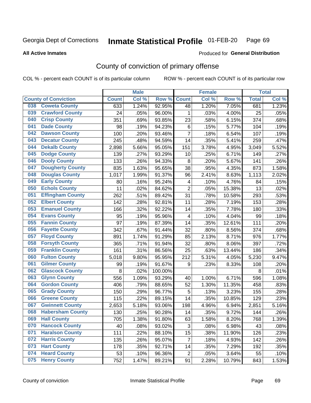### Inmate Statistical Profile 01-FEB-20 Page 69

**All Active Inmates** 

### Produced for General Distribution

# County of conviction of primary offense

COL % - percent each COUNT is of its particular column

|                                |              | <b>Male</b> |         |                | <b>Female</b> |        |              | <b>Total</b> |
|--------------------------------|--------------|-------------|---------|----------------|---------------|--------|--------------|--------------|
| <b>County of Conviction</b>    | <b>Count</b> | Col %       | Row %   | <b>Count</b>   | Col %         | Row %  | <b>Total</b> | Col %        |
| <b>Coweta County</b><br>038    | 633          | 1.24%       | 92.95%  | 48             | 1.20%         | 7.05%  | 681          | 1.23%        |
| <b>Crawford County</b><br>039  | 24           | .05%        | 96.00%  | 1              | .03%          | 4.00%  | 25           | .05%         |
| <b>Crisp County</b><br>040     | 351          | .69%        | 93.85%  | 23             | .58%          | 6.15%  | 374          | .68%         |
| <b>Dade County</b><br>041      | 98           | .19%        | 94.23%  | 6              | .15%          | 5.77%  | 104          | .19%         |
| <b>Dawson County</b><br>042    | 100          | .20%        | 93.46%  | $\overline{7}$ | .18%          | 6.54%  | 107          | .19%         |
| 043<br><b>Decatur County</b>   | 245          | .48%        | 94.59%  | 14             | .35%          | 5.41%  | 259          | .47%         |
| <b>Dekalb County</b><br>044    | 2,898        | 5.66%       | 95.05%  | 151            | 3.78%         | 4.95%  | 3,049        | 5.52%        |
| <b>Dodge County</b><br>045     | 139          | .27%        | 93.29%  | 10             | .25%          | 6.71%  | 149          | .27%         |
| <b>Dooly County</b><br>046     | 133          | .26%        | 94.33%  | 8              | .20%          | 5.67%  | 141          | .26%         |
| 047<br><b>Dougherty County</b> | 835          | 1.63%       | 95.65%  | 38             | .95%          | 4.35%  | 873          | 1.58%        |
| <b>Douglas County</b><br>048   | 1,017        | 1.99%       | 91.37%  | 96             | 2.41%         | 8.63%  | 1,113        | 2.02%        |
| <b>Early County</b><br>049     | 80           | .16%        | 95.24%  | 4              | .10%          | 4.76%  | 84           | .15%         |
| <b>Echols County</b><br>050    | 11           | .02%        | 84.62%  | $\overline{2}$ | .05%          | 15.38% | 13           | .02%         |
| 051<br><b>Effingham County</b> | 262          | .51%        | 89.42%  | 31             | .78%          | 10.58% | 293          | .53%         |
| <b>Elbert County</b><br>052    | 142          | .28%        | 92.81%  | 11             | .28%          | 7.19%  | 153          | .28%         |
| <b>Emanuel County</b><br>053   | 166          | .32%        | 92.22%  | 14             | .35%          | 7.78%  | 180          | .33%         |
| <b>Evans County</b><br>054     | 95           | .19%        | 95.96%  | 4              | .10%          | 4.04%  | 99           | .18%         |
| <b>Fannin County</b><br>055    | 97           | .19%        | 87.39%  | 14             | .35%          | 12.61% | 111          | .20%         |
| <b>Fayette County</b><br>056   | 342          | .67%        | 91.44%  | 32             | .80%          | 8.56%  | 374          | .68%         |
| <b>Floyd County</b><br>057     | 891          | 1.74%       | 91.29%  | 85             | 2.13%         | 8.71%  | 976          | 1.77%        |
| <b>Forsyth County</b><br>058   | 365          | .71%        | 91.94%  | 32             | .80%          | 8.06%  | 397          | .72%         |
| <b>Franklin County</b><br>059  | 161          | .31%        | 86.56%  | 25             | .63%          | 13.44% | 186          | .34%         |
| <b>Fulton County</b><br>060    | 5,018        | 9.80%       | 95.95%  | 212            | 5.31%         | 4.05%  | 5,230        | 9.47%        |
| <b>Gilmer County</b><br>061    | 99           | .19%        | 91.67%  | 9              | .23%          | 8.33%  | 108          | .20%         |
| <b>Glascock County</b><br>062  | 8            | .02%        | 100.00% |                |               |        | 8            | .01%         |
| 063<br><b>Glynn County</b>     | 556          | 1.09%       | 93.29%  | 40             | 1.00%         | 6.71%  | 596          | 1.08%        |
| <b>Gordon County</b><br>064    | 406          | .79%        | 88.65%  | 52             | 1.30%         | 11.35% | 458          | .83%         |
| <b>Grady County</b><br>065     | 150          | .29%        | 96.77%  | 5              | .13%          | 3.23%  | 155          | .28%         |
| <b>Greene County</b><br>066    | 115          | .22%        | 89.15%  | 14             | .35%          | 10.85% | 129          | .23%         |
| <b>Gwinnett County</b><br>067  | 2,653        | 5.18%       | 93.06%  | 198            | 4.96%         | 6.94%  | 2,851        | 5.16%        |
| <b>Habersham County</b><br>068 | 130          | .25%        | 90.28%  | 14             | .35%          | 9.72%  | 144          | .26%         |
| 069<br><b>Hall County</b>      | 705          | 1.38%       | 91.80%  | 63             | 1.58%         | 8.20%  | 768          | 1.39%        |
| <b>Hancock County</b><br>070   | 40           | .08%        | 93.02%  | 3              | .08%          | 6.98%  | 43           | .08%         |
| <b>Haralson County</b><br>071  | 111          | .22%        | 88.10%  | 15             | .38%          | 11.90% | 126          | .23%         |
| 072<br><b>Harris County</b>    | 135          | .26%        | 95.07%  | 7              | .18%          | 4.93%  | 142          | .26%         |
| <b>Hart County</b><br>073      | 178          | .35%        | 92.71%  | 14             | .35%          | 7.29%  | 192          | .35%         |
| <b>Heard County</b><br>074     | 53           | .10%        | 96.36%  | $\overline{2}$ | .05%          | 3.64%  | 55           | .10%         |
| <b>Henry County</b><br>075     | 752          | 1.47%       | 89.21%  | 91             | 2.28%         | 10.79% | 843          | 1.53%        |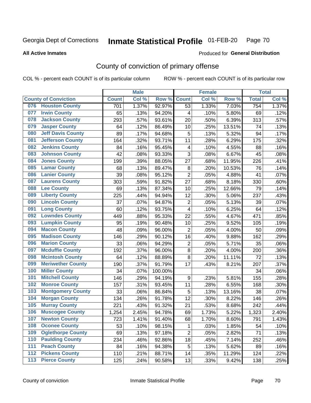### Inmate Statistical Profile 01-FEB-20 Page 70

**All Active Inmates** 

## Produced for General Distribution

# County of conviction of primary offense

COL % - percent each COUNT is of its particular column

|                                 |              | <b>Male</b> |         |                         | <b>Female</b> |        |              | <b>Total</b> |
|---------------------------------|--------------|-------------|---------|-------------------------|---------------|--------|--------------|--------------|
| <b>County of Conviction</b>     | <b>Count</b> | Col %       | Row %   | <b>Count</b>            | Col %         | Row %  | <b>Total</b> | Col %        |
| <b>Houston County</b><br>076    | 701          | 1.37%       | 92.97%  | 53                      | 1.33%         | 7.03%  | 754          | 1.37%        |
| <b>Irwin County</b><br>077      | 65           | .13%        | 94.20%  | 4                       | .10%          | 5.80%  | 69           | .12%         |
| <b>Jackson County</b><br>078    | 293          | .57%        | 93.61%  | 20                      | .50%          | 6.39%  | 313          | .57%         |
| <b>Jasper County</b><br>079     | 64           | .12%        | 86.49%  | 10                      | .25%          | 13.51% | 74           | .13%         |
| <b>Jeff Davis County</b><br>080 | 89           | .17%        | 94.68%  | 5                       | .13%          | 5.32%  | 94           | .17%         |
| 081<br><b>Jefferson County</b>  | 164          | .32%        | 93.71%  | 11                      | .28%          | 6.29%  | 175          | .32%         |
| <b>Jenkins County</b><br>082    | 84           | .16%        | 95.45%  | $\overline{\mathbf{4}}$ | .10%          | 4.55%  | 88           | .16%         |
| <b>Johnson County</b><br>083    | 42           | .08%        | 93.33%  | 3                       | .08%          | 6.67%  | 45           | .08%         |
| <b>Jones County</b><br>084      | 199          | .39%        | 88.05%  | 27                      | .68%          | 11.95% | 226          | .41%         |
| <b>Lamar County</b><br>085      | 68           | .13%        | 89.47%  | 8                       | .20%          | 10.53% | 76           | .14%         |
| <b>Lanier County</b><br>086     | 39           | .08%        | 95.12%  | $\overline{2}$          | .05%          | 4.88%  | 41           | .07%         |
| <b>Laurens County</b><br>087    | 303          | .59%        | 91.82%  | 27                      | .68%          | 8.18%  | 330          | .60%         |
| <b>Lee County</b><br>088        | 69           | .13%        | 87.34%  | 10                      | .25%          | 12.66% | 79           | .14%         |
| <b>Liberty County</b><br>089    | 225          | .44%        | 94.94%  | 12                      | .30%          | 5.06%  | 237          | .43%         |
| <b>Lincoln County</b><br>090    | 37           | .07%        | 94.87%  | $\mathbf 2$             | .05%          | 5.13%  | 39           | .07%         |
| <b>Long County</b><br>091       | 60           | .12%        | 93.75%  | $\overline{4}$          | .10%          | 6.25%  | 64           | .12%         |
| <b>Lowndes County</b><br>092    | 449          | .88%        | 95.33%  | 22                      | .55%          | 4.67%  | 471          | .85%         |
| <b>Lumpkin County</b><br>093    | 95           | .19%        | 90.48%  | 10                      | .25%          | 9.52%  | 105          | .19%         |
| <b>Macon County</b><br>094      | 48           | .09%        | 96.00%  | $\overline{2}$          | .05%          | 4.00%  | 50           | .09%         |
| <b>Madison County</b><br>095    | 146          | .29%        | 90.12%  | 16                      | .40%          | 9.88%  | 162          | .29%         |
| <b>Marion County</b><br>096     | 33           | .06%        | 94.29%  | $\overline{2}$          | .05%          | 5.71%  | 35           | .06%         |
| <b>Mcduffie County</b><br>097   | 192          | .37%        | 96.00%  | 8                       | .20%          | 4.00%  | 200          | .36%         |
| <b>Mcintosh County</b><br>098   | 64           | .12%        | 88.89%  | 8                       | .20%          | 11.11% | 72           | .13%         |
| <b>Meriwether County</b><br>099 | 190          | .37%        | 91.79%  | 17                      | .43%          | 8.21%  | 207          | .37%         |
| <b>Miller County</b><br>100     | 34           | .07%        | 100.00% |                         |               |        | 34           | .06%         |
| <b>Mitchell County</b><br>101   | 146          | .29%        | 94.19%  | 9                       | .23%          | 5.81%  | 155          | .28%         |
| <b>Monroe County</b><br>102     | 157          | .31%        | 93.45%  | 11                      | .28%          | 6.55%  | 168          | .30%         |
| <b>Montgomery County</b><br>103 | 33           | .06%        | 86.84%  | 5                       | .13%          | 13.16% | 38           | .07%         |
| <b>Morgan County</b><br>104     | 134          | .26%        | 91.78%  | 12                      | .30%          | 8.22%  | 146          | .26%         |
| <b>Murray County</b><br>105     | 221          | .43%        | 91.32%  | 21                      | .53%          | 8.68%  | 242          | .44%         |
| <b>Muscogee County</b><br>106   | 1,254        | 2.45%       | 94.78%  | 69                      | 1.73%         | 5.22%  | 1,323        | 2.40%        |
| 107<br><b>Newton County</b>     | 723          | 1.41%       | 91.40%  | 68                      | 1.70%         | 8.60%  | 791          | 1.43%        |
| <b>Oconee County</b><br>108     | 53           | .10%        | 98.15%  | 1                       | .03%          | 1.85%  | 54           | .10%         |
| <b>Oglethorpe County</b><br>109 | 69           | .13%        | 97.18%  | $\overline{2}$          | .05%          | 2.82%  | 71           | .13%         |
| <b>Paulding County</b><br>110   | 234          | .46%        | 92.86%  | 18                      | .45%          | 7.14%  | 252          | .46%         |
| <b>Peach County</b><br>111      | 84           | .16%        | 94.38%  | 5                       | .13%          | 5.62%  | 89           | .16%         |
| <b>Pickens County</b><br>$112$  | 110          | .21%        | 88.71%  | 14                      | .35%          | 11.29% | 124          | .22%         |
| <b>Pierce County</b><br>113     | 125          | .24%        | 90.58%  | 13                      | .33%          | 9.42%  | 138          | .25%         |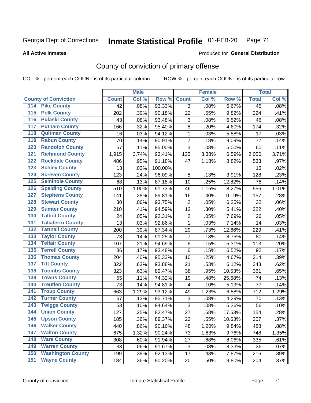### Inmate Statistical Profile 01-FEB-20 Page 71

**All Active Inmates** 

## **Produced for General Distribution**

# County of conviction of primary offense

COL % - percent each COUNT is of its particular column

|                                        |              | <b>Male</b> |         |                           | <b>Female</b> |        |                 | <b>Total</b> |
|----------------------------------------|--------------|-------------|---------|---------------------------|---------------|--------|-----------------|--------------|
| <b>County of Conviction</b>            | <b>Count</b> | Col %       | Row %   | <b>Count</b>              | Col %         | Row %  | <b>Total</b>    | Col %        |
| <b>Pike County</b><br>114              | 42           | .08%        | 93.33%  | 3                         | .08%          | 6.67%  | $\overline{45}$ | .08%         |
| <b>Polk County</b><br>$\overline{115}$ | 202          | .39%        | 90.18%  | 22                        | .55%          | 9.82%  | 224             | .41%         |
| <b>Pulaski County</b><br>116           | 43           | .08%        | 93.48%  | 3                         | .08%          | 6.52%  | 46              | .08%         |
| <b>Putnam County</b><br>117            | 166          | .32%        | 95.40%  | 8                         | .20%          | 4.60%  | 174             | .32%         |
| 118<br><b>Quitman County</b>           | 16           | .03%        | 94.12%  | $\mathbf{1}$              | .03%          | 5.88%  | 17              | .03%         |
| <b>Rabun County</b><br>119             | 70           | .14%        | 90.91%  | $\overline{7}$            | .18%          | 9.09%  | 77              | .14%         |
| <b>Randolph County</b><br>120          | 57           | .11%        | 95.00%  | 3                         | .08%          | 5.00%  | 60              | .11%         |
| <b>Richmond County</b><br>121          | 1,915        | 3.74%       | 93.41%  | 135                       | 3.38%         | 6.59%  | 2,050           | 3.71%        |
| <b>Rockdale County</b><br>122          | 486          | .95%        | 91.18%  | 47                        | 1.18%         | 8.82%  | 533             | .97%         |
| <b>Schley County</b><br>123            | 13           | .03%        | 100.00% |                           |               |        | 13              | .02%         |
| <b>Screven County</b><br>124           | 123          | .24%        | 96.09%  | 5                         | .13%          | 3.91%  | 128             | .23%         |
| <b>Seminole County</b><br>125          | 68           | .13%        | 87.18%  | 10                        | .25%          | 12.82% | 78              | .14%         |
| 126<br><b>Spalding County</b>          | 510          | 1.00%       | 91.73%  | 46                        | 1.15%         | 8.27%  | 556             | 1.01%        |
| 127<br><b>Stephens County</b>          | 141          | .28%        | 89.81%  | 16                        | .40%          | 10.19% | 157             | .28%         |
| <b>Stewart County</b><br>128           | 30           | .06%        | 93.75%  | $\overline{2}$            | .05%          | 6.25%  | 32              | .06%         |
| <b>Sumter County</b><br>129            | 210          | .41%        | 94.59%  | 12                        | .30%          | 5.41%  | 222             | .40%         |
| <b>Talbot County</b><br>130            | 24           | .05%        | 92.31%  | $\mathbf 2$               | .05%          | 7.69%  | 26              | .05%         |
| <b>Taliaferro County</b><br>131        | 13           | .03%        | 92.86%  | $\mathbf{1}$              | .03%          | 7.14%  | 14              | .03%         |
| <b>Tattnall County</b><br>132          | 200          | .39%        | 87.34%  | 29                        | .73%          | 12.66% | 229             | .41%         |
| <b>Taylor County</b><br>133            | 73           | .14%        | 91.25%  | $\overline{7}$            | .18%          | 8.75%  | 80              | .14%         |
| <b>Telfair County</b><br>134           | 107          | .21%        | 94.69%  | 6                         | .15%          | 5.31%  | 113             | .20%         |
| <b>Terrell County</b><br>135           | 86           | .17%        | 93.48%  | 6                         | .15%          | 6.52%  | 92              | .17%         |
| <b>Thomas County</b><br>136            | 204          | .40%        | 95.33%  | 10                        | .25%          | 4.67%  | 214             | .39%         |
| <b>Tift County</b><br>137              | 322          | .63%        | 93.88%  | 21                        | .53%          | 6.12%  | 343             | .62%         |
| <b>Toombs County</b><br>138            | 323          | .63%        | 89.47%  | 38                        | .95%          | 10.53% | 361             | .65%         |
| <b>Towns County</b><br>139             | 55           | .11%        | 74.32%  | 19                        | .48%          | 25.68% | 74              | .13%         |
| <b>Treutlen County</b><br>140          | 73           | .14%        | 94.81%  | $\overline{\mathbf{4}}$   | .10%          | 5.19%  | 77              | .14%         |
| <b>Troup County</b><br>141             | 663          | 1.29%       | 93.12%  | 49                        | 1.23%         | 6.88%  | 712             | 1.29%        |
| <b>Turner County</b><br>142            | 67           | .13%        | 95.71%  | $\ensuremath{\mathsf{3}}$ | .08%          | 4.29%  | 70              | .13%         |
| <b>Twiggs County</b><br>143            | 53           | .10%        | 94.64%  | 3                         | .08%          | 5.36%  | 56              | .10%         |
| <b>Union County</b><br>144             | 127          | .25%        | 82.47%  | 27                        | .68%          | 17.53% | 154             | .28%         |
| 145<br><b>Upson County</b>             | 185          | .36%        | 89.37%  | 22                        | .55%          | 10.63% | 207             | .37%         |
| <b>Walker County</b><br>146            | 440          | .86%        | 90.16%  | 48                        | 1.20%         | 9.84%  | 488             | .88%         |
| <b>Walton County</b><br>147            | 675          | 1.32%       | 90.24%  | 73                        | 1.83%         | 9.76%  | 748             | 1.35%        |
| <b>Ware County</b><br>148              | 308          | .60%        | 91.94%  | 27                        | .68%          | 8.06%  | 335             | .61%         |
| <b>Warren County</b><br>149            | 33           | .06%        | 91.67%  | 3                         | .08%          | 8.33%  | 36              | .07%         |
| <b>Washington County</b><br>150        | 199          | .39%        | 92.13%  | 17                        | .43%          | 7.87%  | 216             | .39%         |
| <b>Wayne County</b><br>151             | 184          | .36%        | 90.20%  | 20                        | .50%          | 9.80%  | 204             | .37%         |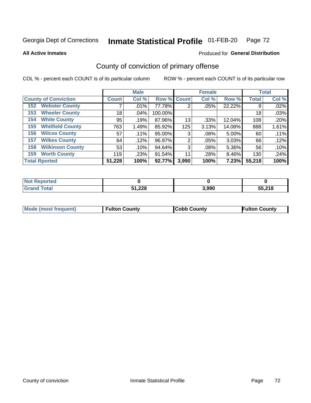### Inmate Statistical Profile 01-FEB-20 Page 72

**All Active Inmates** 

### Produced for General Distribution

# County of conviction of primary offense

COL % - percent each COUNT is of its particular column

|                                |              | <b>Male</b> |             |       | <b>Female</b> |        |              | <b>Total</b> |
|--------------------------------|--------------|-------------|-------------|-------|---------------|--------|--------------|--------------|
| <b>County of Conviction</b>    | <b>Count</b> | Col %       | Row % Count |       | Col %         | Row %  | <b>Total</b> | Col %        |
| <b>Webster County</b><br>152   |              | .01%        | 77.78%      | 2     | .05%          | 22.22% | 9            | .02%         |
| <b>Wheeler County</b><br>153   | 18           | $.04\%$     | 100.00%     |       |               |        | 18           | .03%         |
| <b>White County</b><br>154     | 95           | .19%        | 87.96%      | 13    | .33%          | 12.04% | 108          | .20%         |
| <b>Whitfield County</b><br>155 | 763          | 1.49%       | 85.92%      | 125   | 3.13%         | 14.08% | 888          | 1.61%        |
| <b>Wilcox County</b><br>156    | 57           | $.11\%$     | 95.00%      | 3     | .08%          | 5.00%  | 60           | .11%         |
| <b>Wilkes County</b><br>157    | 64           | .12%        | 96.97%      | 2     | .05%          | 3.03%  | 66           | .12%         |
| <b>Wilkinson County</b><br>158 | 53           | .10%        | 94.64%      | 3     | .08%          | 5.36%  | 56           | .10%         |
| <b>Worth County</b><br>159     | 119          | .23%        | 91.54%      | 11    | .28%          | 8.46%  | 130          | .24%         |
| <b>Total Rported</b>           | 51,228       | 100%        | 92.77%      | 3,990 | 100%          | 7.23%  | 55,218       | 100%         |

| <b>Not Reported</b> |               |       |        |
|---------------------|---------------|-------|--------|
| Total               | 51,228<br>E4. | 3,990 | 55,218 |

| <b>Mode (most frequent)</b> | <b>Fulton County</b> | <b>ICobb County</b> | <b>Fulton County</b> |
|-----------------------------|----------------------|---------------------|----------------------|
|                             |                      |                     |                      |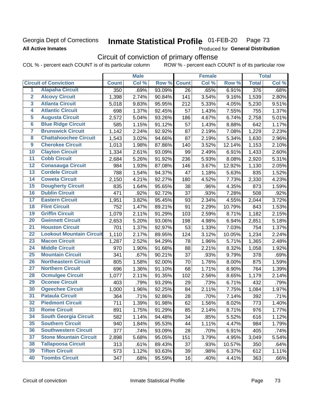## Georgia Dept of Corrections **All Active Inmates**

#### Inmate Statistical Profile 01-FEB-20 Page 73

Produced for General Distribution

# Circuit of conviction of primary offense

|                         |                                 |              | <b>Male</b> |        |              | <b>Female</b> |        |                  | <b>Total</b> |
|-------------------------|---------------------------------|--------------|-------------|--------|--------------|---------------|--------|------------------|--------------|
|                         | <b>Circuit of Conviction</b>    | <b>Count</b> | Col %       | Row %  | <b>Count</b> | Col %         | Row %  | <b>Total</b>     | Col %        |
| 1                       | <b>Alapaha Circuit</b>          | 350          | .69%        | 93.09% | 26           | .65%          | 6.91%  | $\overline{376}$ | .68%         |
| $\overline{2}$          | <b>Alcovy Circuit</b>           | 1,398        | 2.74%       | 90.84% | 141          | 3.54%         | 9.16%  | 1,539            | 2.80%        |
| $\overline{\mathbf{3}}$ | <b>Atlanta Circuit</b>          | 5,018        | 9.83%       | 95.95% | 212          | 5.33%         | 4.05%  | 5,230            | 9.51%        |
| 4                       | <b>Atlantic Circuit</b>         | 698          | 1.37%       | 92.45% | 57           | 1.43%         | 7.55%  | 755              | 1.37%        |
| $\overline{5}$          | <b>Augusta Circuit</b>          | 2,572        | 5.04%       | 93.26% | 186          | 4.67%         | 6.74%  | 2,758            | 5.01%        |
| $\overline{6}$          | <b>Blue Ridge Circuit</b>       | 585          | 1.15%       | 91.12% | 57           | 1.43%         | 8.88%  | 642              | 1.17%        |
| $\overline{\mathbf{7}}$ | <b>Brunswick Circuit</b>        | 1,142        | 2.24%       | 92.92% | 87           | 2.19%         | 7.08%  | 1,229            | 2.23%        |
| $\overline{\mathbf{8}}$ | <b>Chattahoochee Circuit</b>    | 1,543        | 3.02%       | 94.66% | 87           | 2.19%         | 5.34%  | 1,630            | 2.96%        |
| $\overline{9}$          | <b>Cherokee Circuit</b>         | 1,013        | 1.98%       | 87.86% | 140          | 3.52%         | 12.14% | 1,153            | 2.10%        |
| 10                      | <b>Clayton Circuit</b>          | 1,334        | 2.61%       | 93.09% | 99           | 2.49%         | 6.91%  | 1,433            | 2.60%        |
| $\overline{11}$         | <b>Cobb Circuit</b>             | 2,684        | 5.26%       | 91.92% | 236          | 5.93%         | 8.08%  | 2,920            | 5.31%        |
| $\overline{12}$         | <b>Conasauga Circuit</b>        | 984          | 1.93%       | 87.08% | 146          | 3.67%         | 12.92% | 1,130            | 2.05%        |
| 13                      | <b>Cordele Circuit</b>          | 788          | 1.54%       | 94.37% | 47           | 1.18%         | 5.63%  | 835              | 1.52%        |
| $\overline{14}$         | <b>Coweta Circuit</b>           | 2,150        | 4.21%       | 92.27% | 180          | 4.52%         | 7.73%  | 2,330            | 4.23%        |
| 15                      | <b>Dougherty Circuit</b>        | 835          | 1.64%       | 95.65% | 38           | .96%          | 4.35%  | 873              | 1.59%        |
| 16                      | <b>Dublin Circuit</b>           | 471          | .92%        | 92.72% | 37           | .93%          | 7.28%  | 508              | .92%         |
| 17                      | <b>Eastern Circuit</b>          | 1,951        | 3.82%       | 95.45% | 93           | 2.34%         | 4.55%  | 2,044            | 3.72%        |
| 18                      | <b>Flint Circuit</b>            | 752          | 1.47%       | 89.21% | 91           | 2.29%         | 10.79% | 843              | 1.53%        |
| 19                      | <b>Griffin Circuit</b>          | 1,079        | 2.11%       | 91.29% | 103          | 2.59%         | 8.71%  | 1,182            | 2.15%        |
| 20                      | <b>Gwinnett Circuit</b>         | 2,653        | 5.20%       | 93.06% | 198          | 4.98%         | 6.94%  | 2,851            | 5.18%        |
| $\overline{21}$         | <b>Houston Circuit</b>          | 701          | 1.37%       | 92.97% | 53           | 1.33%         | 7.03%  | 754              | 1.37%        |
| $\overline{22}$         | <b>Lookout Mountain Circuit</b> | 1,110        | 2.17%       | 89.95% | 124          | 3.12%         | 10.05% | 1,234            | 2.24%        |
| 23                      | <b>Macon Circuit</b>            | 1,287        | 2.52%       | 94.29% | 78           | 1.96%         | 5.71%  | 1,365            | 2.48%        |
| $\overline{24}$         | <b>Middle Circuit</b>           | 970          | 1.90%       | 91.68% | 88           | 2.21%         | 8.32%  | 1,058            | 1.92%        |
| 25                      | <b>Mountain Circuit</b>         | 341          | .67%        | 90.21% | 37           | .93%          | 9.79%  | 378              | .69%         |
| 26                      | <b>Northeastern Circuit</b>     | 805          | 1.58%       | 92.00% | 70           | 1.76%         | 8.00%  | 875              | 1.59%        |
| $\overline{27}$         | <b>Northern Circuit</b>         | 696          | 1.36%       | 91.10% | 68           | 1.71%         | 8.90%  | 764              | 1.39%        |
| 28                      | <b>Ocmulgee Circuit</b>         | 1,077        | 2.11%       | 91.35% | 102          | 2.56%         | 8.65%  | 1,179            | 2.14%        |
| 29                      | <b>Oconee Circuit</b>           | 403          | .79%        | 93.29% | 29           | .73%          | 6.71%  | 432              | .79%         |
| 30                      | <b>Ogeechee Circuit</b>         | 1,000        | 1.96%       | 92.25% | 84           | 2.11%         | 7.75%  | 1,084            | 1.97%        |
| $\overline{31}$         | <b>Pataula Circuit</b>          | 364          | .71%        | 92.86% | 28           | .70%          | 7.14%  | 392              | .71%         |
| 32                      | <b>Piedmont Circuit</b>         | 711          | 1.39%       | 91.98% | 62           | 1.56%         | 8.02%  | 773              | 1.40%        |
| 33                      | <b>Rome Circuit</b>             | 891          | 1.75%       | 91.29% | 85           | 2.14%         | 8.71%  | 976              | 1.77%        |
| 34                      | <b>South Georgia Circuit</b>    | 582          | 1.14%       | 94.48% | 34           | .85%          | 5.52%  | 616              | 1.12%        |
| 35                      | <b>Southern Circuit</b>         | 940          | 1.84%       | 95.53% | 44           | 1.11%         | 4.47%  | 984              | 1.79%        |
| 36                      | <b>Southwestern Circuit</b>     | 377          | .74%        | 93.09% | 28           | .70%          | 6.91%  | 405              | .74%         |
| 37                      | <b>Stone Mountain Circuit</b>   | 2,898        | 5.68%       | 95.05% | 151          | 3.79%         | 4.95%  | 3,049            | 5.54%        |
| 38                      | <b>Tallapoosa Circuit</b>       | 313          | .61%        | 89.43% | 37           | .93%          | 10.57% | 350              | .64%         |
| 39                      | <b>Tifton Circuit</b>           | 573          | 1.12%       | 93.63% | 39           | .98%          | 6.37%  | 612              | 1.11%        |
| 40                      | <b>Toombs Circuit</b>           | 347          | .68%        | 95.59% | 16           | .40%          | 4.41%  | 363              | .66%         |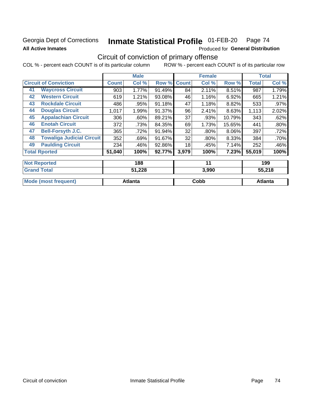## Georgia Dept of Corrections **All Active Inmates**

#### Inmate Statistical Profile 01-FEB-20 Page 74

Produced for General Distribution

# Circuit of conviction of primary offense

|                              |                                  |              | <b>Male</b> |        |              | <b>Female</b> |        |              | <b>Total</b> |
|------------------------------|----------------------------------|--------------|-------------|--------|--------------|---------------|--------|--------------|--------------|
| <b>Circuit of Conviction</b> |                                  | <b>Count</b> | Col %       | Row %  | <b>Count</b> | Col %         | Row %  | <b>Total</b> | Col %        |
| 41                           | <b>Waycross Circuit</b>          | 903          | 1.77%       | 91.49% | 84           | 2.11%         | 8.51%  | 987          | 1.79%        |
| 42                           | <b>Western Circuit</b>           | 619          | 1.21%       | 93.08% | 46           | 1.16%         | 6.92%  | 665          | 1.21%        |
| 43                           | <b>Rockdale Circuit</b>          | 486          | .95%        | 91.18% | 47           | 1.18%         | 8.82%  | 533          | $.97\%$      |
| 44                           | <b>Douglas Circuit</b>           | 1,017        | 1.99%       | 91.37% | 96           | 2.41%         | 8.63%  | 1,113        | 2.02%        |
| 45                           | <b>Appalachian Circuit</b>       | 306          | $.60\%$     | 89.21% | 37           | .93%          | 10.79% | 343          | .62%         |
| 46                           | <b>Enotah Circuit</b>            | 372          | .73%        | 84.35% | 69           | 1.73%         | 15.65% | 441          | $.80\%$      |
| 47                           | <b>Bell-Forsyth J.C.</b>         | 365          | .72%        | 91.94% | 32           | $.80\%$       | 8.06%  | 397          | .72%         |
| 48                           | <b>Towaliga Judicial Circuit</b> | 352          | .69%        | 91.67% | 32           | $.80\%$       | 8.33%  | 384          | $.70\%$      |
| 49                           | <b>Paulding Circuit</b>          | 234          | .46%        | 92.86% | 18           | .45%          | 7.14%  | 252          | .46%         |
|                              | <b>Total Rported</b>             | 51,040       | 100%        | 92.77% | 3,979        | 100%          | 7.23%  | 55,019       | 100%         |
|                              |                                  |              |             |        |              |               |        |              |              |
|                              | <b>Not Reported</b>              |              | 188         |        |              | 11            |        |              | 199          |

| <b>Grand Total</b>          | 51,228  | 3,990 | 55,218  |
|-----------------------------|---------|-------|---------|
| <b>Mode (most frequent)</b> | Atlanta | Cobb  | Atlanta |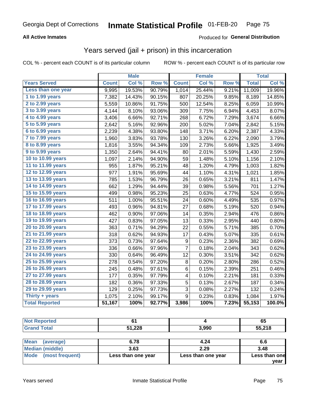### **All Active Inmates**

### Produced for **General Distribution**

## Years served (jail + prison) in this incarceration

|                       |              | <b>Male</b> |                  |                  | <b>Female</b> |                  |              | <b>Total</b> |
|-----------------------|--------------|-------------|------------------|------------------|---------------|------------------|--------------|--------------|
| <b>Years Served</b>   | <b>Count</b> | Col %       | Row <sup>%</sup> | <b>Count</b>     | Col %         | Row <sup>%</sup> | <b>Total</b> | Col %        |
| Less than one year    | 9,995        | 19.53%      | 90.79%           | 1,014            | 25.44%        | 9.21%            | 11,009       | 19.96%       |
| 1 to 1.99 years       | 7,382        | 14.43%      | 90.15%           | 807              | 20.25%        | 9.85%            | 8,189        | 14.85%       |
| 2 to 2.99 years       | 5,559        | 10.86%      | 91.75%           | 500              | 12.54%        | 8.25%            | 6,059        | 10.99%       |
| $3$ to $3.99$ years   | 4,144        | 8.10%       | 93.06%           | 309              | 7.75%         | 6.94%            | 4,453        | 8.07%        |
| 4 to 4.99 years       | 3,406        | 6.66%       | 92.71%           | 268              | 6.72%         | 7.29%            | 3,674        | 6.66%        |
| 5 to 5.99 years       | 2,642        | 5.16%       | 92.96%           | 200              | 5.02%         | 7.04%            | 2,842        | 5.15%        |
| 6 to 6.99 years       | 2,239        | 4.38%       | 93.80%           | 148              | 3.71%         | 6.20%            | 2,387        | 4.33%        |
| 7 to 7.99 years       | 1,960        | 3.83%       | 93.78%           | 130              | 3.26%         | 6.22%            | 2,090        | 3.79%        |
| 8 to 8.99 years       | 1,816        | 3.55%       | 94.34%           | 109              | 2.73%         | 5.66%            | 1,925        | 3.49%        |
| 9 to 9.99 years       | 1,350        | 2.64%       | 94.41%           | 80               | 2.01%         | 5.59%            | 1,430        | 2.59%        |
| 10 to 10.99 years     | 1,097        | 2.14%       | 94.90%           | 59               | 1.48%         | 5.10%            | 1,156        | 2.10%        |
| 11 to 11.99 years     | 955          | 1.87%       | 95.21%           | 48               | 1.20%         | 4.79%            | 1,003        | 1.82%        |
| 12 to 12.99 years     | 977          | 1.91%       | 95.69%           | 44               | 1.10%         | 4.31%            | 1,021        | 1.85%        |
| 13 to 13.99 years     | 785          | 1.53%       | 96.79%           | 26               | 0.65%         | 3.21%            | 811          | 1.47%        |
| 14 to 14.99 years     | 662          | 1.29%       | 94.44%           | 39               | 0.98%         | 5.56%            | 701          | 1.27%        |
| 15 to 15.99 years     | 499          | 0.98%       | 95.23%           | 25               | 0.63%         | 4.77%            | 524          | 0.95%        |
| 16 to 16.99 years     | 511          | 1.00%       | 95.51%           | 24               | 0.60%         | 4.49%            | 535          | 0.97%        |
| 17 to 17.99 years     | 493          | 0.96%       | 94.81%           | 27               | 0.68%         | 5.19%            | 520          | 0.94%        |
| 18 to 18.99 years     | 462          | 0.90%       | 97.06%           | 14               | 0.35%         | 2.94%            | 476          | 0.86%        |
| 19 to 19.99 years     | 427          | 0.83%       | 97.05%           | 13               | 0.33%         | 2.95%            | 440          | 0.80%        |
| 20 to 20.99 years     | 363          | 0.71%       | 94.29%           | 22               | 0.55%         | 5.71%            | 385          | 0.70%        |
| 21 to 21.99 years     | 318          | 0.62%       | 94.93%           | 17               | 0.43%         | 5.07%            | 335          | 0.61%        |
| 22 to 22.99 years     | 373          | 0.73%       | 97.64%           | $\boldsymbol{9}$ | 0.23%         | 2.36%            | 382          | 0.69%        |
| 23 to 23.99 years     | 336          | 0.66%       | 97.96%           | $\overline{7}$   | 0.18%         | 2.04%            | 343          | 0.62%        |
| 24 to 24.99 years     | 330          | 0.64%       | 96.49%           | 12               | 0.30%         | 3.51%            | 342          | 0.62%        |
| 25 to 25.99 years     | 278          | 0.54%       | 97.20%           | 8                | 0.20%         | 2.80%            | 286          | 0.52%        |
| 26 to 26.99 years     | 245          | 0.48%       | 97.61%           | 6                | 0.15%         | 2.39%            | 251          | 0.46%        |
| 27 to 27.99 years     | 177          | 0.35%       | 97.79%           | 4                | 0.10%         | 2.21%            | 181          | 0.33%        |
| 28 to 28.99 years     | 182          | 0.36%       | 97.33%           | 5                | 0.13%         | 2.67%            | 187          | 0.34%        |
| 29 to 29.99 years     | 129          | 0.25%       | 97.73%           | 3                | 0.08%         | 2.27%            | 132          | 0.24%        |
| Thirty + years        | 1,075        | 2.10%       | 99.17%           | $\boldsymbol{9}$ | 0.23%         | 0.83%            | 1,084        | 1.97%        |
| <b>Total Reported</b> | 51,167       | 100%        | 92.77%           | 3,986            | 100%          | 7.23%            | 55,153       | 100.0%       |

| <b>Not Reported</b>                                   |           |                | 65            |
|-------------------------------------------------------|-----------|----------------|---------------|
| <b>Grand Total</b>                                    | 51,228    | 3,990          | 55,218        |
|                                                       |           |                |               |
| $1.88 - 1.1$<br>$\lambda$ and $\lambda$ and $\lambda$ | $\sim$ 70 | $\overline{ }$ | $\sim$ $\sim$ |

| Mean<br>(average)    | 6.78               | 4.24               | 6.6           |
|----------------------|--------------------|--------------------|---------------|
| Median (middle)      | 3.63               | 2.29               | 3.48          |
| Mode (most frequent) | Less than one year | Less than one year | Less than one |
|                      |                    |                    | vear          |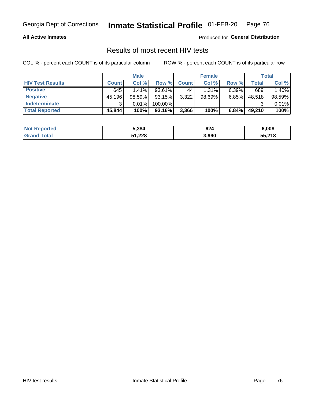### **All Active Inmates**

Produced for **General Distribution**

## Results of most recent HIV tests

|                         |              | <b>Male</b> |         |              | <b>Female</b> |          |        | <b>Total</b> |
|-------------------------|--------------|-------------|---------|--------------|---------------|----------|--------|--------------|
| <b>HIV Test Results</b> | <b>Count</b> | Col %       | Row %I  | <b>Count</b> | Col %         | Row %    | Total  | Col %        |
| <b>Positive</b>         | 645          | 1.41%       | 93.61%  | 44           | 1.31%         | $6.39\%$ | 689    | 1.40%        |
| <b>Negative</b>         | 45,196       | $98.59\%$   | 93.15%  | 3,322        | $98.69\%$     | 6.85%    | 48,518 | 98.59%       |
| <b>Indeterminate</b>    | ว            | 0.01%       | 100.00% |              |               |          |        | 0.01%        |
| <b>Total Reported</b>   | 45,844       | 100%        | 93.16%  | 3,366        | 100%          | 6.84%    | 49,210 | 100%         |

| <b>Not Reported</b>     | 5,384  | 624   | 6,008  |
|-------------------------|--------|-------|--------|
| <b>Total</b><br>' Grand | 51,228 | 3,990 | 55,218 |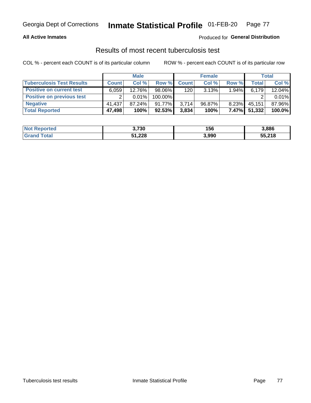### **All Active Inmates**

### Produced for **General Distribution**

### Results of most recent tuberculosis test

|                                  |              | <b>Male</b> |           |              | <b>Female</b> |          |        | Total  |
|----------------------------------|--------------|-------------|-----------|--------------|---------------|----------|--------|--------|
| <b>Tuberculosis Test Results</b> | <b>Count</b> | Col%        | Row %I    | <b>Count</b> | Col%          | Row %    | Total  | Col %  |
| <b>Positive on current test</b>  | 6,059        | 12.76%      | 98.06%    | 120          | 3.13%         | $1.94\%$ | 6,179  | 12.04% |
| <b>Positive on previous test</b> | ົ            | $0.01\%$    | 100.00%   |              |               |          |        | 0.01%  |
| <b>Negative</b>                  | 41.437       | $87.24\%$   | $91.77\%$ | 3,714        | $96.87\%$     | $8.23\%$ | 45,151 | 87.96% |
| <b>Total Reported</b>            | 47,498       | 100%        | 92.53%    | 3,834        | 100%          | $7.47\%$ | 51,332 | 100.0% |

| <b>Not Reported</b> | 3,730  | 156   | 3,886  |
|---------------------|--------|-------|--------|
| <b>Total</b>        | 51,228 | 3,990 | 55,218 |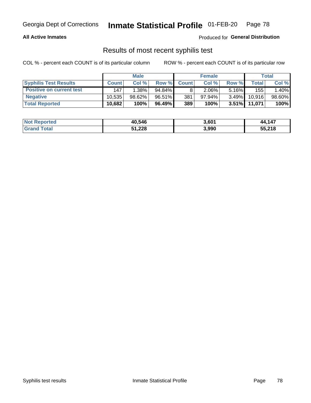### **All Active Inmates**

Produced for **General Distribution**

## Results of most recent syphilis test

|                                 |              | <b>Male</b> |           |              | <b>Female</b> |          |        | Total  |
|---------------------------------|--------------|-------------|-----------|--------------|---------------|----------|--------|--------|
| <b>Syphilis Test Results</b>    | <b>Count</b> | Col%        | Row %     | <b>Count</b> | Col %         | Row %I   | Total  | Col %  |
| <b>Positive on current test</b> | 147          | $1.38\%$    | $94.84\%$ |              | $2.06\%$      | $5.16\%$ | 155    | 1.40%  |
| <b>Negative</b>                 | 10.535       | $98.62\%$   | 96.51%    | 381          | $97.94\%$     | $3.49\%$ | 10,916 | 98.60% |
| <b>Total Reported</b>           | 10,682       | 100%        | 96.49%    | 389          | 100%          | $3.51\%$ | 11,071 | 100%   |

| <b>Not Reported</b> | 40,546 | 3,601 | 44,147 |
|---------------------|--------|-------|--------|
| <b>Grand Total</b>  | 51,228 | 3,990 | 55,218 |